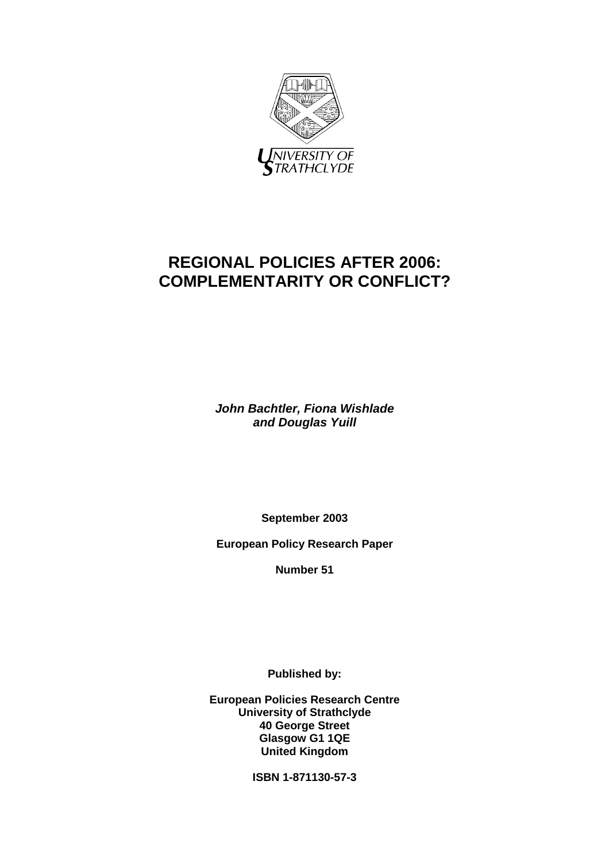

# **REGIONAL POLICIES AFTER 2006: COMPLEMENTARITY OR CONFLICT?**

*John Bachtler, Fiona Wishlade and Douglas Yuill*

**September 2003** 

**European Policy Research Paper** 

**Number 51** 

**Published by:** 

**European Policies Research Centre University of Strathclyde 40 George Street Glasgow G1 1QE United Kingdom** 

**ISBN 1-871130-57-3**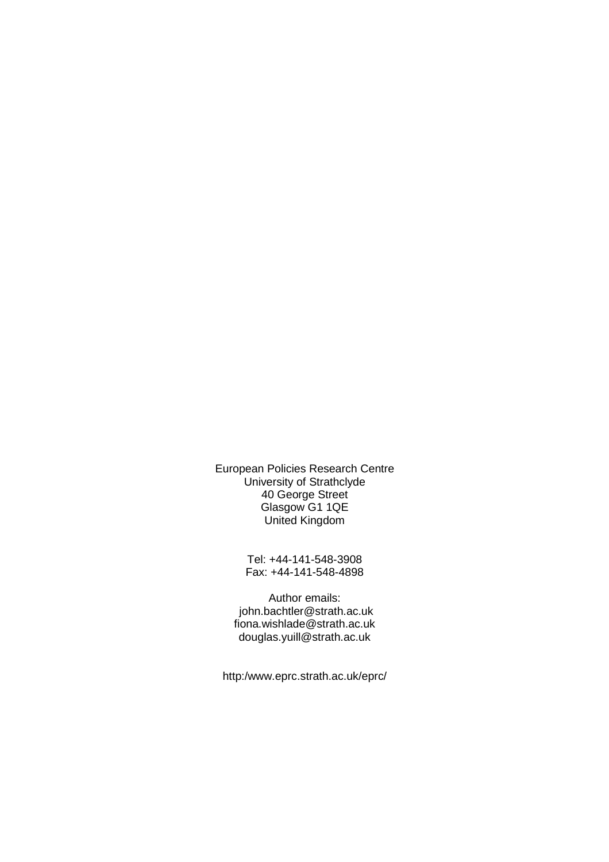European Policies Research Centre University of Strathclyde 40 George Street Glasgow G1 1QE United Kingdom

> Tel: +44-141-548-3908 Fax: +44-141-548-4898

Author emails: john.bachtler@strath.ac.uk fiona.wishlade@strath.ac.uk douglas.yuill@strath.ac.uk

http:/www.eprc.strath.ac.uk/eprc/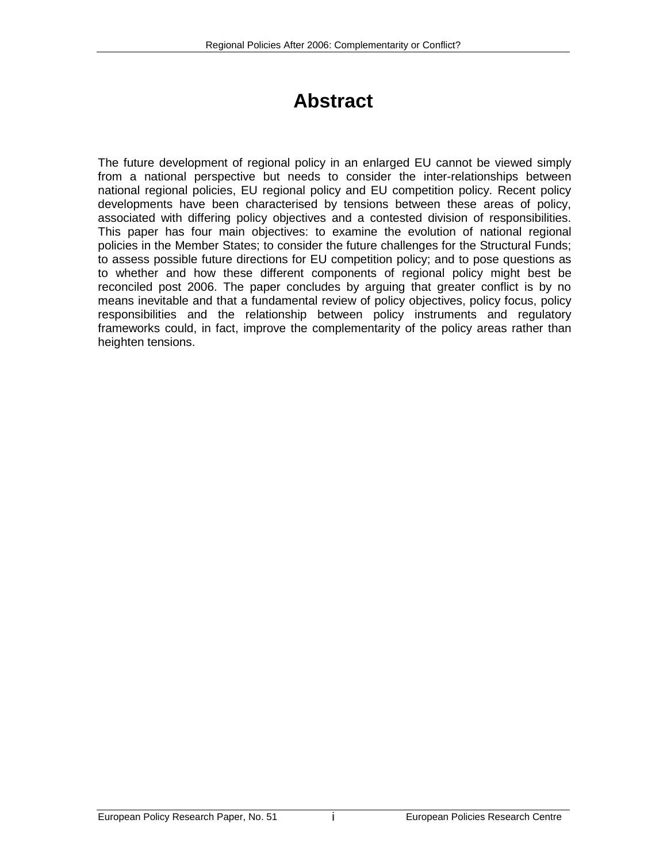# **Abstract**

The future development of regional policy in an enlarged EU cannot be viewed simply from a national perspective but needs to consider the inter-relationships between national regional policies, EU regional policy and EU competition policy. Recent policy developments have been characterised by tensions between these areas of policy, associated with differing policy objectives and a contested division of responsibilities. This paper has four main objectives: to examine the evolution of national regional policies in the Member States; to consider the future challenges for the Structural Funds; to assess possible future directions for EU competition policy; and to pose questions as to whether and how these different components of regional policy might best be reconciled post 2006. The paper concludes by arguing that greater conflict is by no means inevitable and that a fundamental review of policy objectives, policy focus, policy responsibilities and the relationship between policy instruments and regulatory frameworks could, in fact, improve the complementarity of the policy areas rather than heighten tensions.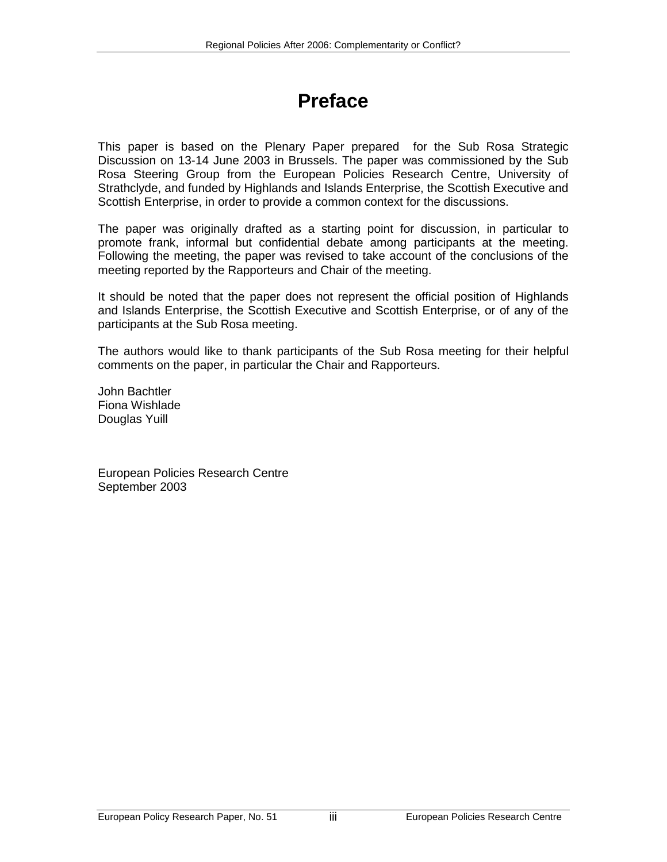# **Preface**

This paper is based on the Plenary Paper prepared for the Sub Rosa Strategic Discussion on 13-14 June 2003 in Brussels. The paper was commissioned by the Sub Rosa Steering Group from the European Policies Research Centre, University of Strathclyde, and funded by Highlands and Islands Enterprise, the Scottish Executive and Scottish Enterprise, in order to provide a common context for the discussions.

The paper was originally drafted as a starting point for discussion, in particular to promote frank, informal but confidential debate among participants at the meeting. Following the meeting, the paper was revised to take account of the conclusions of the meeting reported by the Rapporteurs and Chair of the meeting.

It should be noted that the paper does not represent the official position of Highlands and Islands Enterprise, the Scottish Executive and Scottish Enterprise, or of any of the participants at the Sub Rosa meeting.

The authors would like to thank participants of the Sub Rosa meeting for their helpful comments on the paper, in particular the Chair and Rapporteurs.

John Bachtler Fiona Wishlade Douglas Yuill

European Policies Research Centre September 2003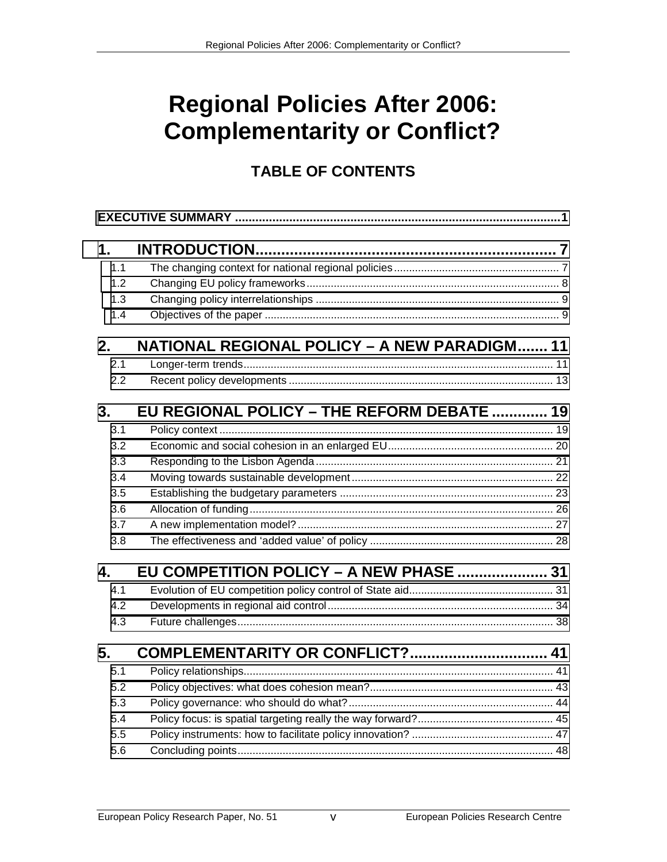# **Regional Policies After 2006: Complementarity or Conflict?**

## **TABLE OF CONTENTS**

| 1.<br>1.1<br>1.2<br>1.3<br>1.4 |                                              |  |  |  |
|--------------------------------|----------------------------------------------|--|--|--|
| 2.                             | NATIONAL REGIONAL POLICY - A NEW PARADIGM 11 |  |  |  |
| 2.1                            |                                              |  |  |  |
| 2.2                            |                                              |  |  |  |
| 3.                             | EU REGIONAL POLICY - THE REFORM DEBATE  19   |  |  |  |
| 3.1                            |                                              |  |  |  |
| 3.2                            |                                              |  |  |  |
| 3.3                            |                                              |  |  |  |
| 3.4                            |                                              |  |  |  |
| 3.5                            |                                              |  |  |  |
| 3.6                            |                                              |  |  |  |
| 3.7                            |                                              |  |  |  |
| 3.8                            |                                              |  |  |  |
| 4.                             | EU COMPETITION POLICY - A NEW PHASE  31      |  |  |  |
| 4.1                            |                                              |  |  |  |
| 4.2                            |                                              |  |  |  |
| 4.3                            |                                              |  |  |  |
| 5.                             | COMPLEMENTARITY OR CONFLICT? 41              |  |  |  |
| 5.1                            |                                              |  |  |  |
| 5.2                            |                                              |  |  |  |
| 5.3                            |                                              |  |  |  |
| 5.4                            |                                              |  |  |  |
| 5.5                            |                                              |  |  |  |
| 5.6                            |                                              |  |  |  |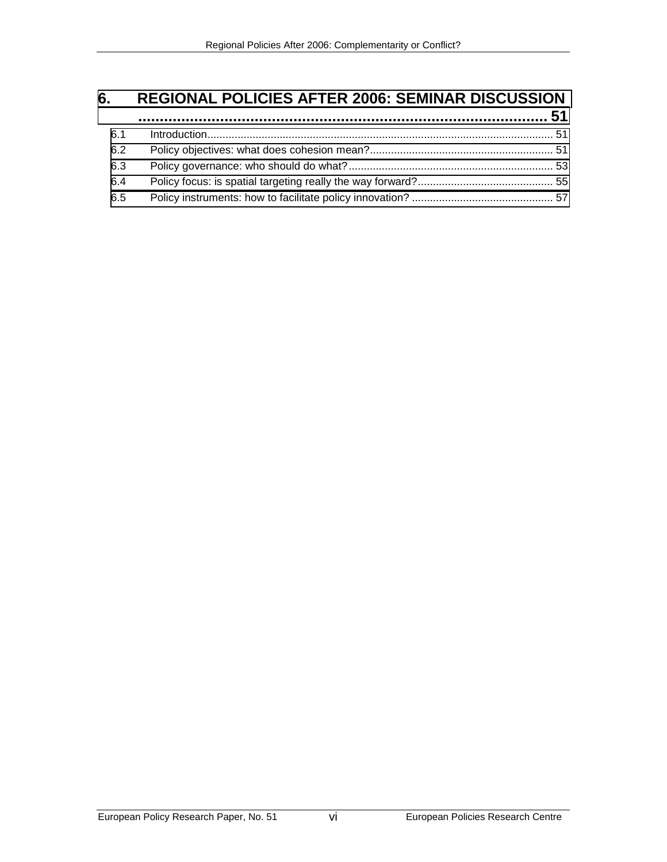### **6. [REGIONAL POLICIES AFTER 2006: SEMINAR DISCUSSION](#page-58-0)**

| 6.1 |  |
|-----|--|
| 6.2 |  |
| 6.3 |  |
| 6.4 |  |
| 6.5 |  |
|     |  |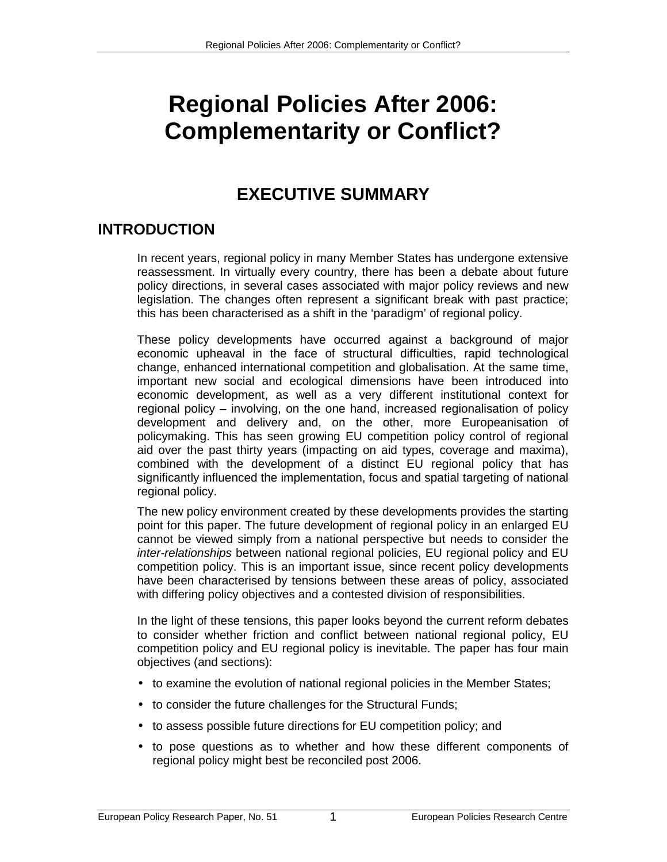# <span id="page-8-0"></span>**Regional Policies After 2006: Complementarity or Conflict?**

### **EXECUTIVE SUMMARY**

### **INTRODUCTION**

In recent years, regional policy in many Member States has undergone extensive reassessment. In virtually every country, there has been a debate about future policy directions, in several cases associated with major policy reviews and new legislation. The changes often represent a significant break with past practice; this has been characterised as a shift in the 'paradigm' of regional policy.

These policy developments have occurred against a background of major economic upheaval in the face of structural difficulties, rapid technological change, enhanced international competition and globalisation. At the same time, important new social and ecological dimensions have been introduced into economic development, as well as a very different institutional context for regional policy – involving, on the one hand, increased regionalisation of policy development and delivery and, on the other, more Europeanisation of policymaking. This has seen growing EU competition policy control of regional aid over the past thirty years (impacting on aid types, coverage and maxima), combined with the development of a distinct EU regional policy that has significantly influenced the implementation, focus and spatial targeting of national regional policy.

The new policy environment created by these developments provides the starting point for this paper. The future development of regional policy in an enlarged EU cannot be viewed simply from a national perspective but needs to consider the *inter-relationships* between national regional policies, EU regional policy and EU competition policy. This is an important issue, since recent policy developments have been characterised by tensions between these areas of policy, associated with differing policy objectives and a contested division of responsibilities.

In the light of these tensions, this paper looks beyond the current reform debates to consider whether friction and conflict between national regional policy, EU competition policy and EU regional policy is inevitable. The paper has four main objectives (and sections):

- to examine the evolution of national regional policies in the Member States;
- to consider the future challenges for the Structural Funds;
- to assess possible future directions for EU competition policy; and
- to pose questions as to whether and how these different components of regional policy might best be reconciled post 2006.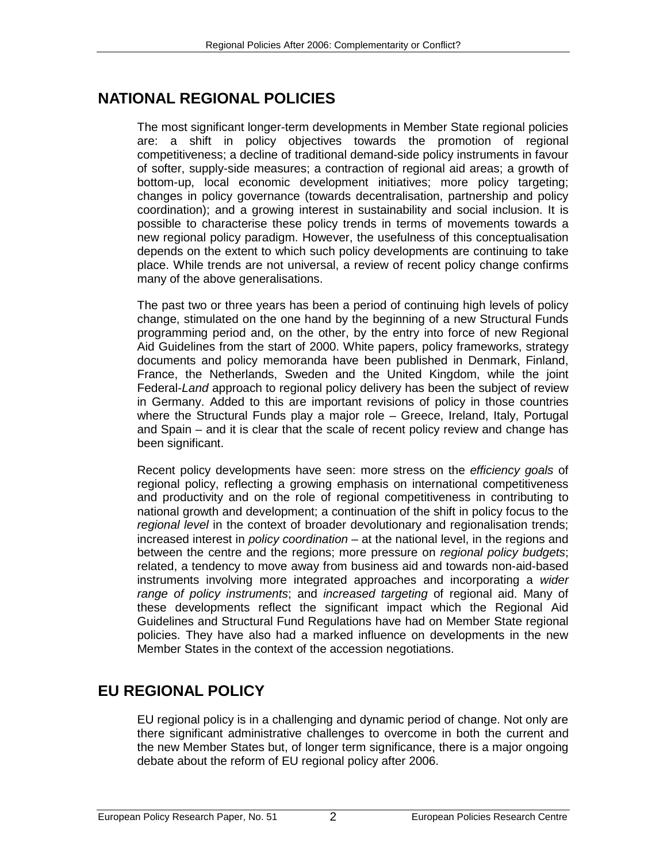### **NATIONAL REGIONAL POLICIES**

The most significant longer-term developments in Member State regional policies are: a shift in policy objectives towards the promotion of regional competitiveness; a decline of traditional demand-side policy instruments in favour of softer, supply-side measures; a contraction of regional aid areas; a growth of bottom-up, local economic development initiatives; more policy targeting; changes in policy governance (towards decentralisation, partnership and policy coordination); and a growing interest in sustainability and social inclusion. It is possible to characterise these policy trends in terms of movements towards a new regional policy paradigm. However, the usefulness of this conceptualisation depends on the extent to which such policy developments are continuing to take place. While trends are not universal, a review of recent policy change confirms many of the above generalisations.

The past two or three years has been a period of continuing high levels of policy change, stimulated on the one hand by the beginning of a new Structural Funds programming period and, on the other, by the entry into force of new Regional Aid Guidelines from the start of 2000. White papers, policy frameworks, strategy documents and policy memoranda have been published in Denmark, Finland, France, the Netherlands, Sweden and the United Kingdom, while the joint Federal-*Land* approach to regional policy delivery has been the subject of review in Germany. Added to this are important revisions of policy in those countries where the Structural Funds play a major role – Greece, Ireland, Italy, Portugal and Spain – and it is clear that the scale of recent policy review and change has been significant.

Recent policy developments have seen: more stress on the *efficiency goals* of regional policy, reflecting a growing emphasis on international competitiveness and productivity and on the role of regional competitiveness in contributing to national growth and development; a continuation of the shift in policy focus to the *regional level* in the context of broader devolutionary and regionalisation trends; increased interest in *policy coordination* – at the national level, in the regions and between the centre and the regions; more pressure on *regional policy budgets*; related, a tendency to move away from business aid and towards non-aid-based instruments involving more integrated approaches and incorporating a *wider range of policy instruments*; and *increased targeting* of regional aid. Many of these developments reflect the significant impact which the Regional Aid Guidelines and Structural Fund Regulations have had on Member State regional policies. They have also had a marked influence on developments in the new Member States in the context of the accession negotiations.

### **EU REGIONAL POLICY**

EU regional policy is in a challenging and dynamic period of change. Not only are there significant administrative challenges to overcome in both the current and the new Member States but, of longer term significance, there is a major ongoing debate about the reform of EU regional policy after 2006.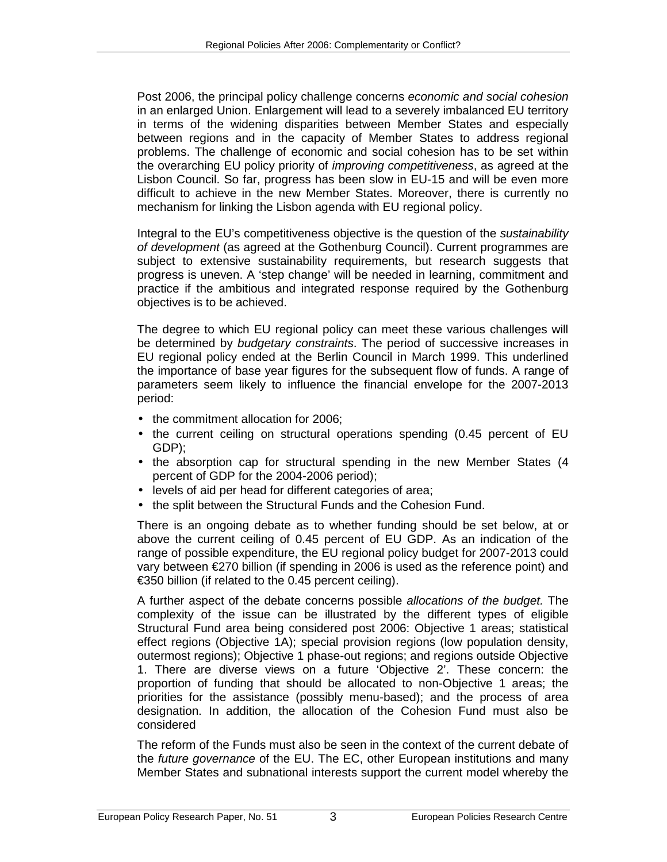Post 2006, the principal policy challenge concerns *economic and social cohesion* in an enlarged Union. Enlargement will lead to a severely imbalanced EU territory in terms of the widening disparities between Member States and especially between regions and in the capacity of Member States to address regional problems. The challenge of economic and social cohesion has to be set within the overarching EU policy priority of *improving competitiveness*, as agreed at the Lisbon Council. So far, progress has been slow in EU-15 and will be even more difficult to achieve in the new Member States. Moreover, there is currently no mechanism for linking the Lisbon agenda with EU regional policy.

Integral to the EU's competitiveness objective is the question of the *sustainability of development* (as agreed at the Gothenburg Council). Current programmes are subject to extensive sustainability requirements, but research suggests that progress is uneven. A 'step change' will be needed in learning, commitment and practice if the ambitious and integrated response required by the Gothenburg objectives is to be achieved.

The degree to which EU regional policy can meet these various challenges will be determined by *budgetary constraints*. The period of successive increases in EU regional policy ended at the Berlin Council in March 1999. This underlined the importance of base year figures for the subsequent flow of funds. A range of parameters seem likely to influence the financial envelope for the 2007-2013 period:

- the commitment allocation for 2006;
- the current ceiling on structural operations spending (0.45 percent of EU GDP);
- the absorption cap for structural spending in the new Member States (4 percent of GDP for the 2004-2006 period);
- levels of aid per head for different categories of area;
- the split between the Structural Funds and the Cohesion Fund.

There is an ongoing debate as to whether funding should be set below, at or above the current ceiling of 0.45 percent of EU GDP. As an indication of the range of possible expenditure, the EU regional policy budget for 2007-2013 could vary between €270 billion (if spending in 2006 is used as the reference point) and €350 billion (if related to the 0.45 percent ceiling).

A further aspect of the debate concerns possible *allocations of the budget.* The complexity of the issue can be illustrated by the different types of eligible Structural Fund area being considered post 2006: Objective 1 areas; statistical effect regions (Objective 1A); special provision regions (low population density, outermost regions); Objective 1 phase-out regions; and regions outside Objective 1. There are diverse views on a future 'Objective 2'. These concern: the proportion of funding that should be allocated to non-Objective 1 areas; the priorities for the assistance (possibly menu-based); and the process of area designation. In addition, the allocation of the Cohesion Fund must also be considered

The reform of the Funds must also be seen in the context of the current debate of the *future governance* of the EU. The EC, other European institutions and many Member States and subnational interests support the current model whereby the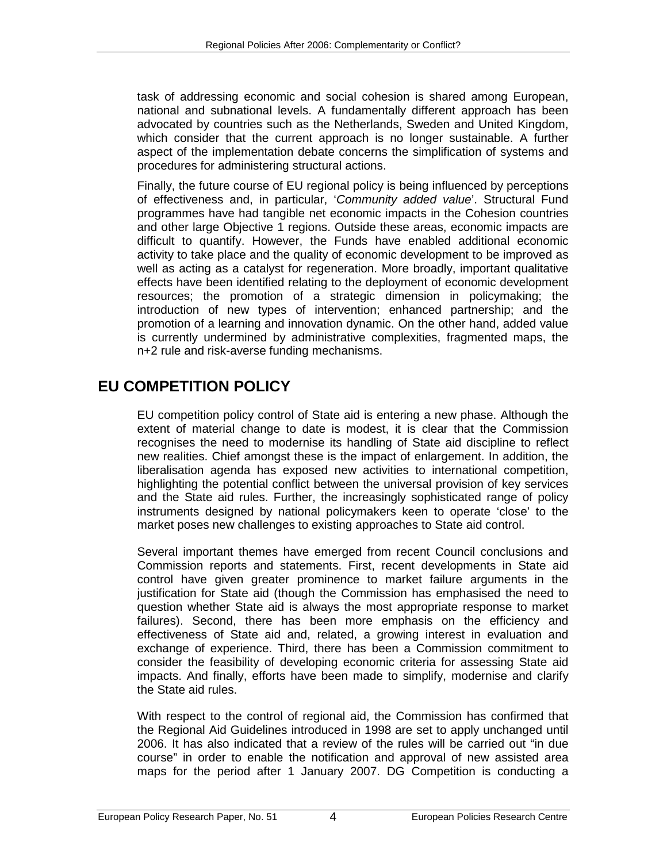task of addressing economic and social cohesion is shared among European, national and subnational levels. A fundamentally different approach has been advocated by countries such as the Netherlands, Sweden and United Kingdom, which consider that the current approach is no longer sustainable. A further aspect of the implementation debate concerns the simplification of systems and procedures for administering structural actions.

Finally, the future course of EU regional policy is being influenced by perceptions of effectiveness and, in particular, '*Community added value*'. Structural Fund programmes have had tangible net economic impacts in the Cohesion countries and other large Objective 1 regions. Outside these areas, economic impacts are difficult to quantify. However, the Funds have enabled additional economic activity to take place and the quality of economic development to be improved as well as acting as a catalyst for regeneration. More broadly, important qualitative effects have been identified relating to the deployment of economic development resources; the promotion of a strategic dimension in policymaking; the introduction of new types of intervention; enhanced partnership; and the promotion of a learning and innovation dynamic. On the other hand, added value is currently undermined by administrative complexities, fragmented maps, the n+2 rule and risk-averse funding mechanisms.

### **EU COMPETITION POLICY**

EU competition policy control of State aid is entering a new phase. Although the extent of material change to date is modest, it is clear that the Commission recognises the need to modernise its handling of State aid discipline to reflect new realities. Chief amongst these is the impact of enlargement. In addition, the liberalisation agenda has exposed new activities to international competition, highlighting the potential conflict between the universal provision of key services and the State aid rules. Further, the increasingly sophisticated range of policy instruments designed by national policymakers keen to operate 'close' to the market poses new challenges to existing approaches to State aid control.

Several important themes have emerged from recent Council conclusions and Commission reports and statements. First, recent developments in State aid control have given greater prominence to market failure arguments in the justification for State aid (though the Commission has emphasised the need to question whether State aid is always the most appropriate response to market failures). Second, there has been more emphasis on the efficiency and effectiveness of State aid and, related, a growing interest in evaluation and exchange of experience. Third, there has been a Commission commitment to consider the feasibility of developing economic criteria for assessing State aid impacts. And finally, efforts have been made to simplify, modernise and clarify the State aid rules.

With respect to the control of regional aid, the Commission has confirmed that the Regional Aid Guidelines introduced in 1998 are set to apply unchanged until 2006. It has also indicated that a review of the rules will be carried out "in due course" in order to enable the notification and approval of new assisted area maps for the period after 1 January 2007. DG Competition is conducting a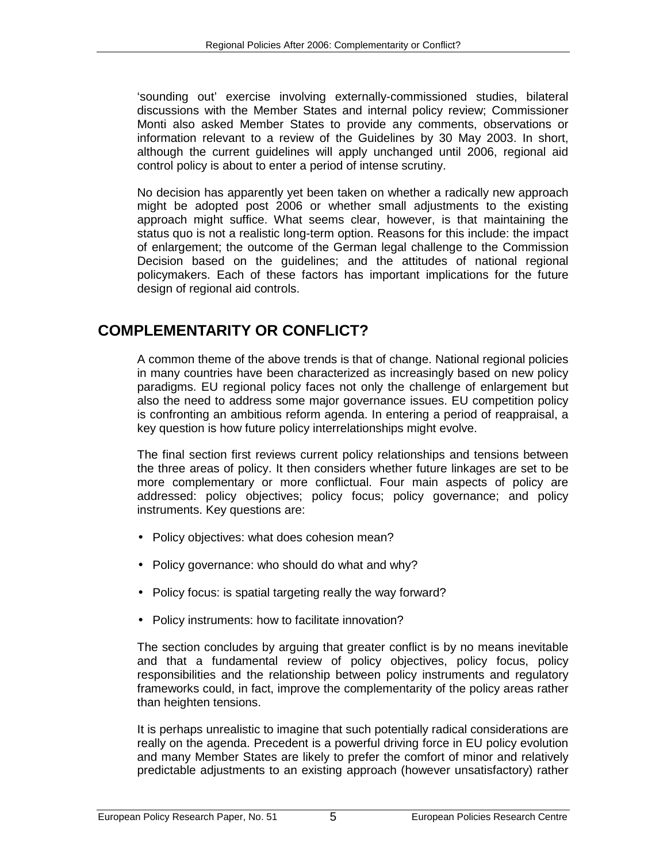'sounding out' exercise involving externally-commissioned studies, bilateral discussions with the Member States and internal policy review; Commissioner Monti also asked Member States to provide any comments, observations or information relevant to a review of the Guidelines by 30 May 2003. In short, although the current guidelines will apply unchanged until 2006, regional aid control policy is about to enter a period of intense scrutiny.

No decision has apparently yet been taken on whether a radically new approach might be adopted post 2006 or whether small adjustments to the existing approach might suffice. What seems clear, however, is that maintaining the status quo is not a realistic long-term option. Reasons for this include: the impact of enlargement; the outcome of the German legal challenge to the Commission Decision based on the guidelines; and the attitudes of national regional policymakers. Each of these factors has important implications for the future design of regional aid controls.

### **COMPLEMENTARITY OR CONFLICT?**

A common theme of the above trends is that of change. National regional policies in many countries have been characterized as increasingly based on new policy paradigms. EU regional policy faces not only the challenge of enlargement but also the need to address some major governance issues. EU competition policy is confronting an ambitious reform agenda. In entering a period of reappraisal, a key question is how future policy interrelationships might evolve.

The final section first reviews current policy relationships and tensions between the three areas of policy. It then considers whether future linkages are set to be more complementary or more conflictual. Four main aspects of policy are addressed: policy objectives; policy focus; policy governance; and policy instruments. Key questions are:

- Policy objectives: what does cohesion mean?
- Policy governance: who should do what and why?
- Policy focus: is spatial targeting really the way forward?
- Policy instruments: how to facilitate innovation?

The section concludes by arguing that greater conflict is by no means inevitable and that a fundamental review of policy objectives, policy focus, policy responsibilities and the relationship between policy instruments and regulatory frameworks could, in fact, improve the complementarity of the policy areas rather than heighten tensions.

It is perhaps unrealistic to imagine that such potentially radical considerations are really on the agenda. Precedent is a powerful driving force in EU policy evolution and many Member States are likely to prefer the comfort of minor and relatively predictable adjustments to an existing approach (however unsatisfactory) rather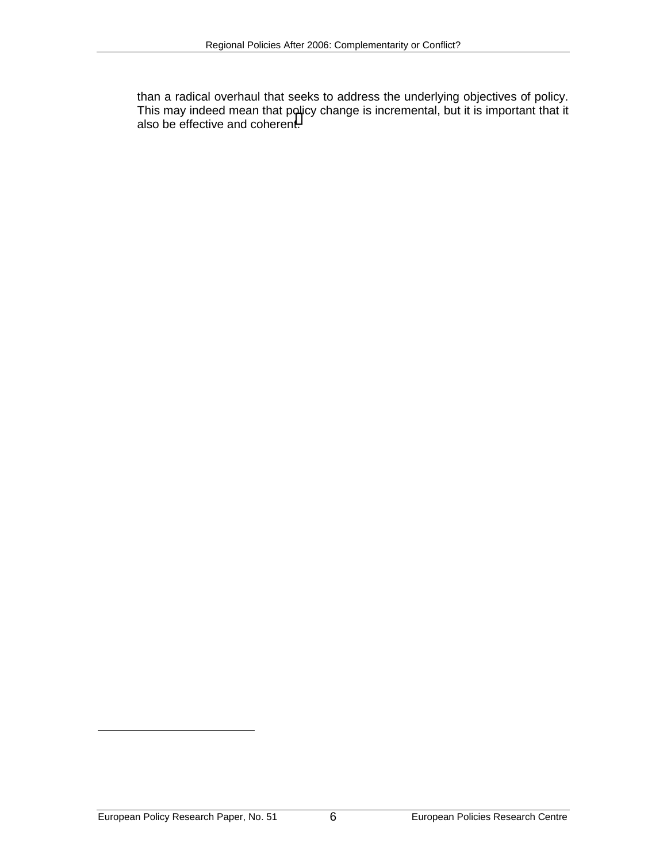than a radical overhaul that seeks to address the underlying objectives of policy. This may indeed mean that policy change is incremental, but it is important that it also be effective and coherent.

 $\overline{a}$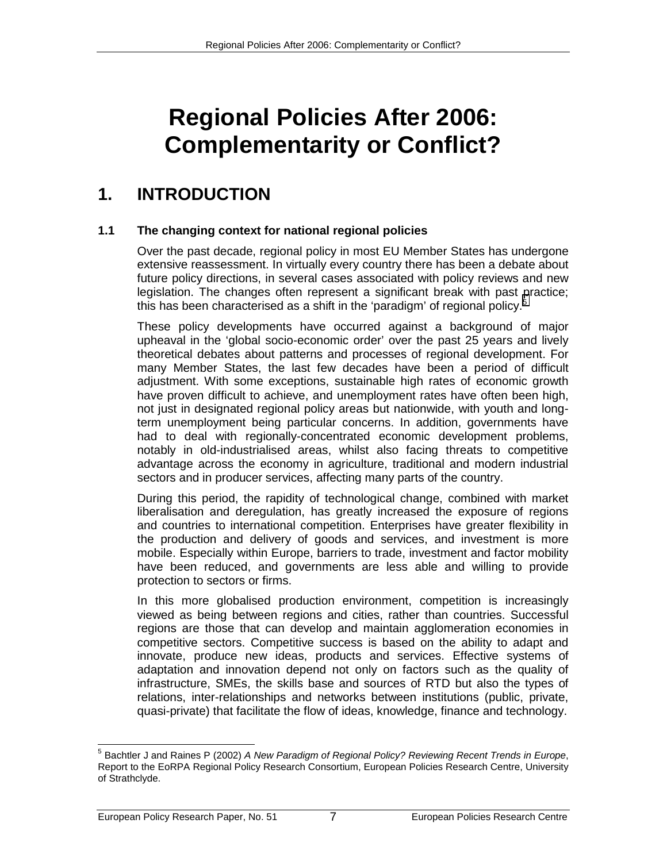# <span id="page-14-0"></span>**Regional Policies After 2006: Complementarity or Conflict?**

# **1. INTRODUCTION**

### **1.1 The changing context for national regional policies**

Over the past decade, regional policy in most EU Member States has undergone extensive reassessment. In virtually every country there has been a debate about future policy directions, in several cases associated with policy reviews and new legislation. The changes often represent a significant break with past practice; this has been characterised as a shift in the 'paradigm' of regional policy.<sup>5</sup>

These policy developments have occurred against a background of major upheaval in the 'global socio-economic order' over the past 25 years and lively theoretical debates about patterns and processes of regional development. For many Member States, the last few decades have been a period of difficult adjustment. With some exceptions, sustainable high rates of economic growth have proven difficult to achieve, and unemployment rates have often been high, not just in designated regional policy areas but nationwide, with youth and longterm unemployment being particular concerns. In addition, governments have had to deal with regionally-concentrated economic development problems, notably in old-industrialised areas, whilst also facing threats to competitive advantage across the economy in agriculture, traditional and modern industrial sectors and in producer services, affecting many parts of the country.

During this period, the rapidity of technological change, combined with market liberalisation and deregulation, has greatly increased the exposure of regions and countries to international competition. Enterprises have greater flexibility in the production and delivery of goods and services, and investment is more mobile. Especially within Europe, barriers to trade, investment and factor mobility have been reduced, and governments are less able and willing to provide protection to sectors or firms.

In this more globalised production environment, competition is increasingly viewed as being between regions and cities, rather than countries. Successful regions are those that can develop and maintain agglomeration economies in competitive sectors. Competitive success is based on the ability to adapt and innovate, produce new ideas, products and services. Effective systems of adaptation and innovation depend not only on factors such as the quality of infrastructure, SMEs, the skills base and sources of RTD but also the types of relations, inter-relationships and networks between institutions (public, private, quasi-private) that facilitate the flow of ideas, knowledge, finance and technology.

 $\overline{a}$ 5 Bachtler J and Raines P (2002) *A New Paradigm of Regional Policy? Reviewing Recent Trends in Europe*, Report to the EoRPA Regional Policy Research Consortium, European Policies Research Centre, University of Strathclyde.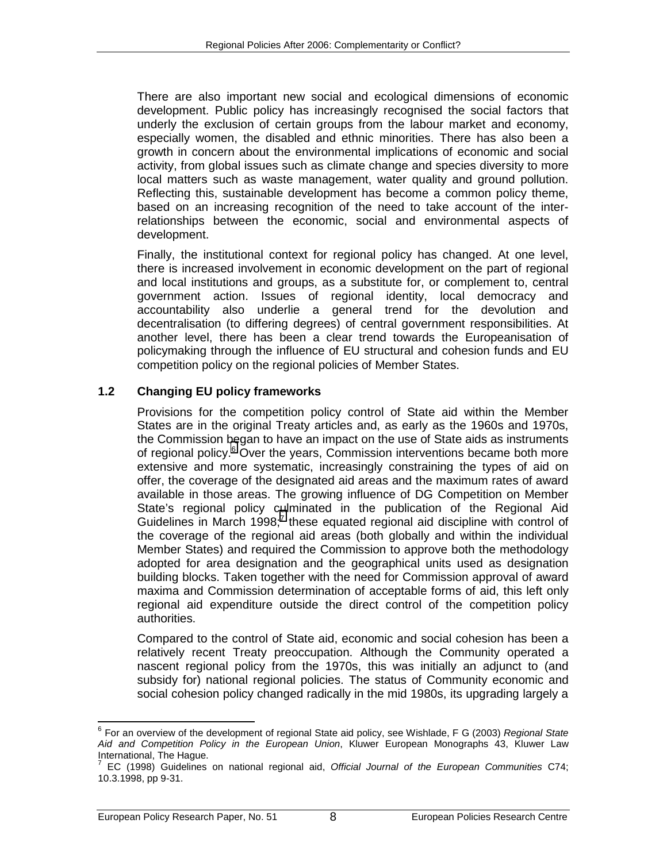<span id="page-15-0"></span>There are also important new social and ecological dimensions of economic development. Public policy has increasingly recognised the social factors that underly the exclusion of certain groups from the labour market and economy, especially women, the disabled and ethnic minorities. There has also been a growth in concern about the environmental implications of economic and social activity, from global issues such as climate change and species diversity to more local matters such as waste management, water quality and ground pollution. Reflecting this, sustainable development has become a common policy theme, based on an increasing recognition of the need to take account of the interrelationships between the economic, social and environmental aspects of development.

Finally, the institutional context for regional policy has changed. At one level, there is increased involvement in economic development on the part of regional and local institutions and groups, as a substitute for, or complement to, central government action. Issues of regional identity, local democracy and accountability also underlie a general trend for the devolution and decentralisation (to differing degrees) of central government responsibilities. At another level, there has been a clear trend towards the Europeanisation of policymaking through the influence of EU structural and cohesion funds and EU competition policy on the regional policies of Member States.

### **1.2 Changing EU policy frameworks**

Provisions for the competition policy control of State aid within the Member States are in the original Treaty articles and, as early as the 1960s and 1970s, the Commission began to have an impact on the use of State aids as instruments of regional policy.<sup>6</sup> Over the years, Commission interventions became both more extensive and more systematic, increasingly constraining the types of aid on offer, the coverage of the designated aid areas and the maximum rates of award available in those areas. The growing influence of DG Competition on Member State's regional policy culminated in the publication of the Regional Aid Guidelines in March  $1998$ ;<sup>7</sup> these equated regional aid discipline with control of the coverage of the regional aid areas (both globally and within the individual Member States) and required the Commission to approve both the methodology adopted for area designation and the geographical units used as designation building blocks. Taken together with the need for Commission approval of award maxima and Commission determination of acceptable forms of aid, this left only regional aid expenditure outside the direct control of the competition policy authorities.

Compared to the control of State aid, economic and social cohesion has been a relatively recent Treaty preoccupation. Although the Community operated a nascent regional policy from the 1970s, this was initially an adjunct to (and subsidy for) national regional policies. The status of Community economic and social cohesion policy changed radically in the mid 1980s, its upgrading largely a

<sup>-</sup>6 For an overview of the development of regional State aid policy, see Wishlade, F G (2003) *Regional State Aid and Competition Policy in the European Union*, Kluwer European Monographs 43, Kluwer Law International, The Hague.

<sup>7</sup> EC (1998) Guidelines on national regional aid, *Official Journal of the European Communities* C74; 10.3.1998, pp 9-31.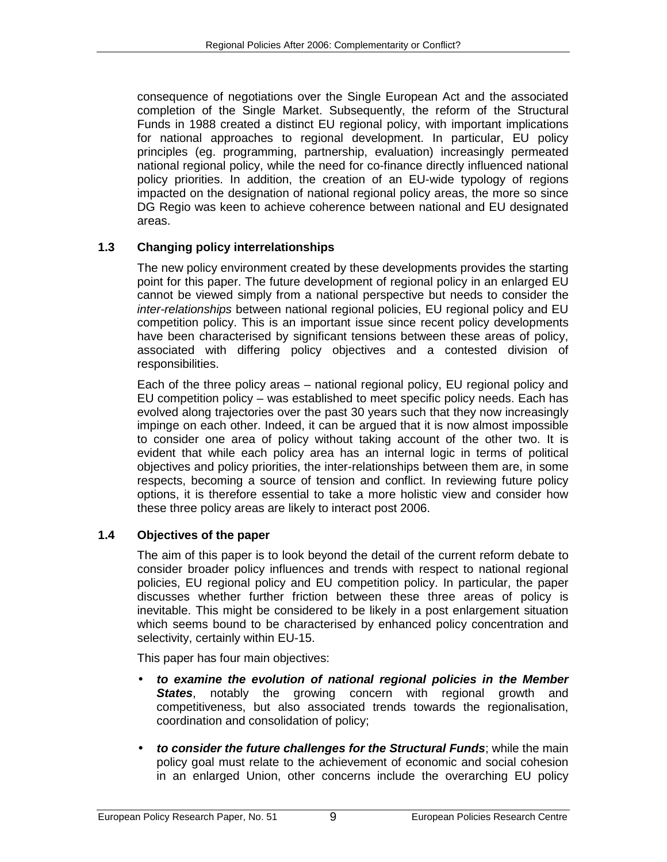<span id="page-16-0"></span>consequence of negotiations over the Single European Act and the associated completion of the Single Market. Subsequently, the reform of the Structural Funds in 1988 created a distinct EU regional policy, with important implications for national approaches to regional development. In particular, EU policy principles (eg. programming, partnership, evaluation) increasingly permeated national regional policy, while the need for co-finance directly influenced national policy priorities. In addition, the creation of an EU-wide typology of regions impacted on the designation of national regional policy areas, the more so since DG Regio was keen to achieve coherence between national and EU designated areas.

### **1.3 Changing policy interrelationships**

The new policy environment created by these developments provides the starting point for this paper. The future development of regional policy in an enlarged EU cannot be viewed simply from a national perspective but needs to consider the *inter-relationships* between national regional policies, EU regional policy and EU competition policy. This is an important issue since recent policy developments have been characterised by significant tensions between these areas of policy, associated with differing policy objectives and a contested division of responsibilities.

Each of the three policy areas – national regional policy, EU regional policy and EU competition policy – was established to meet specific policy needs. Each has evolved along trajectories over the past 30 years such that they now increasingly impinge on each other. Indeed, it can be argued that it is now almost impossible to consider one area of policy without taking account of the other two. It is evident that while each policy area has an internal logic in terms of political objectives and policy priorities, the inter-relationships between them are, in some respects, becoming a source of tension and conflict. In reviewing future policy options, it is therefore essential to take a more holistic view and consider how these three policy areas are likely to interact post 2006.

### **1.4 Objectives of the paper**

The aim of this paper is to look beyond the detail of the current reform debate to consider broader policy influences and trends with respect to national regional policies, EU regional policy and EU competition policy. In particular, the paper discusses whether further friction between these three areas of policy is inevitable. This might be considered to be likely in a post enlargement situation which seems bound to be characterised by enhanced policy concentration and selectivity, certainly within EU-15.

This paper has four main objectives:

- *to examine the evolution of national regional policies in the Member States*, notably the growing concern with regional growth and competitiveness, but also associated trends towards the regionalisation, coordination and consolidation of policy;
- *to consider the future challenges for the Structural Funds*; while the main policy goal must relate to the achievement of economic and social cohesion in an enlarged Union, other concerns include the overarching EU policy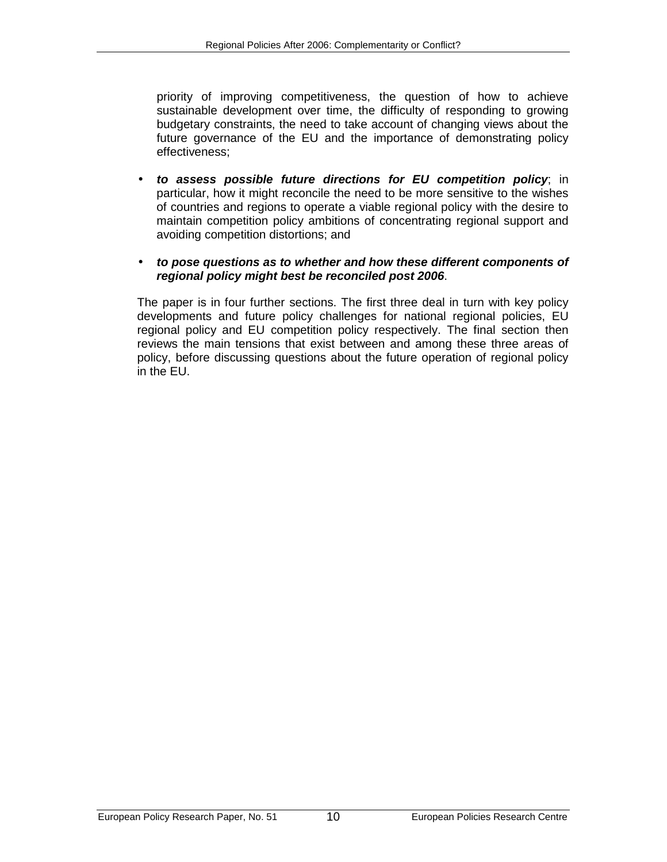priority of improving competitiveness, the question of how to achieve sustainable development over time, the difficulty of responding to growing budgetary constraints, the need to take account of changing views about the future governance of the EU and the importance of demonstrating policy effectiveness;

• *to assess possible future directions for EU competition policy*; in particular, how it might reconcile the need to be more sensitive to the wishes of countries and regions to operate a viable regional policy with the desire to maintain competition policy ambitions of concentrating regional support and avoiding competition distortions; and

#### • *to pose questions as to whether and how these different components of regional policy might best be reconciled post 2006*.

The paper is in four further sections. The first three deal in turn with key policy developments and future policy challenges for national regional policies, EU regional policy and EU competition policy respectively. The final section then reviews the main tensions that exist between and among these three areas of policy, before discussing questions about the future operation of regional policy in the EU.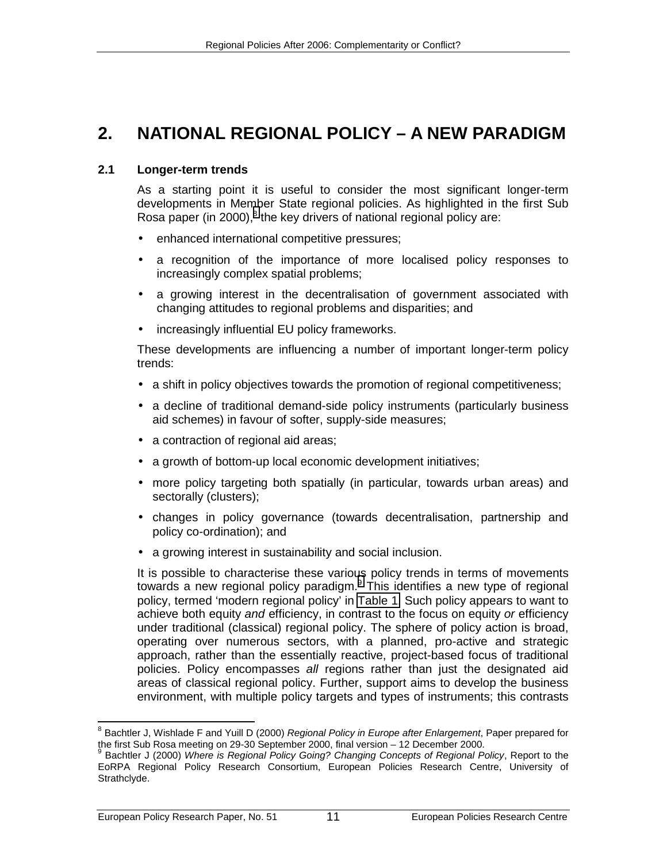# <span id="page-18-0"></span>**2. NATIONAL REGIONAL POLICY – A NEW PARADIGM**

### **2.1 Longer-term trends**

As a starting point it is useful to consider the most significant longer-term developments in Member State regional policies. As highlighted in the first Sub Rosa paper (in 2000), $^8$  the key drivers of national regional policy are:

- enhanced international competitive pressures;
- a recognition of the importance of more localised policy responses to increasingly complex spatial problems;
- a growing interest in the decentralisation of government associated with changing attitudes to regional problems and disparities; and
- increasingly influential EU policy frameworks.

These developments are influencing a number of important longer-term policy trends:

- a shift in policy objectives towards the promotion of regional competitiveness;
- a decline of traditional demand-side policy instruments (particularly business aid schemes) in favour of softer, supply-side measures;
- a contraction of regional aid areas;
- a growth of bottom-up local economic development initiatives;
- more policy targeting both spatially (in particular, towards urban areas) and sectorally (clusters);
- changes in policy governance (towards decentralisation, partnership and policy co-ordination); and
- a growing interest in sustainability and social inclusion.

It is possible to characterise these various policy trends in terms of movements towards a new regional policy paradigm.<sup>9</sup> This identifies a new type of regional policy, termed 'modern regional policy' in [Table 1.](#page-19-0) Such policy appears to want to achieve both equity *and* efficiency, in contrast to the focus on equity *or* efficiency under traditional (classical) regional policy. The sphere of policy action is broad, operating over numerous sectors, with a planned, pro-active and strategic approach, rather than the essentially reactive, project-based focus of traditional policies. Policy encompasses *all* regions rather than just the designated aid areas of classical regional policy. Further, support aims to develop the business environment, with multiple policy targets and types of instruments; this contrasts

 8 Bachtler J, Wishlade F and Yuill D (2000) *Regional Policy in Europe after Enlargement*, Paper prepared for the first Sub Rosa meeting on 29-30 September 2000, final version – 12 December 2000.

<sup>9</sup> Bachtler J (2000) *Where is Regional Policy Going? Changing Concepts of Regional Policy*, Report to the EoRPA Regional Policy Research Consortium, European Policies Research Centre, University of Strathclyde.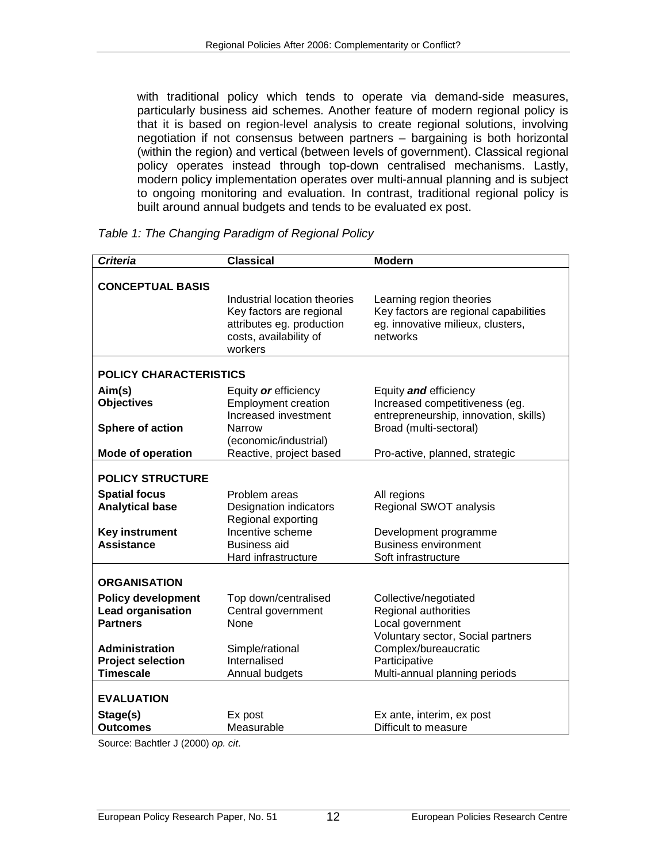<span id="page-19-0"></span>with traditional policy which tends to operate via demand-side measures, particularly business aid schemes. Another feature of modern regional policy is that it is based on region-level analysis to create regional solutions, involving negotiation if not consensus between partners – bargaining is both horizontal (within the region) and vertical (between levels of government). Classical regional policy operates instead through top-down centralised mechanisms. Lastly, modern policy implementation operates over multi-annual planning and is subject to ongoing monitoring and evaluation. In contrast, traditional regional policy is built around annual budgets and tends to be evaluated ex post.

| <b>Criteria</b>                                | <b>Classical</b>                                                                                                           | <b>Modern</b>                                                                                                      |  |  |  |
|------------------------------------------------|----------------------------------------------------------------------------------------------------------------------------|--------------------------------------------------------------------------------------------------------------------|--|--|--|
| <b>CONCEPTUAL BASIS</b>                        |                                                                                                                            |                                                                                                                    |  |  |  |
|                                                | Industrial location theories<br>Key factors are regional<br>attributes eg. production<br>costs, availability of<br>workers | Learning region theories<br>Key factors are regional capabilities<br>eg. innovative milieux, clusters,<br>networks |  |  |  |
| <b>POLICY CHARACTERISTICS</b>                  |                                                                                                                            |                                                                                                                    |  |  |  |
| Aim(s)<br><b>Objectives</b>                    | Equity or efficiency<br><b>Employment creation</b><br>Increased investment                                                 | Equity and efficiency<br>Increased competitiveness (eg.<br>entrepreneurship, innovation, skills)                   |  |  |  |
| <b>Sphere of action</b>                        | Broad (multi-sectoral)<br>Narrow<br>(economic/industrial)                                                                  |                                                                                                                    |  |  |  |
| <b>Mode of operation</b>                       | Reactive, project based                                                                                                    | Pro-active, planned, strategic                                                                                     |  |  |  |
| <b>POLICY STRUCTURE</b>                        |                                                                                                                            |                                                                                                                    |  |  |  |
| <b>Spatial focus</b><br><b>Analytical base</b> | Problem areas<br>Designation indicators                                                                                    | All regions<br>Regional SWOT analysis                                                                              |  |  |  |
|                                                | Regional exporting                                                                                                         |                                                                                                                    |  |  |  |
| <b>Key instrument</b>                          | Incentive scheme                                                                                                           | Development programme                                                                                              |  |  |  |
| <b>Assistance</b>                              | <b>Business aid</b><br>Hard infrastructure                                                                                 | <b>Business environment</b><br>Soft infrastructure                                                                 |  |  |  |
| <b>ORGANISATION</b>                            |                                                                                                                            |                                                                                                                    |  |  |  |
| <b>Policy development</b>                      | Top down/centralised                                                                                                       | Collective/negotiated                                                                                              |  |  |  |
| <b>Lead organisation</b>                       | Central government                                                                                                         | Regional authorities                                                                                               |  |  |  |
| <b>Partners</b>                                | None                                                                                                                       | Local government                                                                                                   |  |  |  |
|                                                |                                                                                                                            | Voluntary sector, Social partners                                                                                  |  |  |  |
| Administration                                 | Simple/rational                                                                                                            | Complex/bureaucratic                                                                                               |  |  |  |
| <b>Project selection</b>                       | Internalised                                                                                                               | Participative                                                                                                      |  |  |  |
| <b>Timescale</b>                               | Annual budgets                                                                                                             | Multi-annual planning periods                                                                                      |  |  |  |
| <b>EVALUATION</b>                              |                                                                                                                            |                                                                                                                    |  |  |  |
| Stage(s)<br><b>Outcomes</b>                    | Ex post<br>Measurable                                                                                                      | Ex ante, interim, ex post<br>Difficult to measure                                                                  |  |  |  |
|                                                |                                                                                                                            |                                                                                                                    |  |  |  |

*Table 1: The Changing Paradigm of Regional Policy* 

Source: Bachtler J (2000) *op. cit*.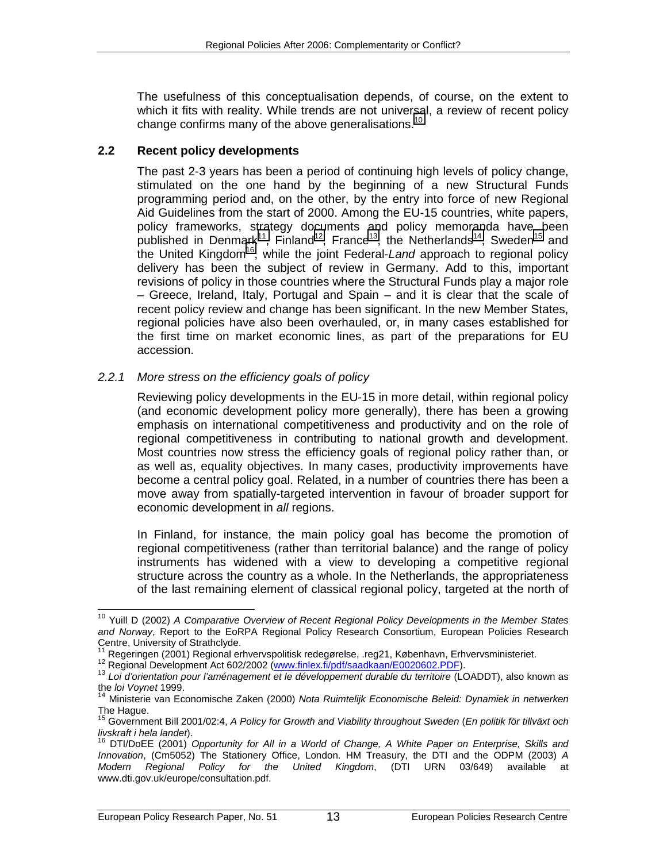<span id="page-20-0"></span>The usefulness of this conceptualisation depends, of course, on the extent to which it fits with reality. While trends are not universal, a review of recent policy change confirms many of the above generalisations.<sup>10</sup>

### **2.2 Recent policy developments**

The past 2-3 years has been a period of continuing high levels of policy change, stimulated on the one hand by the beginning of a new Structural Funds programming period and, on the other, by the entry into force of new Regional Aid Guidelines from the start of 2000. Among the EU-15 countries, white papers, policy frameworks, strategy documents and policy memoranda have been published in Denmark<sup>11</sup>, Finland<sup>12</sup>, France<sup>13</sup>, the Netherlands<sup>14</sup>, Sweden<sup>15</sup> and the United Kingdom16, while the joint Federal-*Land* approach to regional policy delivery has been the subject of review in Germany. Add to this, important revisions of policy in those countries where the Structural Funds play a major role – Greece, Ireland, Italy, Portugal and Spain – and it is clear that the scale of recent policy review and change has been significant. In the new Member States, regional policies have also been overhauled, or, in many cases established for the first time on market economic lines, as part of the preparations for EU accession.

### *2.2.1 More stress on the efficiency goals of policy*

Reviewing policy developments in the EU-15 in more detail, within regional policy (and economic development policy more generally), there has been a growing emphasis on international competitiveness and productivity and on the role of regional competitiveness in contributing to national growth and development. Most countries now stress the efficiency goals of regional policy rather than, or as well as, equality objectives. In many cases, productivity improvements have become a central policy goal. Related, in a number of countries there has been a move away from spatially-targeted intervention in favour of broader support for economic development in *all* regions.

In Finland, for instance, the main policy goal has become the promotion of regional competitiveness (rather than territorial balance) and the range of policy instruments has widened with a view to developing a competitive regional structure across the country as a whole. In the Netherlands, the appropriateness of the last remaining element of classical regional policy, targeted at the north of

 $\overline{1}$ 10 Yuill D (2002) *A Comparative Overview of Recent Regional Policy Developments in the Member States and Norway*, Report to the EoRPA Regional Policy Research Consortium, European Policies Research Centre, University of Strathclyde.<br><sup>11</sup> Regeringen (2001) Regional erhvervspolitisk redegørelse, .reg21, København, Erhvervsministeriet.

<sup>12</sup> Regional Development Act 602/2002 (www.finlex.fi/pdf/saadkaan/E0020602.PDF).<br><sup>13</sup> Loi d'orientation pour l'aménagement et le développement durable du territoire (LOADDT), also known as<br>the loi Voynet 1999.

<sup>&</sup>lt;sup>14</sup> Ministerie van Economische Zaken (2000) *Nota Ruimtelijk Economische Beleid: Dynamiek in netwerken* The Hague.

<sup>15</sup> Government Bill 2001/02:4, *A Policy for Growth and Viability throughout Sweden* (*En politik för tillväxt och livskraft i hela landet*).<br><sup>16</sup> DTI/DoEE (2001) *Opportunity for All in a World of Change, A White Paper on Enterprise, Skills and* 

*Innovation*, (Cm5052) The Stationery Office, London. HM Treasury, the DTI and the ODPM (2003) *A Modern Regional Policy for the United Kingdom*, (DTI URN 03/649) available at www.dti.gov.uk/europe/consultation.pdf.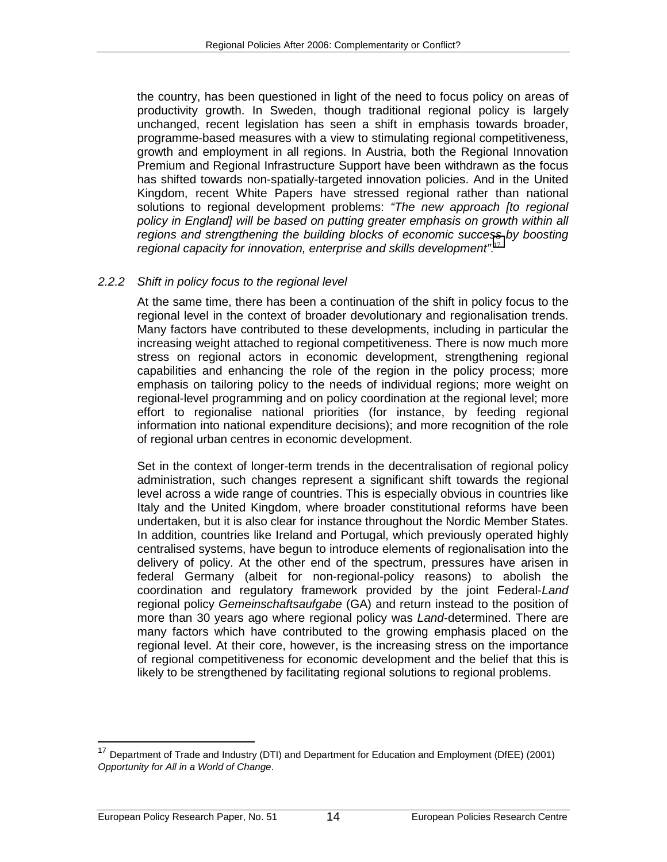the country, has been questioned in light of the need to focus policy on areas of productivity growth. In Sweden, though traditional regional policy is largely unchanged, recent legislation has seen a shift in emphasis towards broader, programme-based measures with a view to stimulating regional competitiveness, growth and employment in all regions. In Austria, both the Regional Innovation Premium and Regional Infrastructure Support have been withdrawn as the focus has shifted towards non-spatially-targeted innovation policies. And in the United Kingdom, recent White Papers have stressed regional rather than national solutions to regional development problems: *"The new approach [to regional*  policy in England] will be based on putting greater emphasis on growth within all *regions and strengthening the building blocks of economic success by boosting regional capacity for innovation, enterprise and skills development"*. 17

### *2.2.2 Shift in policy focus to the regional level*

At the same time, there has been a continuation of the shift in policy focus to the regional level in the context of broader devolutionary and regionalisation trends. Many factors have contributed to these developments, including in particular the increasing weight attached to regional competitiveness. There is now much more stress on regional actors in economic development, strengthening regional capabilities and enhancing the role of the region in the policy process; more emphasis on tailoring policy to the needs of individual regions; more weight on regional-level programming and on policy coordination at the regional level; more effort to regionalise national priorities (for instance, by feeding regional information into national expenditure decisions); and more recognition of the role of regional urban centres in economic development.

Set in the context of longer-term trends in the decentralisation of regional policy administration, such changes represent a significant shift towards the regional level across a wide range of countries. This is especially obvious in countries like Italy and the United Kingdom, where broader constitutional reforms have been undertaken, but it is also clear for instance throughout the Nordic Member States. In addition, countries like Ireland and Portugal, which previously operated highly centralised systems, have begun to introduce elements of regionalisation into the delivery of policy. At the other end of the spectrum, pressures have arisen in federal Germany (albeit for non-regional-policy reasons) to abolish the coordination and regulatory framework provided by the joint Federal-*Land* regional policy *Gemeinschaftsaufgabe* (GA) and return instead to the position of more than 30 years ago where regional policy was *Land*-determined. There are many factors which have contributed to the growing emphasis placed on the regional level. At their core, however, is the increasing stress on the importance of regional competitiveness for economic development and the belief that this is likely to be strengthened by facilitating regional solutions to regional problems.

-

<sup>&</sup>lt;sup>17</sup> Department of Trade and Industry (DTI) and Department for Education and Employment (DfEE) (2001) *Opportunity for All in a World of Change*.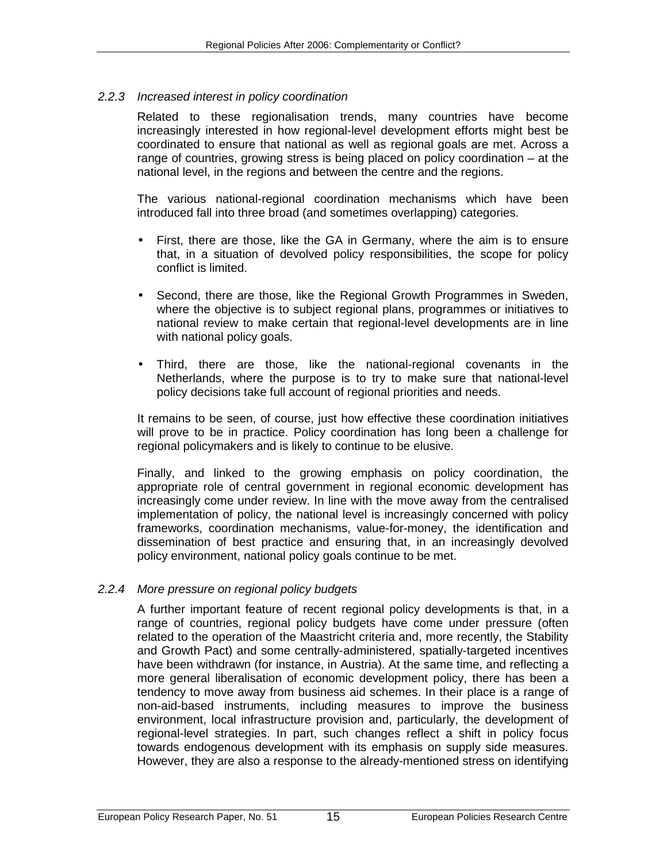### *2.2.3 Increased interest in policy coordination*

Related to these regionalisation trends, many countries have become increasingly interested in how regional-level development efforts might best be coordinated to ensure that national as well as regional goals are met. Across a range of countries, growing stress is being placed on policy coordination – at the national level, in the regions and between the centre and the regions.

The various national-regional coordination mechanisms which have been introduced fall into three broad (and sometimes overlapping) categories.

- First, there are those, like the GA in Germany, where the aim is to ensure that, in a situation of devolved policy responsibilities, the scope for policy conflict is limited.
- Second, there are those, like the Regional Growth Programmes in Sweden, where the objective is to subject regional plans, programmes or initiatives to national review to make certain that regional-level developments are in line with national policy goals.
- Third, there are those, like the national-regional covenants in the Netherlands, where the purpose is to try to make sure that national-level policy decisions take full account of regional priorities and needs.

It remains to be seen, of course, just how effective these coordination initiatives will prove to be in practice. Policy coordination has long been a challenge for regional policymakers and is likely to continue to be elusive.

Finally, and linked to the growing emphasis on policy coordination, the appropriate role of central government in regional economic development has increasingly come under review. In line with the move away from the centralised implementation of policy, the national level is increasingly concerned with policy frameworks, coordination mechanisms, value-for-money, the identification and dissemination of best practice and ensuring that, in an increasingly devolved policy environment, national policy goals continue to be met.

#### *2.2.4 More pressure on regional policy budgets*

A further important feature of recent regional policy developments is that, in a range of countries, regional policy budgets have come under pressure (often related to the operation of the Maastricht criteria and, more recently, the Stability and Growth Pact) and some centrally-administered, spatially-targeted incentives have been withdrawn (for instance, in Austria). At the same time, and reflecting a more general liberalisation of economic development policy, there has been a tendency to move away from business aid schemes. In their place is a range of non-aid-based instruments, including measures to improve the business environment, local infrastructure provision and, particularly, the development of regional-level strategies. In part, such changes reflect a shift in policy focus towards endogenous development with its emphasis on supply side measures. However, they are also a response to the already-mentioned stress on identifying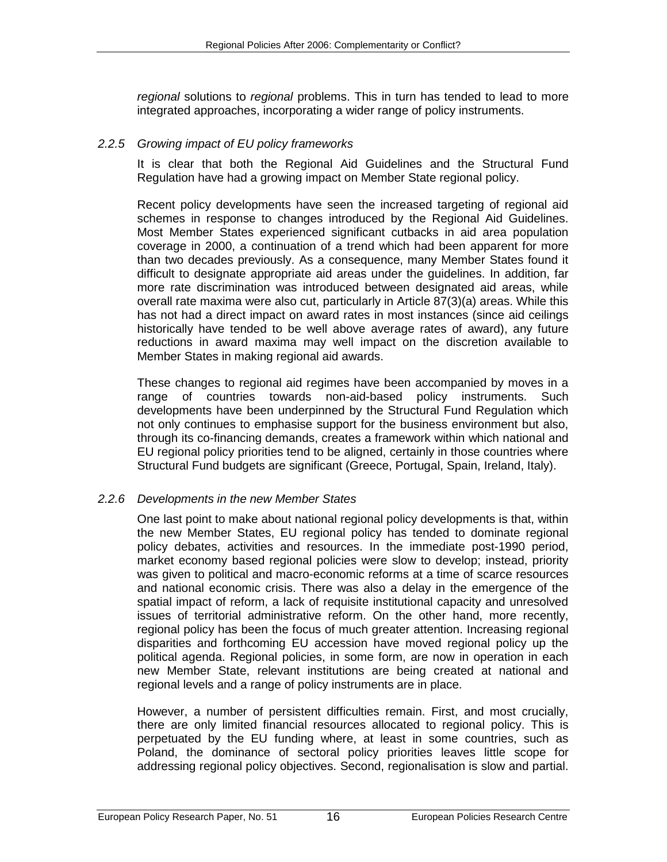*regional* solutions to *regional* problems. This in turn has tended to lead to more integrated approaches, incorporating a wider range of policy instruments.

### *2.2.5 Growing impact of EU policy frameworks*

It is clear that both the Regional Aid Guidelines and the Structural Fund Regulation have had a growing impact on Member State regional policy.

Recent policy developments have seen the increased targeting of regional aid schemes in response to changes introduced by the Regional Aid Guidelines. Most Member States experienced significant cutbacks in aid area population coverage in 2000, a continuation of a trend which had been apparent for more than two decades previously. As a consequence, many Member States found it difficult to designate appropriate aid areas under the guidelines. In addition, far more rate discrimination was introduced between designated aid areas, while overall rate maxima were also cut, particularly in Article 87(3)(a) areas. While this has not had a direct impact on award rates in most instances (since aid ceilings historically have tended to be well above average rates of award), any future reductions in award maxima may well impact on the discretion available to Member States in making regional aid awards.

These changes to regional aid regimes have been accompanied by moves in a range of countries towards non-aid-based policy instruments. Such developments have been underpinned by the Structural Fund Regulation which not only continues to emphasise support for the business environment but also, through its co-financing demands, creates a framework within which national and EU regional policy priorities tend to be aligned, certainly in those countries where Structural Fund budgets are significant (Greece, Portugal, Spain, Ireland, Italy).

### *2.2.6 Developments in the new Member States*

One last point to make about national regional policy developments is that, within the new Member States, EU regional policy has tended to dominate regional policy debates, activities and resources. In the immediate post-1990 period, market economy based regional policies were slow to develop; instead, priority was given to political and macro-economic reforms at a time of scarce resources and national economic crisis. There was also a delay in the emergence of the spatial impact of reform, a lack of requisite institutional capacity and unresolved issues of territorial administrative reform. On the other hand, more recently, regional policy has been the focus of much greater attention. Increasing regional disparities and forthcoming EU accession have moved regional policy up the political agenda. Regional policies, in some form, are now in operation in each new Member State, relevant institutions are being created at national and regional levels and a range of policy instruments are in place.

However, a number of persistent difficulties remain. First, and most crucially, there are only limited financial resources allocated to regional policy. This is perpetuated by the EU funding where, at least in some countries, such as Poland, the dominance of sectoral policy priorities leaves little scope for addressing regional policy objectives. Second, regionalisation is slow and partial.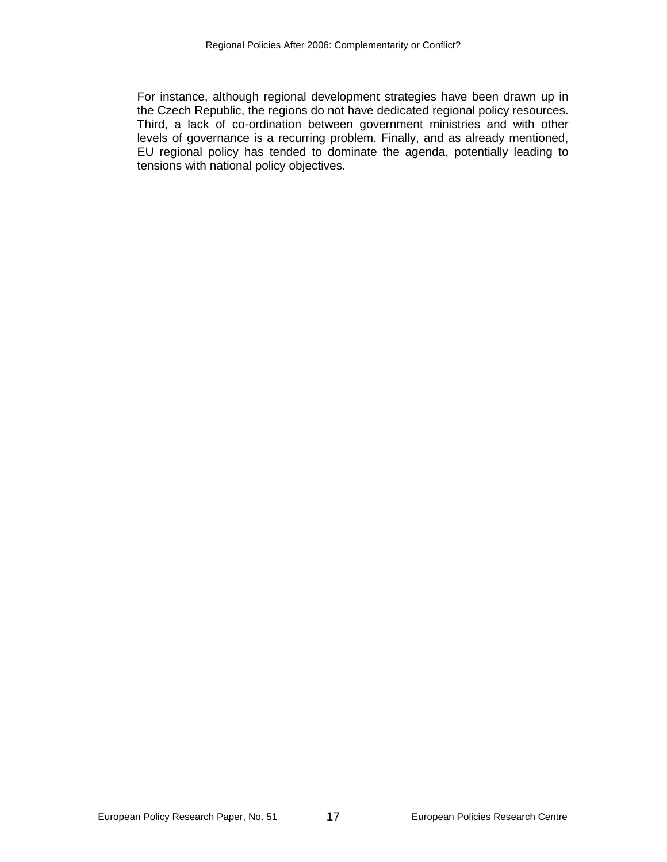For instance, although regional development strategies have been drawn up in the Czech Republic, the regions do not have dedicated regional policy resources. Third, a lack of co-ordination between government ministries and with other levels of governance is a recurring problem. Finally, and as already mentioned, EU regional policy has tended to dominate the agenda, potentially leading to tensions with national policy objectives.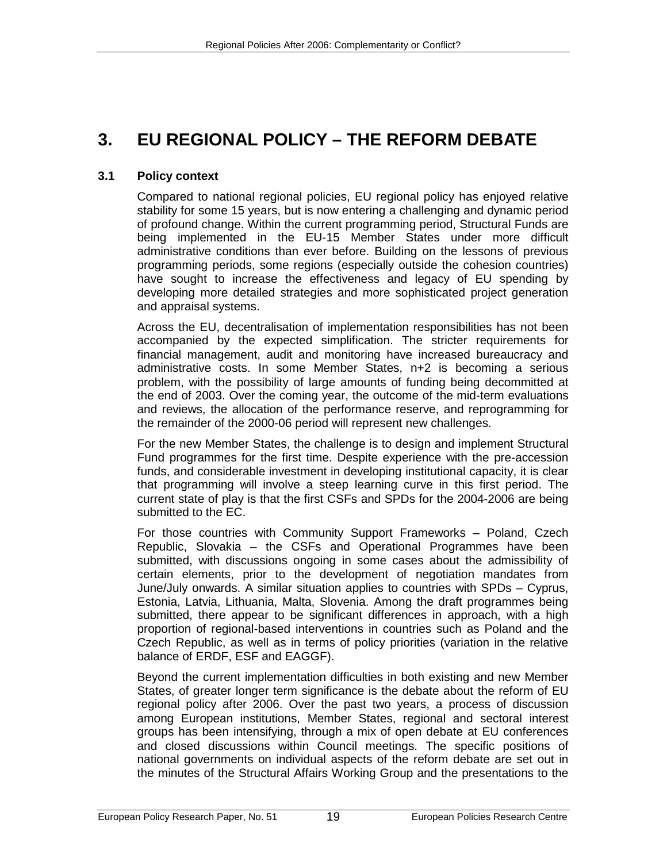# <span id="page-26-0"></span>**3. EU REGIONAL POLICY – THE REFORM DEBATE**

### **3.1 Policy context**

Compared to national regional policies, EU regional policy has enjoyed relative stability for some 15 years, but is now entering a challenging and dynamic period of profound change. Within the current programming period, Structural Funds are being implemented in the EU-15 Member States under more difficult administrative conditions than ever before. Building on the lessons of previous programming periods, some regions (especially outside the cohesion countries) have sought to increase the effectiveness and legacy of EU spending by developing more detailed strategies and more sophisticated project generation and appraisal systems.

Across the EU, decentralisation of implementation responsibilities has not been accompanied by the expected simplification. The stricter requirements for financial management, audit and monitoring have increased bureaucracy and administrative costs. In some Member States, n+2 is becoming a serious problem, with the possibility of large amounts of funding being decommitted at the end of 2003. Over the coming year, the outcome of the mid-term evaluations and reviews, the allocation of the performance reserve, and reprogramming for the remainder of the 2000-06 period will represent new challenges.

For the new Member States, the challenge is to design and implement Structural Fund programmes for the first time. Despite experience with the pre-accession funds, and considerable investment in developing institutional capacity, it is clear that programming will involve a steep learning curve in this first period. The current state of play is that the first CSFs and SPDs for the 2004-2006 are being submitted to the EC.

For those countries with Community Support Frameworks – Poland, Czech Republic, Slovakia – the CSFs and Operational Programmes have been submitted, with discussions ongoing in some cases about the admissibility of certain elements, prior to the development of negotiation mandates from June/July onwards. A similar situation applies to countries with SPDs – Cyprus, Estonia, Latvia, Lithuania, Malta, Slovenia. Among the draft programmes being submitted, there appear to be significant differences in approach, with a high proportion of regional-based interventions in countries such as Poland and the Czech Republic, as well as in terms of policy priorities (variation in the relative balance of ERDF, ESF and EAGGF).

Beyond the current implementation difficulties in both existing and new Member States, of greater longer term significance is the debate about the reform of EU regional policy after 2006. Over the past two years, a process of discussion among European institutions, Member States, regional and sectoral interest groups has been intensifying, through a mix of open debate at EU conferences and closed discussions within Council meetings. The specific positions of national governments on individual aspects of the reform debate are set out in the minutes of the Structural Affairs Working Group and the presentations to the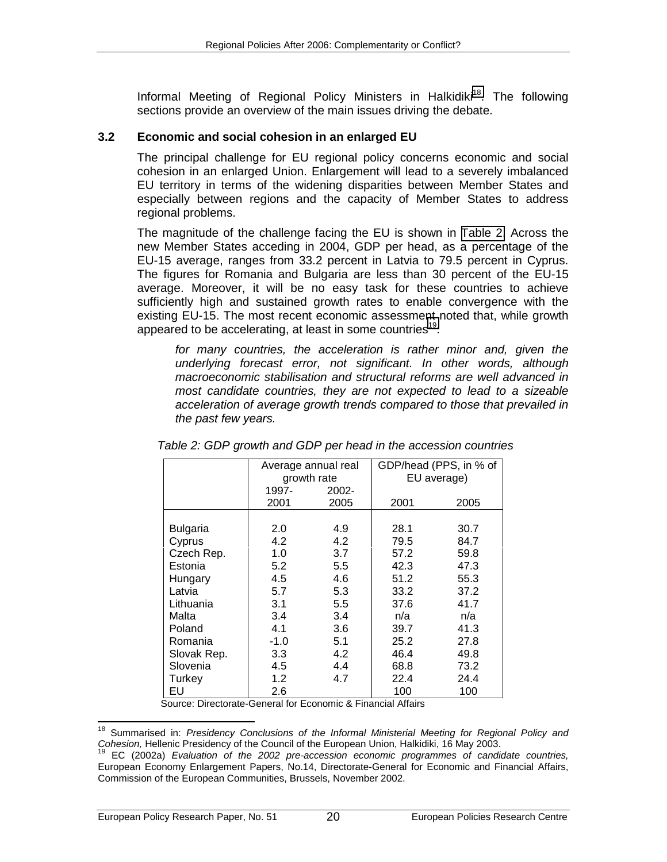Informal Meeting of Regional Policy Ministers in Halkidiki<sup>18</sup>. The following sections provide an overview of the main issues driving the debate.

### <span id="page-27-0"></span>**3.2 Economic and social cohesion in an enlarged EU**

The principal challenge for EU regional policy concerns economic and social cohesion in an enlarged Union. Enlargement will lead to a severely imbalanced EU territory in terms of the widening disparities between Member States and especially between regions and the capacity of Member States to address regional problems.

The magnitude of the challenge facing the EU is shown in Table 2. Across the new Member States acceding in 2004, GDP per head, as a percentage of the EU-15 average, ranges from 33.2 percent in Latvia to 79.5 percent in Cyprus. The figures for Romania and Bulgaria are less than 30 percent of the EU-15 average. Moreover, it will be no easy task for these countries to achieve sufficiently high and sustained growth rates to enable convergence with the existing EU-15. The most recent economic assessment noted that, while growth appeared to be accelerating, at least in some countries<sup>19</sup>:

*for many countries, the acceleration is rather minor and, given the underlying forecast error, not significant. In other words, although macroeconomic stabilisation and structural reforms are well advanced in most candidate countries, they are not expected to lead to a sizeable acceleration of average growth trends compared to those that prevailed in the past few years.* 

|                 | Average annual real |       | GDP/head (PPS, in % of |      |
|-----------------|---------------------|-------|------------------------|------|
|                 | growth rate         |       | EU average)            |      |
|                 | 1997-               | 2002- |                        |      |
|                 | 2001                | 2005  | 2001                   | 2005 |
|                 |                     |       |                        |      |
| <b>Bulgaria</b> | 2.0                 | 4.9   | 28.1                   | 30.7 |
| Cyprus          | 4.2                 | 4.2   | 79.5                   | 84.7 |
| Czech Rep.      | 1.0                 | 3.7   | 57.2                   | 59.8 |
| Estonia         | 5.2                 | 5.5   | 42.3                   | 47.3 |
| Hungary         | 4.5                 | 4.6   | 51.2                   | 55.3 |
| Latvia          | 5.7                 | 5.3   | 33.2                   | 37.2 |
| Lithuania       | 3.1                 | 5.5   | 37.6                   | 41.7 |
| Malta           | 3.4                 | 3.4   | n/a                    | n/a  |
| Poland          | 4.1                 | 3.6   | 39.7                   | 41.3 |
| Romania         | -1.0                | 5.1   | 25.2                   | 27.8 |
| Slovak Rep.     | 3.3                 | 4.2   | 46.4                   | 49.8 |
| Slovenia        | 4.5                 | 4.4   | 68.8                   | 73.2 |
| Turkey          | 1.2                 | 4.7   | 22.4                   | 24.4 |
| EU              | 2.6                 |       | 100                    | 100  |

#### *Table 2: GDP growth and GDP per head in the accession countries*

Source: Directorate-General for Economic & Financial Affairs

 18 Summarised in: *Presidency Conclusions of the Informal Ministerial Meeting for Regional Policy and Cohesion, Hellenic Presidency of the Council of the European Union, Halkidiki, 16 May 2003.*<br><sup>19</sup> EC (2002a) *Evaluation of the 2002 pre-accession economic programmes of candidate countries,* 

European Economy Enlargement Papers, No.14, Directorate-General for Economic and Financial Affairs, Commission of the European Communities, Brussels, November 2002.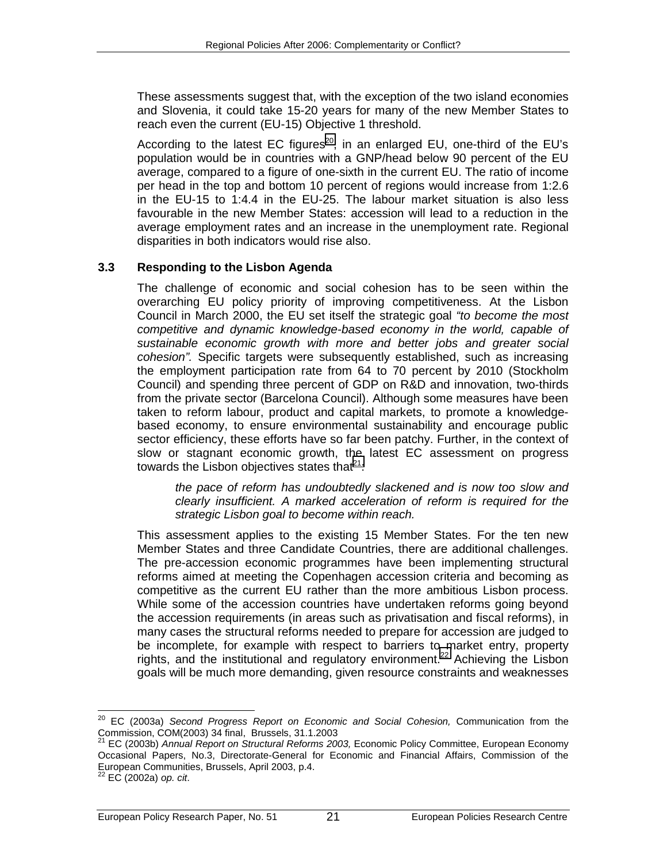<span id="page-28-0"></span>These assessments suggest that, with the exception of the two island economies and Slovenia, it could take 15-20 years for many of the new Member States to reach even the current (EU-15) Objective 1 threshold.

According to the latest EC figures<sup>20</sup>, in an enlarged EU, one-third of the EU's population would be in countries with a GNP/head below 90 percent of the EU average, compared to a figure of one-sixth in the current EU. The ratio of income per head in the top and bottom 10 percent of regions would increase from 1:2.6 in the EU-15 to 1:4.4 in the EU-25. The labour market situation is also less favourable in the new Member States: accession will lead to a reduction in the average employment rates and an increase in the unemployment rate. Regional disparities in both indicators would rise also.

#### **3.3 Responding to the Lisbon Agenda**

The challenge of economic and social cohesion has to be seen within the overarching EU policy priority of improving competitiveness. At the Lisbon Council in March 2000, the EU set itself the strategic goal *"to become the most competitive and dynamic knowledge-based economy in the world, capable of sustainable economic growth with more and better jobs and greater social cohesion".* Specific targets were subsequently established, such as increasing the employment participation rate from 64 to 70 percent by 2010 (Stockholm Council) and spending three percent of GDP on R&D and innovation, two-thirds from the private sector (Barcelona Council). Although some measures have been taken to reform labour, product and capital markets, to promote a knowledgebased economy, to ensure environmental sustainability and encourage public sector efficiency, these efforts have so far been patchy. Further, in the context of slow or stagnant economic growth, the latest EC assessment on progress towards the Lisbon objectives states that $21$ :

*the pace of reform has undoubtedly slackened and is now too slow and clearly insufficient. A marked acceleration of reform is required for the strategic Lisbon goal to become within reach.* 

This assessment applies to the existing 15 Member States. For the ten new Member States and three Candidate Countries, there are additional challenges. The pre-accession economic programmes have been implementing structural reforms aimed at meeting the Copenhagen accession criteria and becoming as competitive as the current EU rather than the more ambitious Lisbon process. While some of the accession countries have undertaken reforms going beyond the accession requirements (in areas such as privatisation and fiscal reforms), in many cases the structural reforms needed to prepare for accession are judged to be incomplete, for example with respect to barriers to market entry, property rights, and the institutional and regulatory environment.<sup>22</sup> Achieving the Lisbon goals will be much more demanding, given resource constraints and weaknesses

<sup>20</sup> 20 EC (2003a) *Second Progress Report on Economic and Social Cohesion,* Communication from the Commission, COM(2003) 34 final, Brussels, 31.1.2003

<sup>21</sup> EC (2003b) *Annual Report on Structural Reforms 2003,* Economic Policy Committee, European Economy Occasional Papers, No.3, Directorate-General for Economic and Financial Affairs, Commission of the European Communities, Brussels, April 2003, p.4.

<sup>22</sup> EC (2002a) *op. cit*.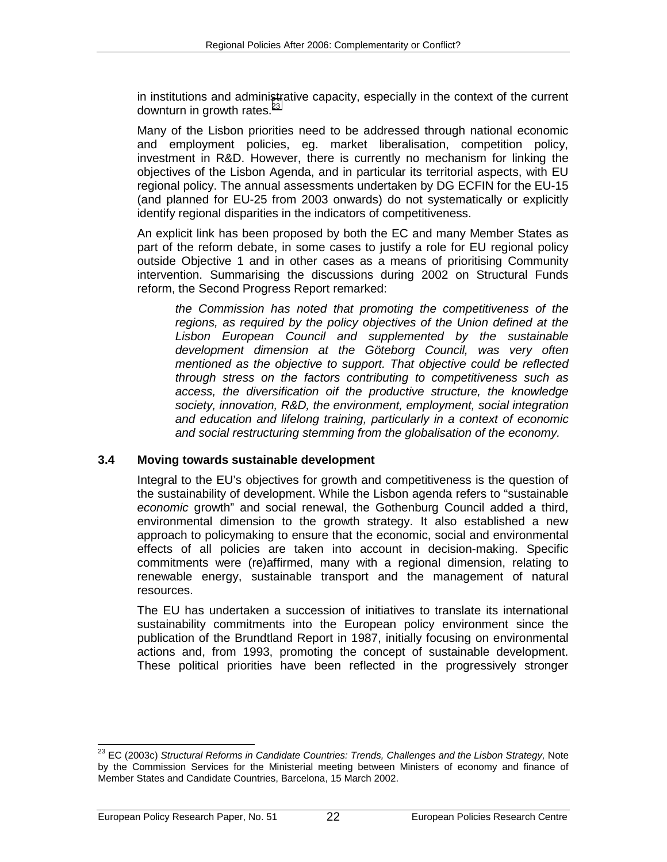<span id="page-29-0"></span>in institutions and administrative capacity, especially in the context of the current downturn in growth rates. $23$ 

Many of the Lisbon priorities need to be addressed through national economic and employment policies, eg. market liberalisation, competition policy, investment in R&D. However, there is currently no mechanism for linking the objectives of the Lisbon Agenda, and in particular its territorial aspects, with EU regional policy. The annual assessments undertaken by DG ECFIN for the EU-15 (and planned for EU-25 from 2003 onwards) do not systematically or explicitly identify regional disparities in the indicators of competitiveness.

An explicit link has been proposed by both the EC and many Member States as part of the reform debate, in some cases to justify a role for EU regional policy outside Objective 1 and in other cases as a means of prioritising Community intervention. Summarising the discussions during 2002 on Structural Funds reform, the Second Progress Report remarked:

*the Commission has noted that promoting the competitiveness of the regions, as required by the policy objectives of the Union defined at the Lisbon European Council and supplemented by the sustainable development dimension at the Göteborg Council, was very often mentioned as the objective to support. That objective could be reflected through stress on the factors contributing to competitiveness such as access, the diversification oif the productive structure, the knowledge society, innovation, R&D, the environment, employment, social integration and education and lifelong training, particularly in a context of economic and social restructuring stemming from the globalisation of the economy.* 

#### **3.4 Moving towards sustainable development**

Integral to the EU's objectives for growth and competitiveness is the question of the sustainability of development. While the Lisbon agenda refers to "sustainable *economic* growth" and social renewal, the Gothenburg Council added a third, environmental dimension to the growth strategy. It also established a new approach to policymaking to ensure that the economic, social and environmental effects of all policies are taken into account in decision-making. Specific commitments were (re)affirmed, many with a regional dimension, relating to renewable energy, sustainable transport and the management of natural resources.

The EU has undertaken a succession of initiatives to translate its international sustainability commitments into the European policy environment since the publication of the Brundtland Report in 1987, initially focusing on environmental actions and, from 1993, promoting the concept of sustainable development. These political priorities have been reflected in the progressively stronger

 $\overline{\phantom{a}}$ 

<sup>23</sup> EC (2003c) *Structural Reforms in Candidate Countries: Trends, Challenges and the Lisbon Strategy,* Note by the Commission Services for the Ministerial meeting between Ministers of economy and finance of Member States and Candidate Countries, Barcelona, 15 March 2002.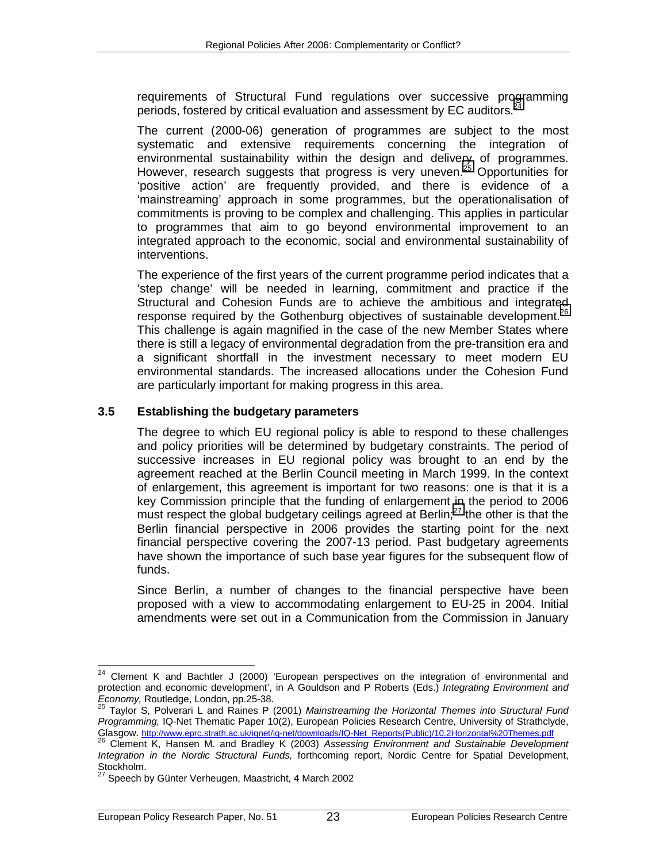<span id="page-30-0"></span>requirements of Structural Fund regulations over successive programming periods, fostered by critical evaluation and assessment by EC auditors.<sup>24</sup>

The current (2000-06) generation of programmes are subject to the most systematic and extensive requirements concerning the integration of environmental sustainability within the design and delivery of programmes. However, research suggests that progress is very uneven.<sup>25</sup> Opportunities for 'positive action' are frequently provided, and there is evidence of a 'mainstreaming' approach in some programmes, but the operationalisation of commitments is proving to be complex and challenging. This applies in particular to programmes that aim to go beyond environmental improvement to an integrated approach to the economic, social and environmental sustainability of interventions.

The experience of the first years of the current programme period indicates that a 'step change' will be needed in learning, commitment and practice if the Structural and Cohesion Funds are to achieve the ambitious and integrated response required by the Gothenburg objectives of sustainable development.<sup>26</sup> This challenge is again magnified in the case of the new Member States where there is still a legacy of environmental degradation from the pre-transition era and a significant shortfall in the investment necessary to meet modern EU environmental standards. The increased allocations under the Cohesion Fund are particularly important for making progress in this area.

### **3.5 Establishing the budgetary parameters**

The degree to which EU regional policy is able to respond to these challenges and policy priorities will be determined by budgetary constraints. The period of successive increases in EU regional policy was brought to an end by the agreement reached at the Berlin Council meeting in March 1999. In the context of enlargement, this agreement is important for two reasons: one is that it is a key Commission principle that the funding of enlargement in the period to 2006 must respect the global budgetary ceilings agreed at Berlin; $^{27}$  the other is that the Berlin financial perspective in 2006 provides the starting point for the next financial perspective covering the 2007-13 period. Past budgetary agreements have shown the importance of such base year figures for the subsequent flow of funds.

Since Berlin, a number of changes to the financial perspective have been proposed with a view to accommodating enlargement to EU-25 in 2004. Initial amendments were set out in a Communication from the Commission in January

<sup>24</sup> Clement K and Bachtler J (2000) 'European perspectives on the integration of environmental and protection and economic development', in A Gouldson and P Roberts (Eds.) *Integrating Environment and Economy*, Routledge, London, pp.25-38.<br><sup>25</sup> Toyler S. Relycers Land Reiser B (2004) *Mainter and and the series of the s* 

Tavlor S. Polverari L and Raines P (2001) *Mainstreaming the Horizontal Themes into Structural Fund Programming,* IQ-Net Thematic Paper 10(2), European Policies Research Centre, University of Strathclyde,

Glasgow. http://www.eprc.strath.ac.uk/iqnet/iq-net/downloads/IQ-Net\_Reports(Public)/10.2Horizontal%20Themes.pdf<br><sup>26</sup> Clement K, Hansen M. and Bradley K (2003) *Assessing Environment and Sustainable Development Integration in the Nordic Structural Funds,* forthcoming report, Nordic Centre for Spatial Development, Stockholm.

<sup>27</sup> Speech by Günter Verheugen, Maastricht, 4 March 2002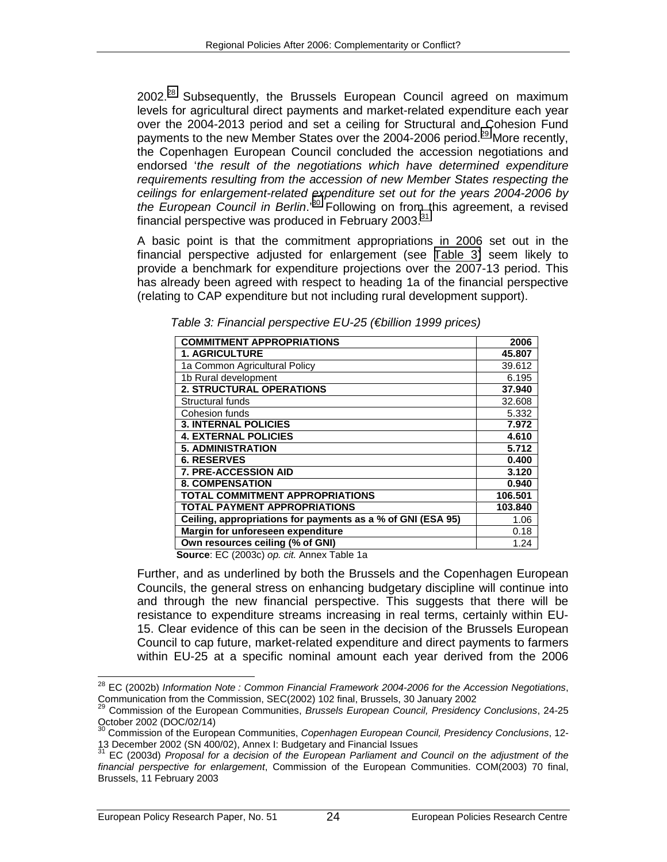<span id="page-31-0"></span>2002.<sup>28</sup> Subsequently, the Brussels European Council agreed on maximum levels for agricultural direct payments and market-related expenditure each year over the 2004-2013 period and set a ceiling for Structural and Cohesion Fund payments to the new Member States over the 2004-2006 period.<sup>29</sup> More recently, the Copenhagen European Council concluded the accession negotiations and endorsed '*the result of the negotiations which have determined expenditure requirements resulting from the accession of new Member States respecting the ceilings for enlargement-related expenditure set out for the years 2004-2006 by the European Council in Berlin*.'30 Following on from this agreement, a revised financial perspective was produced in February 2003. $31$ 

A basic point is that the commitment appropriations in 2006 set out in the financial perspective adjusted for enlargement (see Table 3) seem likely to provide a benchmark for expenditure projections over the 2007-13 period. This has already been agreed with respect to heading 1a of the financial perspective (relating to CAP expenditure but not including rural development support).

| <b>COMMITMENT APPROPRIATIONS</b>                            | 2006    |
|-------------------------------------------------------------|---------|
| <b>1. AGRICULTURE</b>                                       | 45.807  |
| 1a Common Agricultural Policy                               | 39.612  |
| 1b Rural development                                        | 6.195   |
| <b>2. STRUCTURAL OPERATIONS</b>                             | 37.940  |
| Structural funds                                            | 32.608  |
| Cohesion funds                                              | 5.332   |
| <b>3. INTERNAL POLICIES</b>                                 | 7.972   |
| <b>4. EXTERNAL POLICIES</b>                                 | 4.610   |
| <b>5. ADMINISTRATION</b>                                    | 5.712   |
| <b>6. RESERVES</b>                                          | 0.400   |
| <b>7. PRE-ACCESSION AID</b>                                 | 3.120   |
| <b>8. COMPENSATION</b>                                      | 0.940   |
| TOTAL COMMITMENT APPROPRIATIONS                             | 106.501 |
| <b>TOTAL PAYMENT APPROPRIATIONS</b>                         | 103.840 |
| Ceiling, appropriations for payments as a % of GNI (ESA 95) | 1.06    |
| Margin for unforeseen expenditure                           | 0.18    |
| Own resources ceiling (% of GNI)                            | 1.24    |

 *Table 3: Financial perspective EU-25 (€billion 1999 prices)* 

**Source**: EC (2003c) *op. cit.* Annex Table 1a

Further, and as underlined by both the Brussels and the Copenhagen European Councils, the general stress on enhancing budgetary discipline will continue into and through the new financial perspective. This suggests that there will be resistance to expenditure streams increasing in real terms, certainly within EU-15. Clear evidence of this can be seen in the decision of the Brussels European Council to cap future, market-related expenditure and direct payments to farmers within EU-25 at a specific nominal amount each year derived from the 2006

<sup>-</sup>28 EC (2002b) *Information Note : Common Financial Framework 2004-2006 for the Accession Negotiations*, Communication from the Commission, SEC(2002) 102 final, Brussels, 30 January 2002

<sup>29</sup> Commission of the European Communities, *Brussels European Council, Presidency Conclusions*, 24-25 October 2002 (DOC/02/14)

<sup>30</sup> Commission of the European Communities, *Copenhagen European Council, Presidency Conclusions*, 12- 13 December 2002 (SN 400/02), Annex I: Budgetary and Financial Issues

<sup>31</sup> EC (2003d) *Proposal for a decision of the European Parliament and Council on the adjustment of the financial perspective for enlargement*, Commission of the European Communities. COM(2003) 70 final, Brussels, 11 February 2003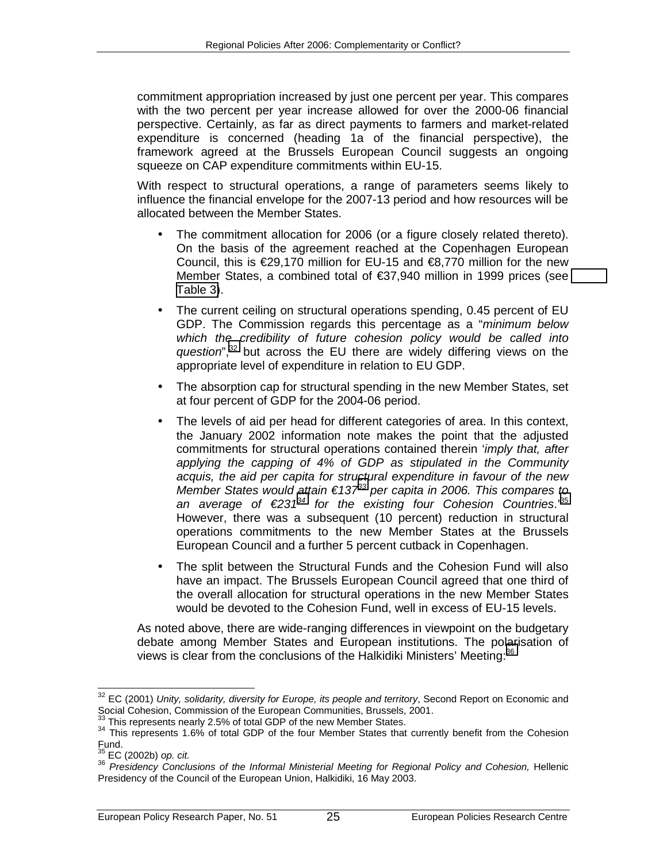commitment appropriation increased by just one percent per year. This compares with the two percent per year increase allowed for over the 2000-06 financial perspective. Certainly, as far as direct payments to farmers and market-related expenditure is concerned (heading 1a of the financial perspective), the framework agreed at the Brussels European Council suggests an ongoing squeeze on CAP expenditure commitments within EU-15.

With respect to structural operations, a range of parameters seems likely to influence the financial envelope for the 2007-13 period and how resources will be allocated between the Member States.

- The commitment allocation for 2006 (or a figure closely related thereto). On the basis of the agreement reached at the Copenhagen European Council, this is  $\epsilon$ 29,170 million for EU-15 and  $\epsilon$ 8,770 million for the new Member States, a combined total of €37,940 million in 1999 prices (see [Table 3\)](#page-31-0).
- The current ceiling on structural operations spending, 0.45 percent of EU GDP. The Commission regards this percentage as a "*minimum below which the credibility of future cohesion policy would be called into question*",32 but across the EU there are widely differing views on the appropriate level of expenditure in relation to EU GDP.
- The absorption cap for structural spending in the new Member States, set at four percent of GDP for the 2004-06 period.
- The levels of aid per head for different categories of area. In this context, the January 2002 information note makes the point that the adjusted commitments for structural operations contained therein '*imply that, after applying the capping of 4% of GDP as stipulated in the Community acquis, the aid per capita for structural expenditure in favour of the new Member States would attain €13733 per capita in 2006. This compares to an average of €23134 for the existing four Cohesion Countries*.'35 However, there was a subsequent (10 percent) reduction in structural operations commitments to the new Member States at the Brussels European Council and a further 5 percent cutback in Copenhagen.
- The split between the Structural Funds and the Cohesion Fund will also have an impact. The Brussels European Council agreed that one third of the overall allocation for structural operations in the new Member States would be devoted to the Cohesion Fund, well in excess of EU-15 levels.

As noted above, there are wide-ranging differences in viewpoint on the budgetary debate among Member States and European institutions. The polarisation of views is clear from the conclusions of the Halkidiki Ministers' Meeting:<sup>36</sup>

 $\overline{a}$ 

<sup>&</sup>lt;sup>32</sup> EC (2001) *Unity, solidarity, diversity for Europe, its people and territory*, Second Report on Economic and Social Cohesion, Commission of the European Communities, Brussels, 2001.

 $33$  This represents nearly 2.5% of total GDP of the new Member States.<br> $34$  This represents 1.6% of total GDP of the four Member States that currently benefit from the Cohesion Fund.<br><sup>35</sup> EC (2002b) op. cit.

<sup>35</sup> EC (2002b) *op. cit.* <sup>36</sup> *Presidency Conclusions of the Informal Ministerial Meeting for Regional Policy and Cohesion,* Hellenic Presidency of the Council of the European Union, Halkidiki, 16 May 2003.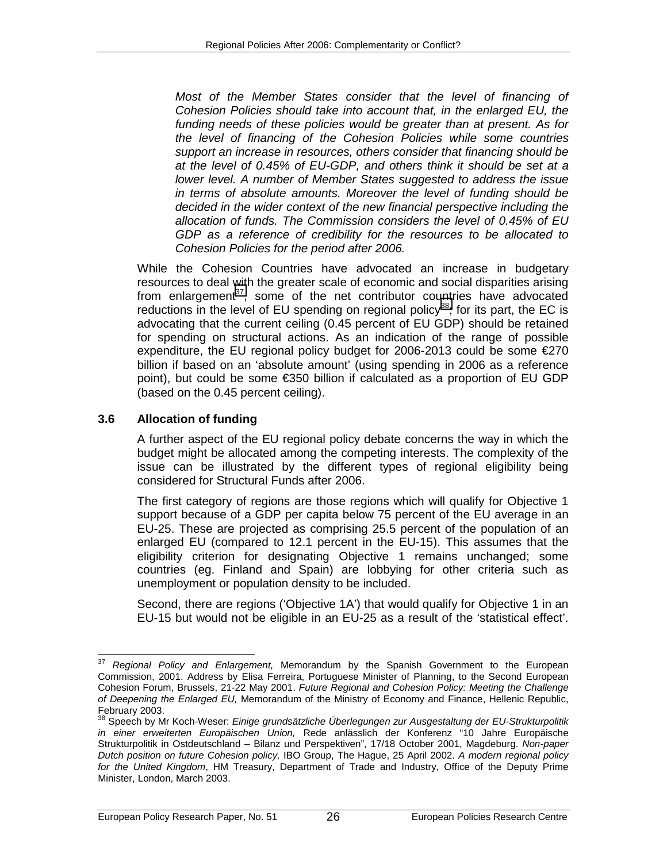<span id="page-33-0"></span>*Most of the Member States consider that the level of financing of Cohesion Policies should take into account that, in the enlarged EU, the funding needs of these policies would be greater than at present. As for the level of financing of the Cohesion Policies while some countries support an increase in resources, others consider that financing should be at the level of 0.45% of EU-GDP, and others think it should be set at a lower level. A number of Member States suggested to address the issue in terms of absolute amounts. Moreover the level of funding should be decided in the wider context of the new financial perspective including the allocation of funds. The Commission considers the level of 0.45% of EU GDP as a reference of credibility for the resources to be allocated to Cohesion Policies for the period after 2006.* 

While the Cohesion Countries have advocated an increase in budgetary resources to deal with the greater scale of economic and social disparities arising from enlargement $37$ , some of the net contributor countries have advocated reductions in the level of EU spending on regional policy<sup>38</sup>; for its part, the EC is advocating that the current ceiling (0.45 percent of EU GDP) should be retained for spending on structural actions. As an indication of the range of possible expenditure, the EU regional policy budget for 2006-2013 could be some €270 billion if based on an 'absolute amount' (using spending in 2006 as a reference point), but could be some €350 billion if calculated as a proportion of EU GDP (based on the 0.45 percent ceiling).

### **3.6 Allocation of funding**

A further aspect of the EU regional policy debate concerns the way in which the budget might be allocated among the competing interests. The complexity of the issue can be illustrated by the different types of regional eligibility being considered for Structural Funds after 2006.

The first category of regions are those regions which will qualify for Objective 1 support because of a GDP per capita below 75 percent of the EU average in an EU-25. These are projected as comprising 25.5 percent of the population of an enlarged EU (compared to 12.1 percent in the EU-15). This assumes that the eligibility criterion for designating Objective 1 remains unchanged; some countries (eg. Finland and Spain) are lobbying for other criteria such as unemployment or population density to be included.

Second, there are regions ('Objective 1A') that would qualify for Objective 1 in an EU-15 but would not be eligible in an EU-25 as a result of the 'statistical effect'.

<sup>37</sup> <sup>37</sup> *Regional Policy and Enlargement,* Memorandum by the Spanish Government to the European Commission, 2001. Address by Elisa Ferreira, Portuguese Minister of Planning, to the Second European Cohesion Forum, Brussels, 21-22 May 2001. *Future Regional and Cohesion Policy: Meeting the Challenge of Deepening the Enlarged EU,* Memorandum of the Ministry of Economy and Finance, Hellenic Republic,  $F$ ebruary 2003.

<sup>&</sup>lt;sup>38</sup> Speech by Mr Koch-Weser: *Einige grundsätzliche Überlegungen zur Ausgestaltung der EU-Strukturpolitik i in einer erweiterten Europäischen Union,* Rede anlässlich der Konferenz "10 Jahre Europäische Strukturpolitik in Ostdeutschland – Bilanz und Perspektiven", 17/18 October 2001, Magdeburg. *Non-paper Dutch position on future Cohesion policy,* IBO Group, The Hague, 25 April 2002. *A modern regional policy for the United Kingdom*, HM Treasury, Department of Trade and Industry, Office of the Deputy Prime Minister, London, March 2003.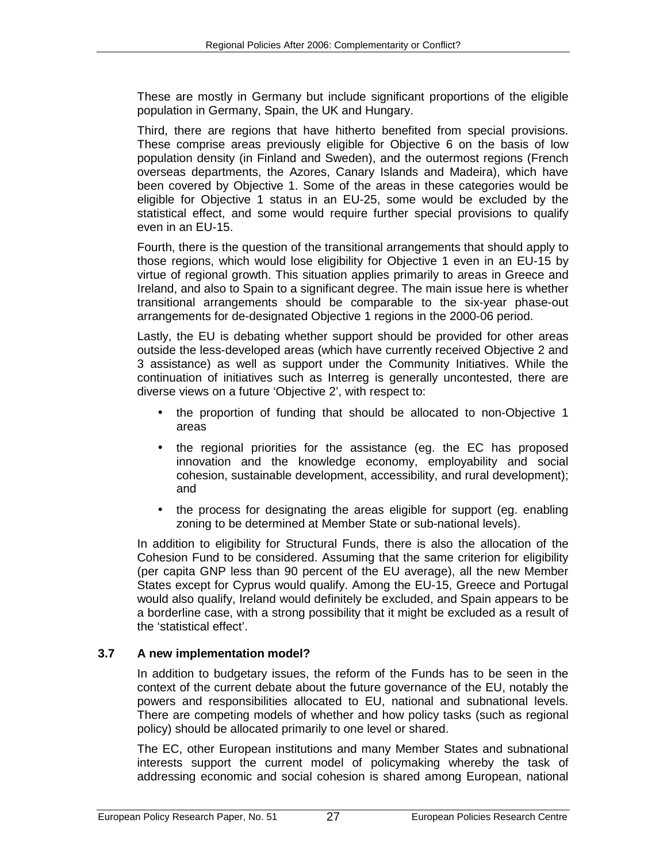<span id="page-34-0"></span>These are mostly in Germany but include significant proportions of the eligible population in Germany, Spain, the UK and Hungary.

Third, there are regions that have hitherto benefited from special provisions. These comprise areas previously eligible for Objective 6 on the basis of low population density (in Finland and Sweden), and the outermost regions (French overseas departments, the Azores, Canary Islands and Madeira), which have been covered by Objective 1. Some of the areas in these categories would be eligible for Objective 1 status in an EU-25, some would be excluded by the statistical effect, and some would require further special provisions to qualify even in an EU-15.

Fourth, there is the question of the transitional arrangements that should apply to those regions, which would lose eligibility for Objective 1 even in an EU-15 by virtue of regional growth. This situation applies primarily to areas in Greece and Ireland, and also to Spain to a significant degree. The main issue here is whether transitional arrangements should be comparable to the six-year phase-out arrangements for de-designated Objective 1 regions in the 2000-06 period.

Lastly, the EU is debating whether support should be provided for other areas outside the less-developed areas (which have currently received Objective 2 and 3 assistance) as well as support under the Community Initiatives. While the continuation of initiatives such as Interreg is generally uncontested, there are diverse views on a future 'Objective 2', with respect to:

- the proportion of funding that should be allocated to non-Objective 1 areas
- the regional priorities for the assistance (eg. the EC has proposed innovation and the knowledge economy, employability and social cohesion, sustainable development, accessibility, and rural development); and
- the process for designating the areas eligible for support (eg. enabling zoning to be determined at Member State or sub-national levels).

In addition to eligibility for Structural Funds, there is also the allocation of the Cohesion Fund to be considered. Assuming that the same criterion for eligibility (per capita GNP less than 90 percent of the EU average), all the new Member States except for Cyprus would qualify. Among the EU-15, Greece and Portugal would also qualify, Ireland would definitely be excluded, and Spain appears to be a borderline case, with a strong possibility that it might be excluded as a result of the 'statistical effect'.

### **3.7 A new implementation model?**

In addition to budgetary issues, the reform of the Funds has to be seen in the context of the current debate about the future governance of the EU, notably the powers and responsibilities allocated to EU, national and subnational levels. There are competing models of whether and how policy tasks (such as regional policy) should be allocated primarily to one level or shared.

The EC, other European institutions and many Member States and subnational interests support the current model of policymaking whereby the task of addressing economic and social cohesion is shared among European, national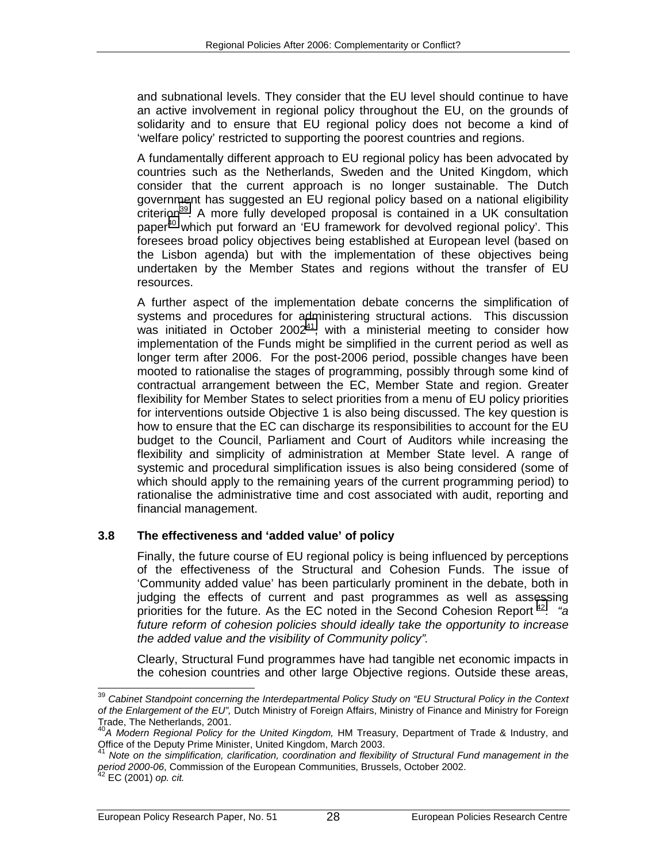<span id="page-35-0"></span>and subnational levels. They consider that the EU level should continue to have an active involvement in regional policy throughout the EU, on the grounds of solidarity and to ensure that EU regional policy does not become a kind of 'welfare policy' restricted to supporting the poorest countries and regions.

A fundamentally different approach to EU regional policy has been advocated by countries such as the Netherlands, Sweden and the United Kingdom, which consider that the current approach is no longer sustainable. The Dutch government has suggested an EU regional policy based on a national eligibility criterion<sup>39</sup>. A more fully developed proposal is contained in a UK consultation paper<sup>40</sup> which put forward an 'EU framework for devolved regional policy'. This foresees broad policy objectives being established at European level (based on the Lisbon agenda) but with the implementation of these objectives being undertaken by the Member States and regions without the transfer of EU resources.

A further aspect of the implementation debate concerns the simplification of systems and procedures for administering structural actions. This discussion was initiated in October 2002<sup>41</sup>, with a ministerial meeting to consider how implementation of the Funds might be simplified in the current period as well as longer term after 2006. For the post-2006 period, possible changes have been mooted to rationalise the stages of programming, possibly through some kind of contractual arrangement between the EC, Member State and region. Greater flexibility for Member States to select priorities from a menu of EU policy priorities for interventions outside Objective 1 is also being discussed. The key question is how to ensure that the EC can discharge its responsibilities to account for the EU budget to the Council, Parliament and Court of Auditors while increasing the flexibility and simplicity of administration at Member State level. A range of systemic and procedural simplification issues is also being considered (some of which should apply to the remaining years of the current programming period) to rationalise the administrative time and cost associated with audit, reporting and financial management.

### **3.8 The effectiveness and 'added value' of policy**

Finally, the future course of EU regional policy is being influenced by perceptions of the effectiveness of the Structural and Cohesion Funds. The issue of 'Community added value' has been particularly prominent in the debate, both in judging the effects of current and past programmes as well as assessing priorities for the future. As the EC noted in the Second Cohesion Report 42: *"a future reform of cohesion policies should ideally take the opportunity to increase the added value and the visibility of Community policy".*

Clearly, Structural Fund programmes have had tangible net economic impacts in the cohesion countries and other large Objective regions. Outside these areas,

 $\overline{a}$ 

<sup>&</sup>lt;sup>39</sup> Cabinet Standpoint concerning the Interdepartmental Policy Study on "EU Structural Policy in the Context *of the Enlargement of the EU",* Dutch Ministry of Foreign Affairs, Ministry of Finance and Ministry for Foreign Trade, The Netherlands, 2001.

<sup>40&</sup>lt;br>40*A Modern Regional Policy for the United Kingdom,* HM Treasury, Department of Trade & Industry, and Office of the Deputy Prime Minister, United Kingdom, March 2003.

<sup>41</sup> *Note on the simplification, clarification, coordination and flexibility of Structural Fund management in the period 2000-06*, Commission of the European Communities, Brussels, October 2002. 42 EC (2001) *op. cit.*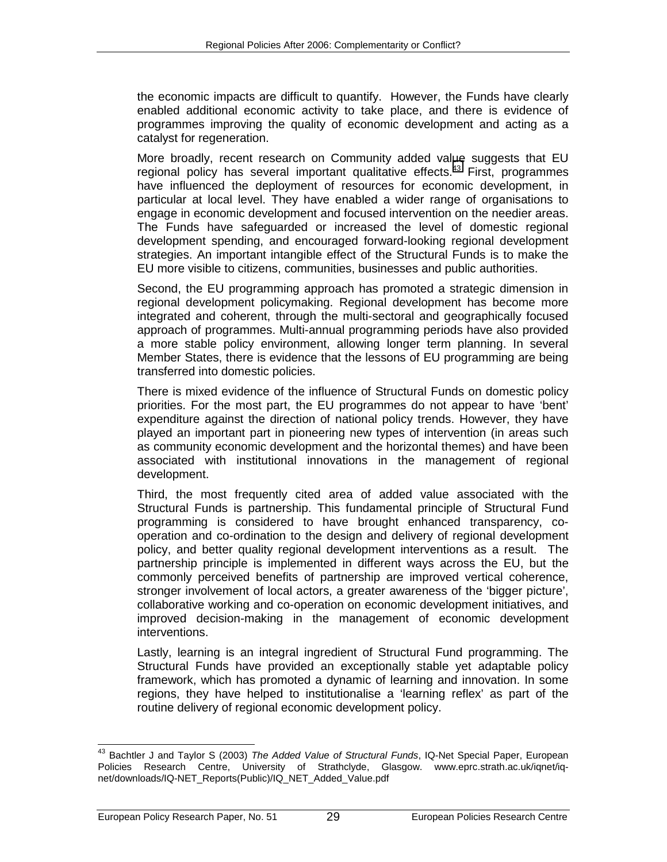the economic impacts are difficult to quantify. However, the Funds have clearly enabled additional economic activity to take place, and there is evidence of programmes improving the quality of economic development and acting as a catalyst for regeneration.

More broadly, recent research on Community added value suggests that EU regional policy has several important qualitative effects.<sup>43</sup> First, programmes have influenced the deployment of resources for economic development, in particular at local level. They have enabled a wider range of organisations to engage in economic development and focused intervention on the needier areas. The Funds have safeguarded or increased the level of domestic regional development spending, and encouraged forward-looking regional development strategies. An important intangible effect of the Structural Funds is to make the EU more visible to citizens, communities, businesses and public authorities.

Second, the EU programming approach has promoted a strategic dimension in regional development policymaking. Regional development has become more integrated and coherent, through the multi-sectoral and geographically focused approach of programmes. Multi-annual programming periods have also provided a more stable policy environment, allowing longer term planning. In several Member States, there is evidence that the lessons of EU programming are being transferred into domestic policies.

There is mixed evidence of the influence of Structural Funds on domestic policy priorities. For the most part, the EU programmes do not appear to have 'bent' expenditure against the direction of national policy trends. However, they have played an important part in pioneering new types of intervention (in areas such as community economic development and the horizontal themes) and have been associated with institutional innovations in the management of regional development.

Third, the most frequently cited area of added value associated with the Structural Funds is partnership. This fundamental principle of Structural Fund programming is considered to have brought enhanced transparency, cooperation and co-ordination to the design and delivery of regional development policy, and better quality regional development interventions as a result. The partnership principle is implemented in different ways across the EU, but the commonly perceived benefits of partnership are improved vertical coherence, stronger involvement of local actors, a greater awareness of the 'bigger picture', collaborative working and co-operation on economic development initiatives, and improved decision-making in the management of economic development interventions.

Lastly, learning is an integral ingredient of Structural Fund programming. The Structural Funds have provided an exceptionally stable yet adaptable policy framework, which has promoted a dynamic of learning and innovation. In some regions, they have helped to institutionalise a 'learning reflex' as part of the routine delivery of regional economic development policy.

 $\overline{a}$ 43 Bachtler J and Taylor S (2003) *The Added Value of Structural Funds*, IQ-Net Special Paper, European Policies Research Centre, University of Strathclyde, Glasgow. www.eprc.strath.ac.uk/iqnet/iqnet/downloads/IQ-NET\_Reports(Public)/IQ\_NET\_Added\_Value.pdf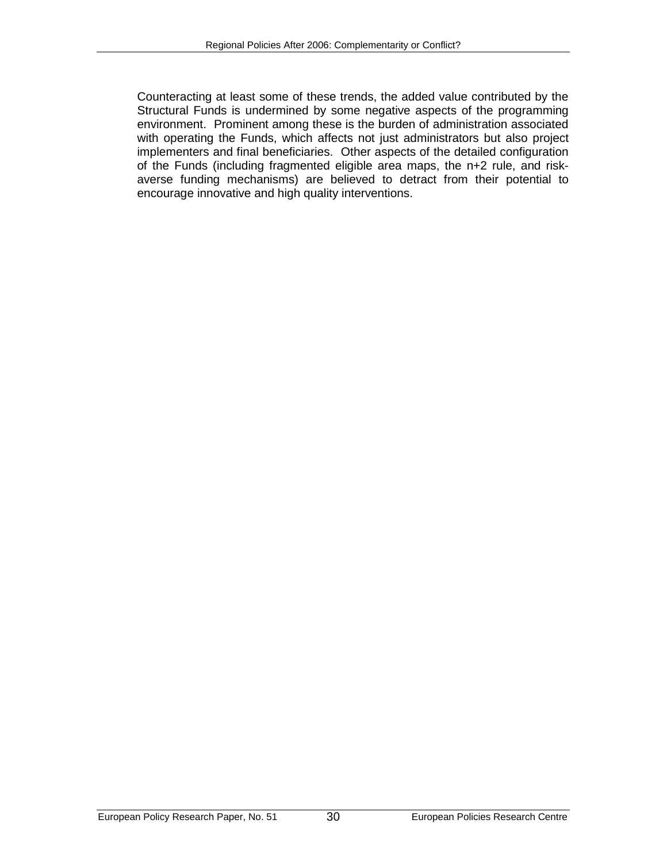Counteracting at least some of these trends, the added value contributed by the Structural Funds is undermined by some negative aspects of the programming environment. Prominent among these is the burden of administration associated with operating the Funds, which affects not just administrators but also project implementers and final beneficiaries. Other aspects of the detailed configuration of the Funds (including fragmented eligible area maps, the n+2 rule, and riskaverse funding mechanisms) are believed to detract from their potential to encourage innovative and high quality interventions.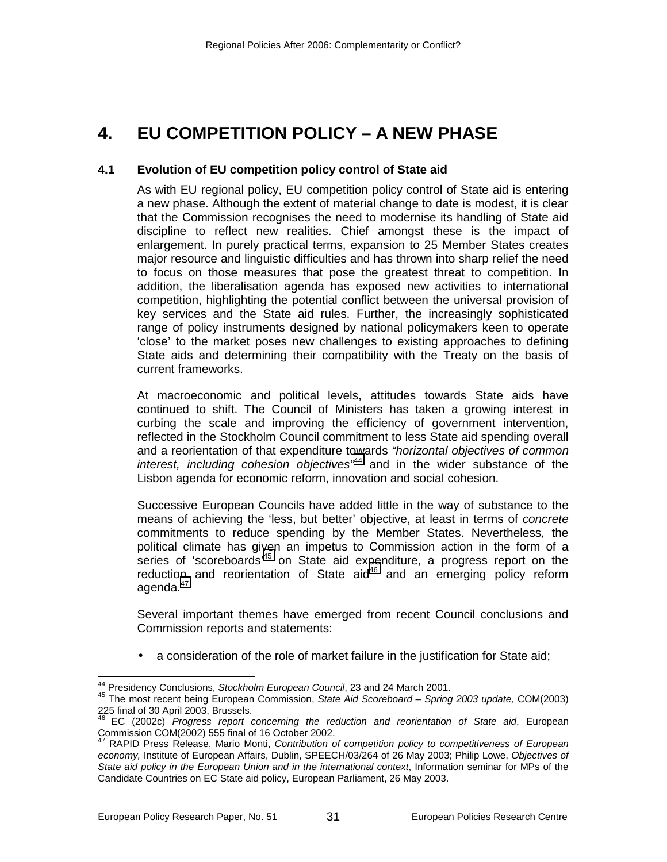## <span id="page-38-0"></span>**4. EU COMPETITION POLICY – A NEW PHASE**

### **4.1 Evolution of EU competition policy control of State aid**

As with EU regional policy, EU competition policy control of State aid is entering a new phase. Although the extent of material change to date is modest, it is clear that the Commission recognises the need to modernise its handling of State aid discipline to reflect new realities. Chief amongst these is the impact of enlargement. In purely practical terms, expansion to 25 Member States creates major resource and linguistic difficulties and has thrown into sharp relief the need to focus on those measures that pose the greatest threat to competition. In addition, the liberalisation agenda has exposed new activities to international competition, highlighting the potential conflict between the universal provision of key services and the State aid rules. Further, the increasingly sophisticated range of policy instruments designed by national policymakers keen to operate 'close' to the market poses new challenges to existing approaches to defining State aids and determining their compatibility with the Treaty on the basis of current frameworks.

At macroeconomic and political levels, attitudes towards State aids have continued to shift. The Council of Ministers has taken a growing interest in curbing the scale and improving the efficiency of government intervention, reflected in the Stockholm Council commitment to less State aid spending overall and a reorientation of that expenditure towards *"horizontal objectives of common interest, including cohesion objectives"*44 and in the wider substance of the Lisbon agenda for economic reform, innovation and social cohesion.

Successive European Councils have added little in the way of substance to the means of achieving the 'less, but better' objective, at least in terms of *concrete* commitments to reduce spending by the Member States. Nevertheless, the political climate has given an impetus to Commission action in the form of a series of 'scoreboards<sup>,45</sup> on State aid expenditure, a progress report on the reduction and reorientation of State aid<sup>46</sup> and an emerging policy reform agenda.<sup>47</sup>

Several important themes have emerged from recent Council conclusions and Commission reports and statements:

• a consideration of the role of market failure in the justification for State aid;

<sup>&</sup>lt;sup>44</sup> Presidency Conclusions, Stockholm European Council, 23 and 24 March 2001.

<sup>&</sup>lt;sup>45</sup> The most recent being European Commission, State Aid Scoreboard – Spring 2003 update, COM(2003) 225 final of 30 April 2003, Brussels.

<sup>46</sup> EC (2002c) *Progress report concerning the reduction and reorientation of State aid*, European Commission COM(2002) 555 final of 16 October 2002.

<sup>47</sup> RAPID Press Release, Mario Monti, *Contribution of competition policy to competitiveness of European economy,* Institute of European Affairs, Dublin, SPEECH/03/264 of 26 May 2003; Philip Lowe, *Objectives of State aid policy in the European Union and in the international context*, Information seminar for MPs of the Candidate Countries on EC State aid policy, European Parliament, 26 May 2003.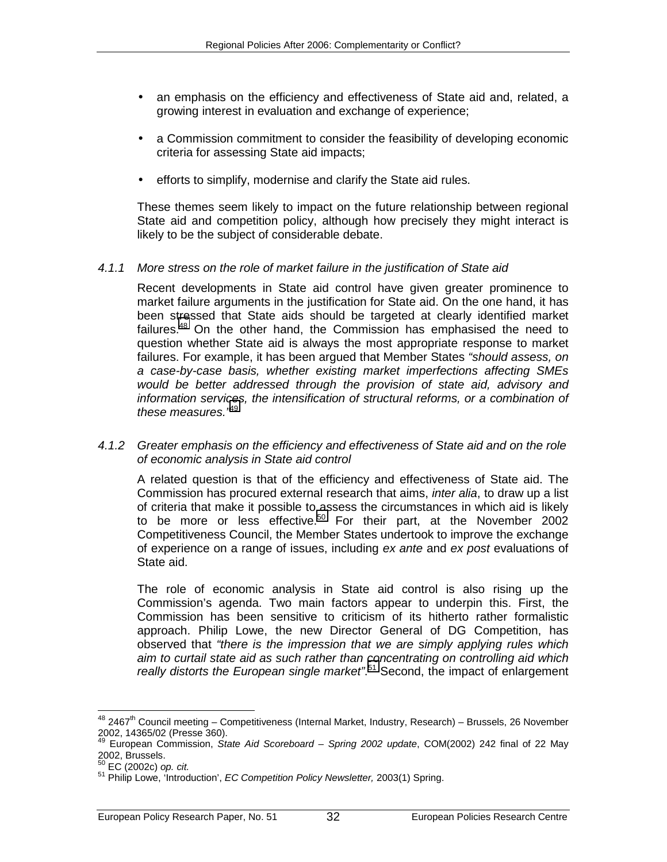- an emphasis on the efficiency and effectiveness of State aid and, related, a growing interest in evaluation and exchange of experience;
- a Commission commitment to consider the feasibility of developing economic criteria for assessing State aid impacts;
- efforts to simplify, modernise and clarify the State aid rules.

These themes seem likely to impact on the future relationship between regional State aid and competition policy, although how precisely they might interact is likely to be the subject of considerable debate.

### *4.1.1 More stress on the role of market failure in the justification of State aid*

Recent developments in State aid control have given greater prominence to market failure arguments in the justification for State aid. On the one hand, it has been stressed that State aids should be targeted at clearly identified market failures.<sup>48</sup> On the other hand, the Commission has emphasised the need to question whether State aid is always the most appropriate response to market failures. For example, it has been argued that Member States *"should assess, on a case-by-case basis, whether existing market imperfections affecting SMEs would be better addressed through the provision of state aid, advisory and information services, the intensification of structural reforms, or a combination of these measures."*<sup>49</sup>

#### *4.1.2 Greater emphasis on the efficiency and effectiveness of State aid and on the role of economic analysis in State aid control*

A related question is that of the efficiency and effectiveness of State aid. The Commission has procured external research that aims, *inter alia*, to draw up a list of criteria that make it possible to assess the circumstances in which aid is likely to be more or less effective.<sup>50</sup> For their part, at the November 2002 Competitiveness Council, the Member States undertook to improve the exchange of experience on a range of issues, including *ex ante* and *ex post* evaluations of State aid.

The role of economic analysis in State aid control is also rising up the Commission's agenda. Two main factors appear to underpin this. First, the Commission has been sensitive to criticism of its hitherto rather formalistic approach. Philip Lowe, the new Director General of DG Competition, has observed that *"there is the impression that we are simply applying rules which aim to curtail state aid as such rather than concentrating on controlling aid which*  really distorts the European single market".<sup>51</sup> Second, the impact of enlargement

<sup>-</sup> $48$  2467<sup>th</sup> Council meeting – Competitiveness (Internal Market, Industry, Research) – Brussels, 26 November 2002, 14365/02 (Presse 360).

<sup>49</sup> European Commission, *State Aid Scoreboard – Spring 2002 update*, COM(2002) 242 final of 22 May 2002, Brussels.<br><sup>50</sup> EC (2002c) op. cit.

<sup>50</sup> EC (2002c) *op. cit.* 51 Philip Lowe, 'Introduction', *EC Competition Policy Newsletter,* 2003(1) Spring.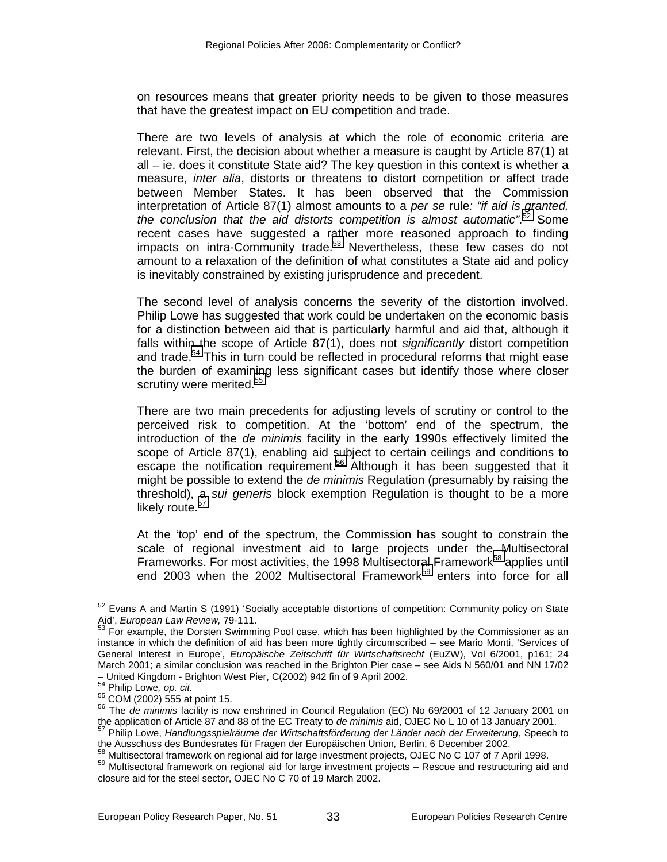on resources means that greater priority needs to be given to those measures that have the greatest impact on EU competition and trade.

There are two levels of analysis at which the role of economic criteria are relevant. First, the decision about whether a measure is caught by Article 87(1) at all – ie. does it constitute State aid? The key question in this context is whether a measure, *inter alia*, distorts or threatens to distort competition or affect trade between Member States. It has been observed that the Commission interpretation of Article 87(1) almost amounts to a *per se* rule*: "if aid is granted,*  the conclusion that the aid distorts competition is almost automatic<sup>",52</sup> Some recent cases have suggested a rather more reasoned approach to finding impacts on intra-Community trade.<sup>53</sup> Nevertheless, these few cases do not amount to a relaxation of the definition of what constitutes a State aid and policy is inevitably constrained by existing jurisprudence and precedent.

The second level of analysis concerns the severity of the distortion involved. Philip Lowe has suggested that work could be undertaken on the economic basis for a distinction between aid that is particularly harmful and aid that, although it falls within the scope of Article 87(1), does not *significantly* distort competition and trade.<sup>54</sup> This in turn could be reflected in procedural reforms that might ease the burden of examining less significant cases but identify those where closer scrutiny were merited.<sup>55</sup>

There are two main precedents for adjusting levels of scrutiny or control to the perceived risk to competition. At the 'bottom' end of the spectrum, the introduction of the *de minimis* facility in the early 1990s effectively limited the scope of Article 87(1), enabling aid subject to certain ceilings and conditions to escape the notification requirement.<sup>56</sup> Although it has been suggested that it might be possible to extend the *de minimis* Regulation (presumably by raising the threshold), a *sui generis* block exemption Regulation is thought to be a more likely route.<sup>57</sup>

At the 'top' end of the spectrum, the Commission has sought to constrain the scale of regional investment aid to large projects under the Multisectoral Frameworks. For most activities, the 1998 Multisectoral Framework<sup>58</sup> applies until end 2003 when the 2002 Multisectoral Framework<sup>59</sup> enters into force for all

<sup>-</sup> $52$  Evans A and Martin S (1991) 'Socially acceptable distortions of competition: Community policy on State Aid', *European Law Review, 79-111.*<br>
<sup>53</sup> For example, the Dorsten Swimming Pool case, which has been highlighted by the Commissioner as an <sup>53</sup>

instance in which the definition of aid has been more tightly circumscribed – see Mario Monti, 'Services of General Interest in Europe', *Europäische Zeitschrift für Wirtschaftsrecht* (EuZW), Vol 6/2001, p161; 24 March 2001; a similar conclusion was reached in the Brighton Pier case – see Aids N 560/01 and NN 17/02 – United Kingdom - Brighton West Pier, C(2002) 942 fin of 9 April 2002.<br><sup>54</sup> Philip Lowe, op. cit.

<sup>54</sup> Philip Lowe*, op. cit.* 55 COM (2002) 555 at point 15. 56 The *de minimis* facility is now enshrined in Council Regulation (EC) No 69/2001 of 12 January 2001 on the application of Article 87 and 88 of the EC Treaty to *de minimis* aid, OJEC No L 10 of 13 January 2001.<br><sup>57</sup> Philip Lowe, *Handlungsspielräume der Wirtschaftsförderung der Länder nach der Erweiterung*, Speech to<br>the Au

<sup>58</sup> Multisectoral framework on regional aid for large investment projects, OJEC No C 107 of 7 April 1998.<br>59 Multisectoral framework on regional aid for large investment projects – Rescue and restructuring aid and closure aid for the steel sector, OJEC No C 70 of 19 March 2002.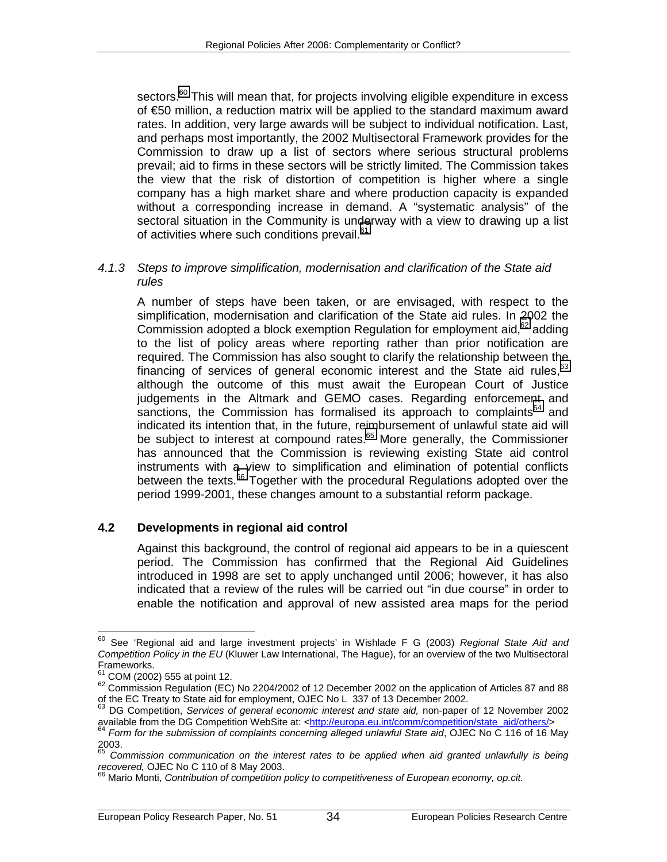<span id="page-41-0"></span>sectors.<sup>60</sup> This will mean that, for projects involving eligible expenditure in excess of €50 million, a reduction matrix will be applied to the standard maximum award rates. In addition, very large awards will be subject to individual notification. Last, and perhaps most importantly, the 2002 Multisectoral Framework provides for the Commission to draw up a list of sectors where serious structural problems prevail; aid to firms in these sectors will be strictly limited. The Commission takes the view that the risk of distortion of competition is higher where a single company has a high market share and where production capacity is expanded without a corresponding increase in demand. A "systematic analysis" of the sectoral situation in the Community is underway with a view to drawing up a list of activities where such conditions prevail.<sup>61</sup>

#### *4.1.3 Steps to improve simplification, modernisation and clarification of the State aid rules*

A number of steps have been taken, or are envisaged, with respect to the simplification, modernisation and clarification of the State aid rules. In 2002 the Commission adopted a block exemption Regulation for employment aid, $62$  adding to the list of policy areas where reporting rather than prior notification are required. The Commission has also sought to clarify the relationship between the financing of services of general economic interest and the State aid rules,  $63$ although the outcome of this must await the European Court of Justice judgements in the Altmark and GEMO cases. Regarding enforcement and sanctions, the Commission has formalised its approach to complaints<sup>64</sup> and indicated its intention that, in the future, reimbursement of unlawful state aid will be subject to interest at compound rates. $65$  More generally, the Commissioner has announced that the Commission is reviewing existing State aid control instruments with a view to simplification and elimination of potential conflicts between the texts.<sup>66</sup> Together with the procedural Regulations adopted over the period 1999-2001, these changes amount to a substantial reform package.

### **4.2 Developments in regional aid control**

Against this background, the control of regional aid appears to be in a quiescent period. The Commission has confirmed that the Regional Aid Guidelines introduced in 1998 are set to apply unchanged until 2006; however, it has also indicated that a review of the rules will be carried out "in due course" in order to enable the notification and approval of new assisted area maps for the period

 $\overline{a}$ 60 See 'Regional aid and large investment projects' in Wishlade F G (2003) *Regional State Aid and Competition Policy in the EU* (Kluwer Law International, The Hague), for an overview of the two Multisectoral Frameworks.<br> $61$  COM (2002) 555 at point 12.

<sup>62</sup> Commission Regulation (EC) No 2204/2002 of 12 December 2002 on the application of Articles 87 and 88 of the EC Treaty to State aid for employment, OJEC No L 337 of 13 December 2002.

<sup>63</sup> DG Competition, *Services of general economic interest and state aid,* non-paper of 12 November 2002 available from the DG Competition WebSite at: <http://europa.eu.int/comm/competition/state\_aid/others/>
<sup>64</sup> *Form for the submission of complaints concerning alleged unlawful State aid*, OJEC No C 116 of 16 May

 $^{2003.}_{65}$ 

<sup>&</sup>lt;sup>65</sup> Commission communication on the interest rates to be applied when aid granted unlawfully is being recovered, OJEC No C 110 of 8 May 2003.<br><sup>66</sup> Maria Marti, Cartributies of the way 2003.

*Mario Monti, Contribution of competition policy to competitiveness of European economy, op.cit.*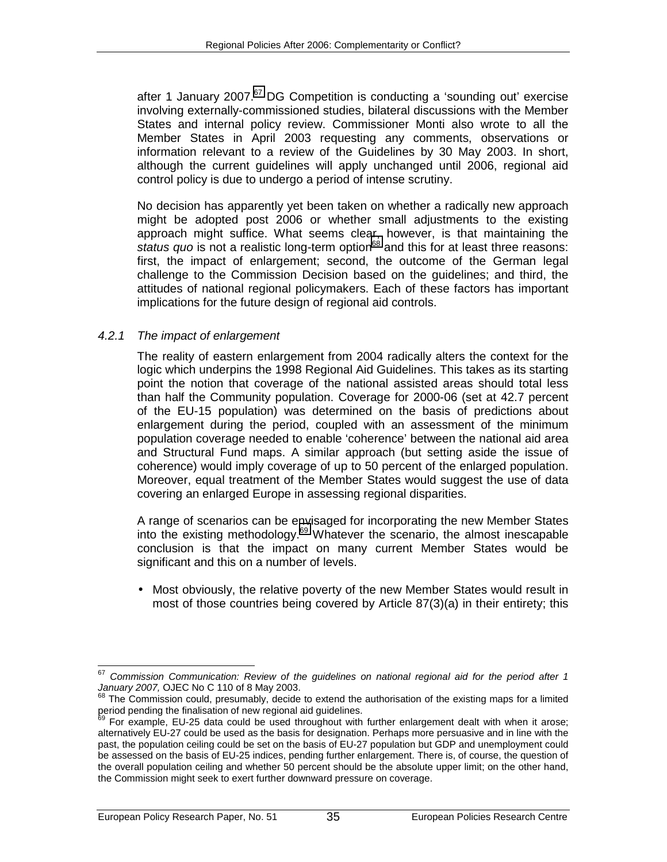after 1 January 2007. $^{67}$  DG Competition is conducting a 'sounding out' exercise involving externally-commissioned studies, bilateral discussions with the Member States and internal policy review. Commissioner Monti also wrote to all the Member States in April 2003 requesting any comments, observations or information relevant to a review of the Guidelines by 30 May 2003. In short, although the current guidelines will apply unchanged until 2006, regional aid control policy is due to undergo a period of intense scrutiny.

No decision has apparently yet been taken on whether a radically new approach might be adopted post 2006 or whether small adjustments to the existing approach might suffice. What seems clear, however, is that maintaining the status quo is not a realistic long-term option<sup>68</sup> and this for at least three reasons: first, the impact of enlargement; second, the outcome of the German legal challenge to the Commission Decision based on the guidelines; and third, the attitudes of national regional policymakers. Each of these factors has important implications for the future design of regional aid controls.

### *4.2.1 The impact of enlargement*

The reality of eastern enlargement from 2004 radically alters the context for the logic which underpins the 1998 Regional Aid Guidelines. This takes as its starting point the notion that coverage of the national assisted areas should total less than half the Community population. Coverage for 2000-06 (set at 42.7 percent of the EU-15 population) was determined on the basis of predictions about enlargement during the period, coupled with an assessment of the minimum population coverage needed to enable 'coherence' between the national aid area and Structural Fund maps. A similar approach (but setting aside the issue of coherence) would imply coverage of up to 50 percent of the enlarged population. Moreover, equal treatment of the Member States would suggest the use of data covering an enlarged Europe in assessing regional disparities.

A range of scenarios can be envisaged for incorporating the new Member States into the existing methodology.<sup>69</sup> Whatever the scenario, the almost inescapable conclusion is that the impact on many current Member States would be significant and this on a number of levels.

• Most obviously, the relative poverty of the new Member States would result in most of those countries being covered by Article 87(3)(a) in their entirety; this

<sup>67</sup> <sup>67</sup> *Commission Communication: Review of the guidelines on national regional aid for the period after 1*  January 2007, OJEC No C 110 of 8 May 2003.<br><sup>68</sup> The Commission could, presumably, decide to extend the authorisation of the existing maps for a limited

period pending the finalisation of new regional aid guidelines.

For example, EU-25 data could be used throughout with further enlargement dealt with when it arose: alternatively EU-27 could be used as the basis for designation. Perhaps more persuasive and in line with the past, the population ceiling could be set on the basis of EU-27 population but GDP and unemployment could be assessed on the basis of EU-25 indices, pending further enlargement. There is, of course, the question of the overall population ceiling and whether 50 percent should be the absolute upper limit; on the other hand, the Commission might seek to exert further downward pressure on coverage.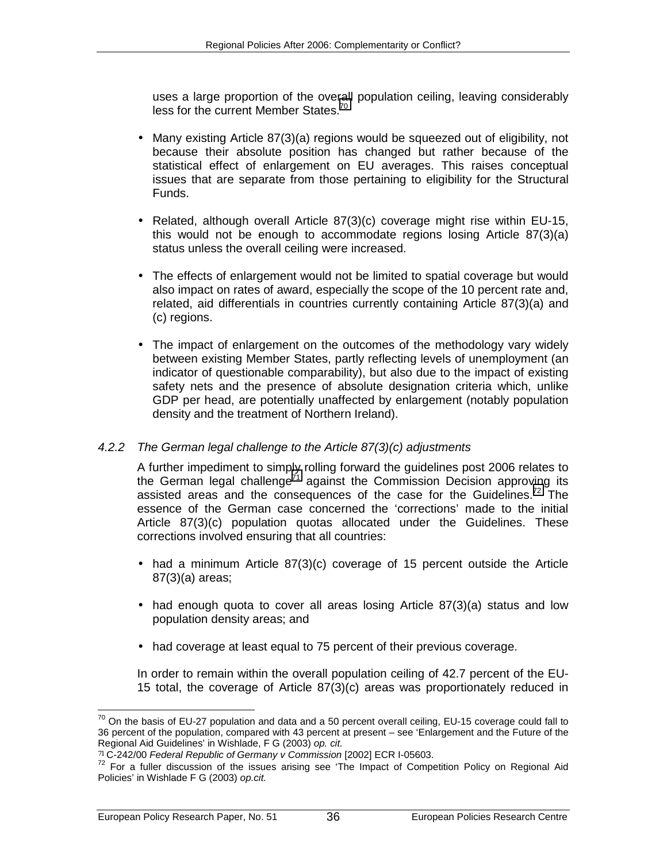uses a large proportion of the overall population ceiling, leaving considerably less for the current Member States.<sup>70</sup>

- Many existing Article 87(3)(a) regions would be squeezed out of eligibility, not because their absolute position has changed but rather because of the statistical effect of enlargement on EU averages. This raises conceptual issues that are separate from those pertaining to eligibility for the Structural Funds.
- Related, although overall Article 87(3)(c) coverage might rise within EU-15, this would not be enough to accommodate regions losing Article 87(3)(a) status unless the overall ceiling were increased.
- The effects of enlargement would not be limited to spatial coverage but would also impact on rates of award, especially the scope of the 10 percent rate and, related, aid differentials in countries currently containing Article 87(3)(a) and (c) regions.
- The impact of enlargement on the outcomes of the methodology vary widely between existing Member States, partly reflecting levels of unemployment (an indicator of questionable comparability), but also due to the impact of existing safety nets and the presence of absolute designation criteria which, unlike GDP per head, are potentially unaffected by enlargement (notably population density and the treatment of Northern Ireland).

### *4.2.2 The German legal challenge to the Article 87(3)(c) adjustments*

A further impediment to simply rolling forward the guidelines post 2006 relates to the German legal challenge<sup>71</sup> against the Commission Decision approving its assisted areas and the consequences of the case for the Guidelines.<sup>72</sup> The essence of the German case concerned the 'corrections' made to the initial Article 87(3)(c) population quotas allocated under the Guidelines. These corrections involved ensuring that all countries:

- had a minimum Article 87(3)(c) coverage of 15 percent outside the Article 87(3)(a) areas;
- had enough quota to cover all areas losing Article 87(3)(a) status and low population density areas; and
- had coverage at least equal to 75 percent of their previous coverage.

In order to remain within the overall population ceiling of 42.7 percent of the EU-15 total, the coverage of Article 87(3)(c) areas was proportionately reduced in

<sup>-</sup> $^{70}$  On the basis of EU-27 population and data and a 50 percent overall ceiling, EU-15 coverage could fall to 36 percent of the population, compared with 43 percent at present – see 'Enlargement and the Future of the Regional Aid Guidelines' in Wishlade, F G (2003) *op. cit.* 

<sup>&</sup>lt;sup>72</sup> For a fuller discussion of the issues arising see 'The Impact of Competition Policy on Regional Aid Policies' in Wishlade F G (2003) *op.cit.*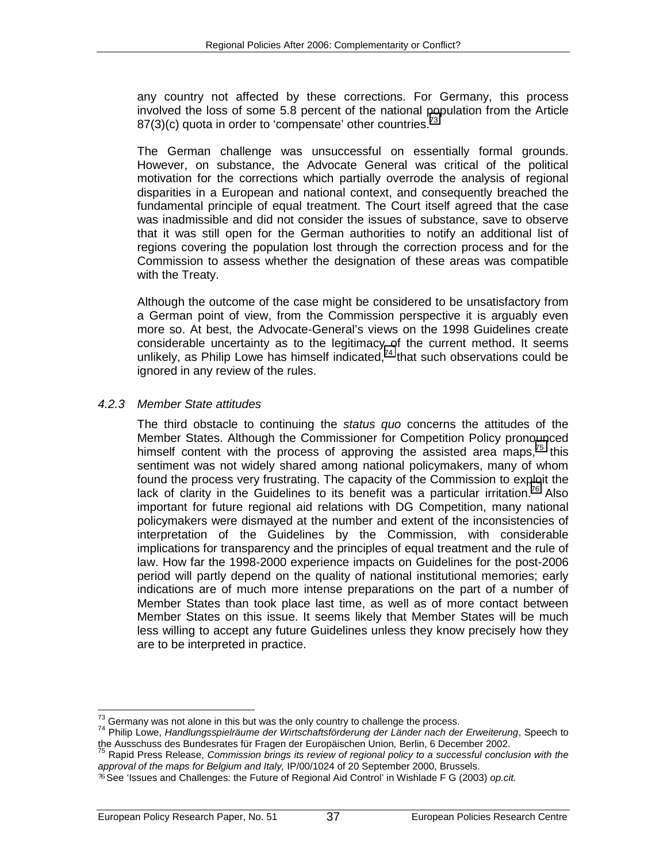any country not affected by these corrections. For Germany, this process involved the loss of some 5.8 percent of the national population from the Article  $87(3)(c)$  quota in order to 'compensate' other countries.<sup>73</sup>

The German challenge was unsuccessful on essentially formal grounds. However, on substance, the Advocate General was critical of the political motivation for the corrections which partially overrode the analysis of regional disparities in a European and national context, and consequently breached the fundamental principle of equal treatment. The Court itself agreed that the case was inadmissible and did not consider the issues of substance, save to observe that it was still open for the German authorities to notify an additional list of regions covering the population lost through the correction process and for the Commission to assess whether the designation of these areas was compatible with the Treaty.

Although the outcome of the case might be considered to be unsatisfactory from a German point of view, from the Commission perspective it is arguably even more so. At best, the Advocate-General's views on the 1998 Guidelines create considerable uncertainty as to the legitimacy of the current method. It seems unlikely, as Philip Lowe has himself indicated, $74$  that such observations could be ignored in any review of the rules.

#### *4.2.3 Member State attitudes*

The third obstacle to continuing the *status quo* concerns the attitudes of the Member States. Although the Commissioner for Competition Policy pronounced himself content with the process of approving the assisted area maps,  $75$  this sentiment was not widely shared among national policymakers, many of whom found the process very frustrating. The capacity of the Commission to exploit the lack of clarity in the Guidelines to its benefit was a particular irritation.<sup>76</sup> Also important for future regional aid relations with DG Competition, many national policymakers were dismayed at the number and extent of the inconsistencies of interpretation of the Guidelines by the Commission, with considerable implications for transparency and the principles of equal treatment and the rule of law. How far the 1998-2000 experience impacts on Guidelines for the post-2006 period will partly depend on the quality of national institutional memories; early indications are of much more intense preparations on the part of a number of Member States than took place last time, as well as of more contact between Member States on this issue. It seems likely that Member States will be much less willing to accept any future Guidelines unless they know precisely how they are to be interpreted in practice.

<sup>73</sup> Germany was not alone in this but was the only country to challenge the process.

<sup>74</sup> Philip Lowe, *Handlungsspielräume der Wirtschaftsförderung der Länder nach der Erweiterung*, Speech to the Ausschuss des Bundesrates für Fragen der Europäischen Union, Berlin, 6 December 2002.

<sup>&</sup>lt;sup>75</sup> Rapid Press Release, Commission brings its review of regional policy to a successful conclusion with the *approval of the maps for Belgium and Italy,* IP/00/1024 of 20 September 2000, Brussels.

<sup>76</sup> See 'Issues and Challenges: the Future of Regional Aid Control' in Wishlade F G (2003) *op.cit.*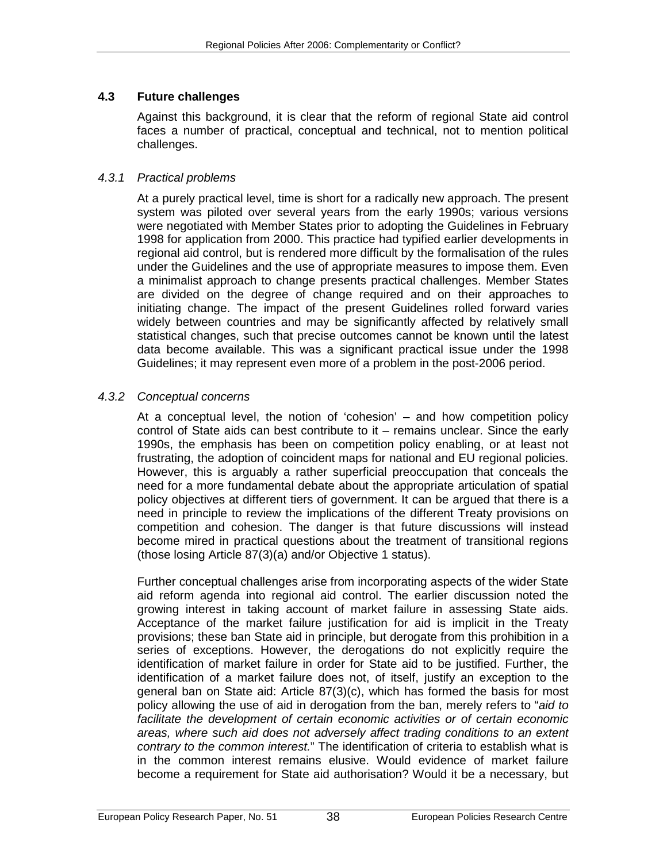### <span id="page-45-0"></span>**4.3 Future challenges**

Against this background, it is clear that the reform of regional State aid control faces a number of practical, conceptual and technical, not to mention political challenges.

### *4.3.1 Practical problems*

At a purely practical level, time is short for a radically new approach. The present system was piloted over several years from the early 1990s; various versions were negotiated with Member States prior to adopting the Guidelines in February 1998 for application from 2000. This practice had typified earlier developments in regional aid control, but is rendered more difficult by the formalisation of the rules under the Guidelines and the use of appropriate measures to impose them. Even a minimalist approach to change presents practical challenges. Member States are divided on the degree of change required and on their approaches to initiating change. The impact of the present Guidelines rolled forward varies widely between countries and may be significantly affected by relatively small statistical changes, such that precise outcomes cannot be known until the latest data become available. This was a significant practical issue under the 1998 Guidelines; it may represent even more of a problem in the post-2006 period.

### *4.3.2 Conceptual concerns*

At a conceptual level, the notion of 'cohesion' – and how competition policy control of State aids can best contribute to it – remains unclear. Since the early 1990s, the emphasis has been on competition policy enabling, or at least not frustrating, the adoption of coincident maps for national and EU regional policies. However, this is arguably a rather superficial preoccupation that conceals the need for a more fundamental debate about the appropriate articulation of spatial policy objectives at different tiers of government. It can be argued that there is a need in principle to review the implications of the different Treaty provisions on competition and cohesion. The danger is that future discussions will instead become mired in practical questions about the treatment of transitional regions (those losing Article 87(3)(a) and/or Objective 1 status).

Further conceptual challenges arise from incorporating aspects of the wider State aid reform agenda into regional aid control. The earlier discussion noted the growing interest in taking account of market failure in assessing State aids. Acceptance of the market failure justification for aid is implicit in the Treaty provisions; these ban State aid in principle, but derogate from this prohibition in a series of exceptions. However, the derogations do not explicitly require the identification of market failure in order for State aid to be justified. Further, the identification of a market failure does not, of itself, justify an exception to the general ban on State aid: Article 87(3)(c), which has formed the basis for most policy allowing the use of aid in derogation from the ban, merely refers to "*aid to*  facilitate the development of certain economic activities or of certain economic *areas, where such aid does not adversely affect trading conditions to an extent contrary to the common interest.*" The identification of criteria to establish what is in the common interest remains elusive. Would evidence of market failure become a requirement for State aid authorisation? Would it be a necessary, but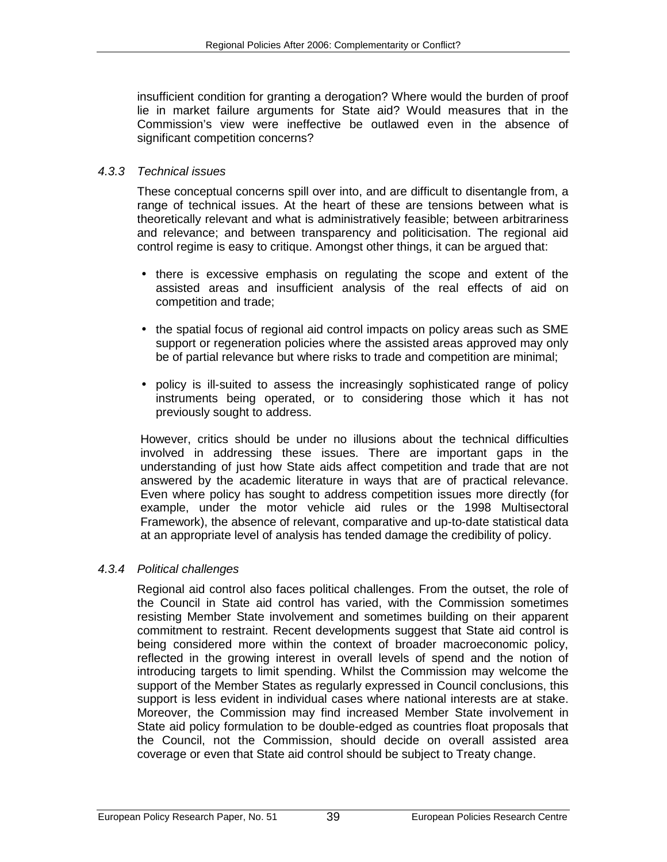insufficient condition for granting a derogation? Where would the burden of proof lie in market failure arguments for State aid? Would measures that in the Commission's view were ineffective be outlawed even in the absence of significant competition concerns?

### *4.3.3 Technical issues*

These conceptual concerns spill over into, and are difficult to disentangle from, a range of technical issues. At the heart of these are tensions between what is theoretically relevant and what is administratively feasible; between arbitrariness and relevance; and between transparency and politicisation. The regional aid control regime is easy to critique. Amongst other things, it can be argued that:

- there is excessive emphasis on regulating the scope and extent of the assisted areas and insufficient analysis of the real effects of aid on competition and trade;
- the spatial focus of regional aid control impacts on policy areas such as SME support or regeneration policies where the assisted areas approved may only be of partial relevance but where risks to trade and competition are minimal;
- policy is ill-suited to assess the increasingly sophisticated range of policy instruments being operated, or to considering those which it has not previously sought to address.

However, critics should be under no illusions about the technical difficulties involved in addressing these issues. There are important gaps in the understanding of just how State aids affect competition and trade that are not answered by the academic literature in ways that are of practical relevance. Even where policy has sought to address competition issues more directly (for example, under the motor vehicle aid rules or the 1998 Multisectoral Framework), the absence of relevant, comparative and up-to-date statistical data at an appropriate level of analysis has tended damage the credibility of policy.

#### *4.3.4 Political challenges*

Regional aid control also faces political challenges. From the outset, the role of the Council in State aid control has varied, with the Commission sometimes resisting Member State involvement and sometimes building on their apparent commitment to restraint. Recent developments suggest that State aid control is being considered more within the context of broader macroeconomic policy, reflected in the growing interest in overall levels of spend and the notion of introducing targets to limit spending. Whilst the Commission may welcome the support of the Member States as regularly expressed in Council conclusions, this support is less evident in individual cases where national interests are at stake. Moreover, the Commission may find increased Member State involvement in State aid policy formulation to be double-edged as countries float proposals that the Council, not the Commission, should decide on overall assisted area coverage or even that State aid control should be subject to Treaty change.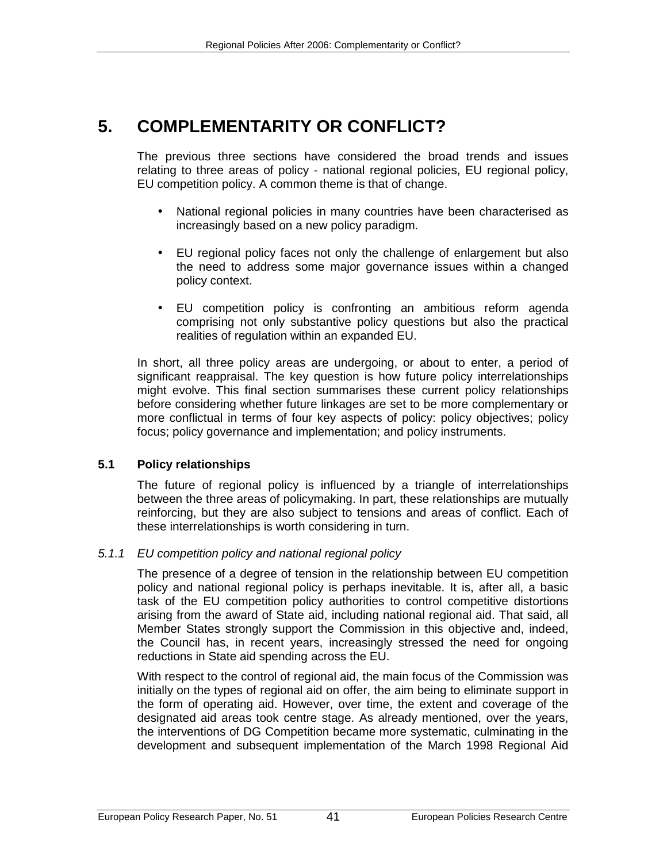# <span id="page-48-0"></span>**5. COMPLEMENTARITY OR CONFLICT?**

The previous three sections have considered the broad trends and issues relating to three areas of policy - national regional policies, EU regional policy, EU competition policy. A common theme is that of change.

- National regional policies in many countries have been characterised as increasingly based on a new policy paradigm.
- EU regional policy faces not only the challenge of enlargement but also the need to address some major governance issues within a changed policy context.
- EU competition policy is confronting an ambitious reform agenda comprising not only substantive policy questions but also the practical realities of regulation within an expanded EU.

In short, all three policy areas are undergoing, or about to enter, a period of significant reappraisal. The key question is how future policy interrelationships might evolve. This final section summarises these current policy relationships before considering whether future linkages are set to be more complementary or more conflictual in terms of four key aspects of policy: policy objectives; policy focus; policy governance and implementation; and policy instruments.

### **5.1 Policy relationships**

The future of regional policy is influenced by a triangle of interrelationships between the three areas of policymaking. In part, these relationships are mutually reinforcing, but they are also subject to tensions and areas of conflict. Each of these interrelationships is worth considering in turn.

### *5.1.1 EU competition policy and national regional policy*

The presence of a degree of tension in the relationship between EU competition policy and national regional policy is perhaps inevitable. It is, after all, a basic task of the EU competition policy authorities to control competitive distortions arising from the award of State aid, including national regional aid. That said, all Member States strongly support the Commission in this objective and, indeed, the Council has, in recent years, increasingly stressed the need for ongoing reductions in State aid spending across the EU.

With respect to the control of regional aid, the main focus of the Commission was initially on the types of regional aid on offer, the aim being to eliminate support in the form of operating aid. However, over time, the extent and coverage of the designated aid areas took centre stage. As already mentioned, over the years, the interventions of DG Competition became more systematic, culminating in the development and subsequent implementation of the March 1998 Regional Aid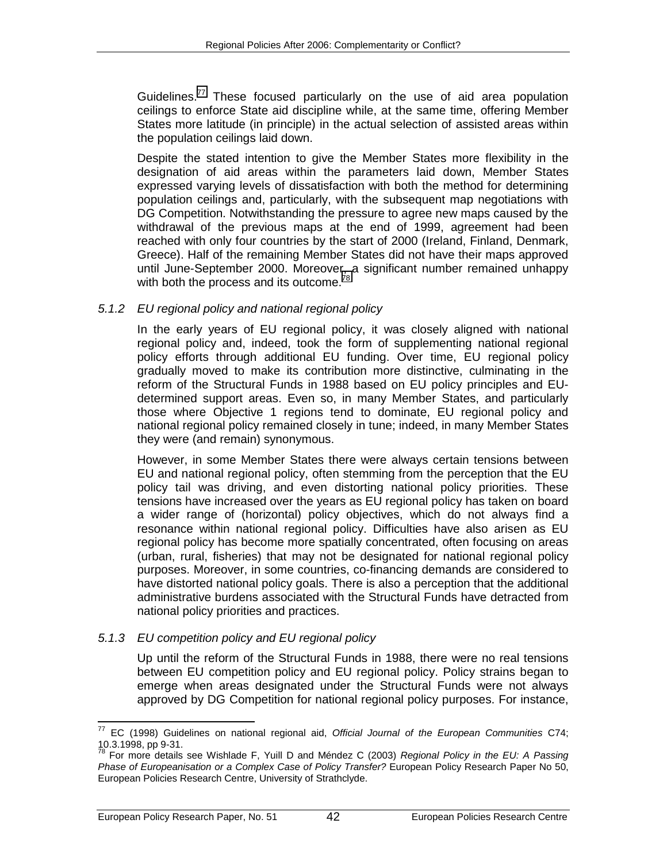Guidelines.<sup>77</sup> These focused particularly on the use of aid area population ceilings to enforce State aid discipline while, at the same time, offering Member States more latitude (in principle) in the actual selection of assisted areas within the population ceilings laid down.

Despite the stated intention to give the Member States more flexibility in the designation of aid areas within the parameters laid down, Member States expressed varying levels of dissatisfaction with both the method for determining population ceilings and, particularly, with the subsequent map negotiations with DG Competition. Notwithstanding the pressure to agree new maps caused by the withdrawal of the previous maps at the end of 1999, agreement had been reached with only four countries by the start of 2000 (Ireland, Finland, Denmark, Greece). Half of the remaining Member States did not have their maps approved until June-September 2000. Moreover, a significant number remained unhappy with both the process and its outcome. $i<sup>8</sup>$ 

### *5.1.2 EU regional policy and national regional policy*

In the early years of EU regional policy, it was closely aligned with national regional policy and, indeed, took the form of supplementing national regional policy efforts through additional EU funding. Over time, EU regional policy gradually moved to make its contribution more distinctive, culminating in the reform of the Structural Funds in 1988 based on EU policy principles and EUdetermined support areas. Even so, in many Member States, and particularly those where Objective 1 regions tend to dominate, EU regional policy and national regional policy remained closely in tune; indeed, in many Member States they were (and remain) synonymous.

However, in some Member States there were always certain tensions between EU and national regional policy, often stemming from the perception that the EU policy tail was driving, and even distorting national policy priorities. These tensions have increased over the years as EU regional policy has taken on board a wider range of (horizontal) policy objectives, which do not always find a resonance within national regional policy. Difficulties have also arisen as EU regional policy has become more spatially concentrated, often focusing on areas (urban, rural, fisheries) that may not be designated for national regional policy purposes. Moreover, in some countries, co-financing demands are considered to have distorted national policy goals. There is also a perception that the additional administrative burdens associated with the Structural Funds have detracted from national policy priorities and practices.

### *5.1.3 EU competition policy and EU regional policy*

Up until the reform of the Structural Funds in 1988, there were no real tensions between EU competition policy and EU regional policy. Policy strains began to emerge when areas designated under the Structural Funds were not always approved by DG Competition for national regional policy purposes. For instance,

<sup>-</sup>77 EC (1998) Guidelines on national regional aid, *Official Journal of the European Communities* C74; 10.3.1998, pp 9-31.

<sup>78</sup> For more details see Wishlade F, Yuill D and Méndez C (2003) *Regional Policy in the EU: A Passing Phase of Europeanisation or a Complex Case of Policy Transfer?* European Policy Research Paper No 50, European Policies Research Centre, University of Strathclyde.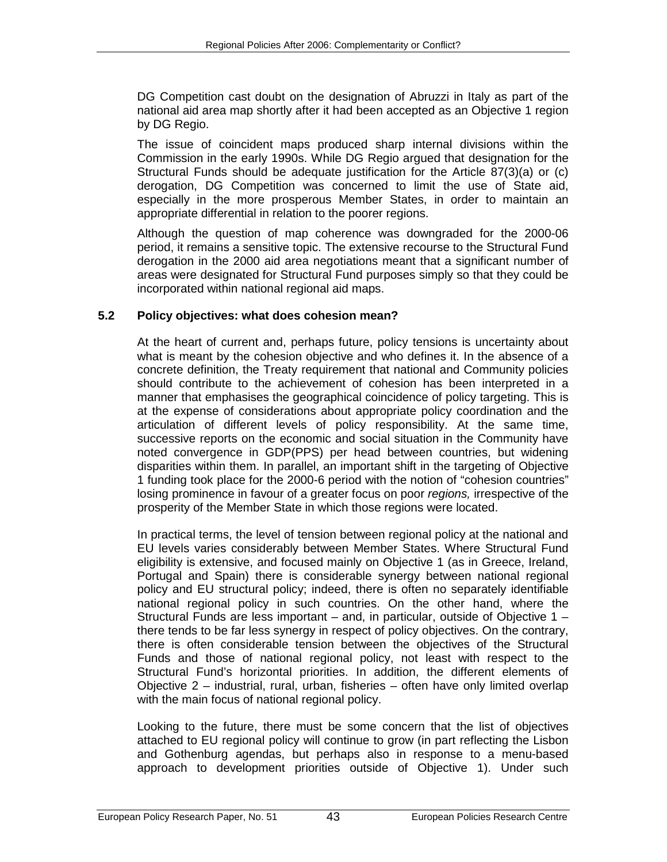<span id="page-50-0"></span>DG Competition cast doubt on the designation of Abruzzi in Italy as part of the national aid area map shortly after it had been accepted as an Objective 1 region by DG Regio.

The issue of coincident maps produced sharp internal divisions within the Commission in the early 1990s. While DG Regio argued that designation for the Structural Funds should be adequate justification for the Article 87(3)(a) or (c) derogation, DG Competition was concerned to limit the use of State aid, especially in the more prosperous Member States, in order to maintain an appropriate differential in relation to the poorer regions.

Although the question of map coherence was downgraded for the 2000-06 period, it remains a sensitive topic. The extensive recourse to the Structural Fund derogation in the 2000 aid area negotiations meant that a significant number of areas were designated for Structural Fund purposes simply so that they could be incorporated within national regional aid maps.

### **5.2 Policy objectives: what does cohesion mean?**

At the heart of current and, perhaps future, policy tensions is uncertainty about what is meant by the cohesion objective and who defines it. In the absence of a concrete definition, the Treaty requirement that national and Community policies should contribute to the achievement of cohesion has been interpreted in a manner that emphasises the geographical coincidence of policy targeting. This is at the expense of considerations about appropriate policy coordination and the articulation of different levels of policy responsibility. At the same time, successive reports on the economic and social situation in the Community have noted convergence in GDP(PPS) per head between countries, but widening disparities within them. In parallel, an important shift in the targeting of Objective 1 funding took place for the 2000-6 period with the notion of "cohesion countries" losing prominence in favour of a greater focus on poor *regions,* irrespective of the prosperity of the Member State in which those regions were located.

In practical terms, the level of tension between regional policy at the national and EU levels varies considerably between Member States. Where Structural Fund eligibility is extensive, and focused mainly on Objective 1 (as in Greece, Ireland, Portugal and Spain) there is considerable synergy between national regional policy and EU structural policy; indeed, there is often no separately identifiable national regional policy in such countries. On the other hand, where the Structural Funds are less important – and, in particular, outside of Objective 1 – there tends to be far less synergy in respect of policy objectives. On the contrary, there is often considerable tension between the objectives of the Structural Funds and those of national regional policy, not least with respect to the Structural Fund's horizontal priorities. In addition, the different elements of Objective 2 – industrial, rural, urban, fisheries – often have only limited overlap with the main focus of national regional policy.

Looking to the future, there must be some concern that the list of objectives attached to EU regional policy will continue to grow (in part reflecting the Lisbon and Gothenburg agendas, but perhaps also in response to a menu-based approach to development priorities outside of Objective 1). Under such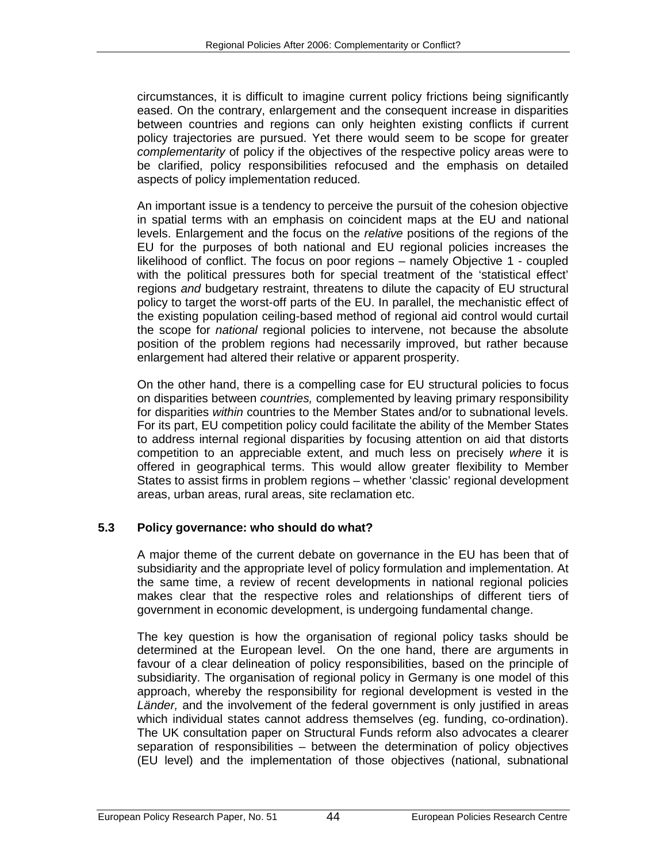<span id="page-51-0"></span>circumstances, it is difficult to imagine current policy frictions being significantly eased. On the contrary, enlargement and the consequent increase in disparities between countries and regions can only heighten existing conflicts if current policy trajectories are pursued. Yet there would seem to be scope for greater *complementarity* of policy if the objectives of the respective policy areas were to be clarified, policy responsibilities refocused and the emphasis on detailed aspects of policy implementation reduced.

An important issue is a tendency to perceive the pursuit of the cohesion objective in spatial terms with an emphasis on coincident maps at the EU and national levels. Enlargement and the focus on the *relative* positions of the regions of the EU for the purposes of both national and EU regional policies increases the likelihood of conflict. The focus on poor regions – namely Objective 1 - coupled with the political pressures both for special treatment of the 'statistical effect' regions *and* budgetary restraint, threatens to dilute the capacity of EU structural policy to target the worst-off parts of the EU. In parallel, the mechanistic effect of the existing population ceiling-based method of regional aid control would curtail the scope for *national* regional policies to intervene, not because the absolute position of the problem regions had necessarily improved, but rather because enlargement had altered their relative or apparent prosperity.

On the other hand, there is a compelling case for EU structural policies to focus on disparities between *countries,* complemented by leaving primary responsibility for disparities *within* countries to the Member States and/or to subnational levels. For its part, EU competition policy could facilitate the ability of the Member States to address internal regional disparities by focusing attention on aid that distorts competition to an appreciable extent, and much less on precisely *where* it is offered in geographical terms. This would allow greater flexibility to Member States to assist firms in problem regions – whether 'classic' regional development areas, urban areas, rural areas, site reclamation etc.

### **5.3 Policy governance: who should do what?**

A major theme of the current debate on governance in the EU has been that of subsidiarity and the appropriate level of policy formulation and implementation. At the same time, a review of recent developments in national regional policies makes clear that the respective roles and relationships of different tiers of government in economic development, is undergoing fundamental change.

The key question is how the organisation of regional policy tasks should be determined at the European level. On the one hand, there are arguments in favour of a clear delineation of policy responsibilities, based on the principle of subsidiarity. The organisation of regional policy in Germany is one model of this approach, whereby the responsibility for regional development is vested in the Länder, and the involvement of the federal government is only justified in areas which individual states cannot address themselves (eg. funding, co-ordination). The UK consultation paper on Structural Funds reform also advocates a clearer separation of responsibilities – between the determination of policy objectives (EU level) and the implementation of those objectives (national, subnational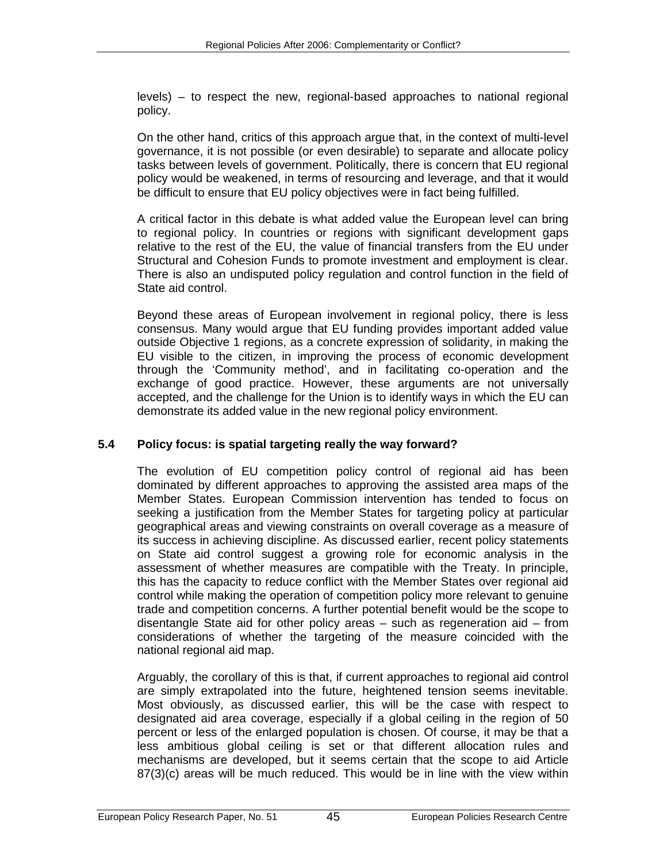<span id="page-52-0"></span>levels) – to respect the new, regional-based approaches to national regional policy.

On the other hand, critics of this approach argue that, in the context of multi-level governance, it is not possible (or even desirable) to separate and allocate policy tasks between levels of government. Politically, there is concern that EU regional policy would be weakened, in terms of resourcing and leverage, and that it would be difficult to ensure that EU policy objectives were in fact being fulfilled.

A critical factor in this debate is what added value the European level can bring to regional policy. In countries or regions with significant development gaps relative to the rest of the EU, the value of financial transfers from the EU under Structural and Cohesion Funds to promote investment and employment is clear. There is also an undisputed policy regulation and control function in the field of State aid control.

Beyond these areas of European involvement in regional policy, there is less consensus. Many would argue that EU funding provides important added value outside Objective 1 regions, as a concrete expression of solidarity, in making the EU visible to the citizen, in improving the process of economic development through the 'Community method', and in facilitating co-operation and the exchange of good practice. However, these arguments are not universally accepted, and the challenge for the Union is to identify ways in which the EU can demonstrate its added value in the new regional policy environment.

### **5.4 Policy focus: is spatial targeting really the way forward?**

The evolution of EU competition policy control of regional aid has been dominated by different approaches to approving the assisted area maps of the Member States. European Commission intervention has tended to focus on seeking a justification from the Member States for targeting policy at particular geographical areas and viewing constraints on overall coverage as a measure of its success in achieving discipline. As discussed earlier, recent policy statements on State aid control suggest a growing role for economic analysis in the assessment of whether measures are compatible with the Treaty. In principle, this has the capacity to reduce conflict with the Member States over regional aid control while making the operation of competition policy more relevant to genuine trade and competition concerns. A further potential benefit would be the scope to disentangle State aid for other policy areas – such as regeneration aid – from considerations of whether the targeting of the measure coincided with the national regional aid map.

Arguably, the corollary of this is that, if current approaches to regional aid control are simply extrapolated into the future, heightened tension seems inevitable. Most obviously, as discussed earlier, this will be the case with respect to designated aid area coverage, especially if a global ceiling in the region of 50 percent or less of the enlarged population is chosen. Of course, it may be that a less ambitious global ceiling is set or that different allocation rules and mechanisms are developed, but it seems certain that the scope to aid Article 87(3)(c) areas will be much reduced. This would be in line with the view within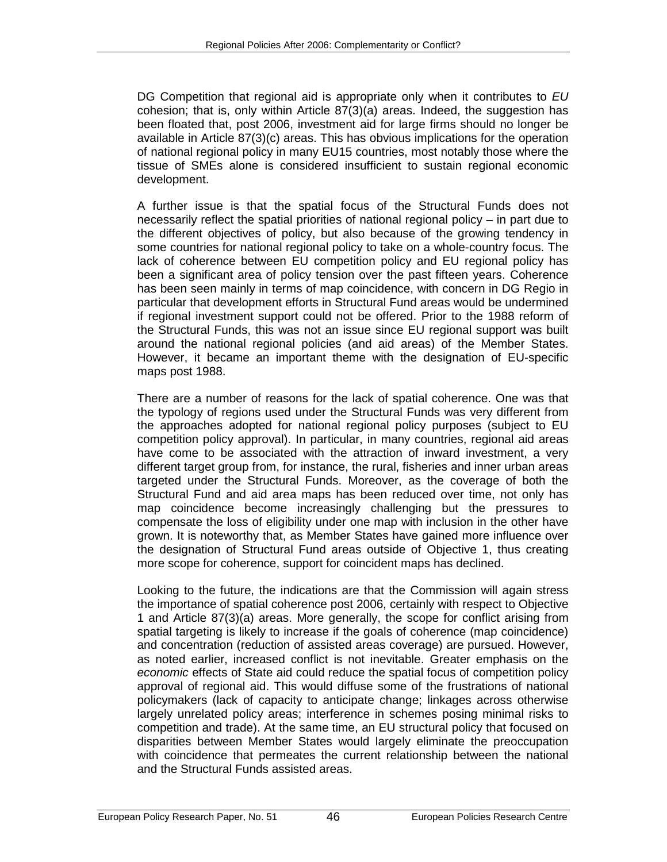DG Competition that regional aid is appropriate only when it contributes to *EU* cohesion; that is, only within Article 87(3)(a) areas. Indeed, the suggestion has been floated that, post 2006, investment aid for large firms should no longer be available in Article 87(3)(c) areas. This has obvious implications for the operation of national regional policy in many EU15 countries, most notably those where the tissue of SMEs alone is considered insufficient to sustain regional economic development.

A further issue is that the spatial focus of the Structural Funds does not necessarily reflect the spatial priorities of national regional policy – in part due to the different objectives of policy, but also because of the growing tendency in some countries for national regional policy to take on a whole-country focus. The lack of coherence between EU competition policy and EU regional policy has been a significant area of policy tension over the past fifteen years. Coherence has been seen mainly in terms of map coincidence, with concern in DG Regio in particular that development efforts in Structural Fund areas would be undermined if regional investment support could not be offered. Prior to the 1988 reform of the Structural Funds, this was not an issue since EU regional support was built around the national regional policies (and aid areas) of the Member States. However, it became an important theme with the designation of EU-specific maps post 1988.

There are a number of reasons for the lack of spatial coherence. One was that the typology of regions used under the Structural Funds was very different from the approaches adopted for national regional policy purposes (subject to EU competition policy approval). In particular, in many countries, regional aid areas have come to be associated with the attraction of inward investment, a very different target group from, for instance, the rural, fisheries and inner urban areas targeted under the Structural Funds. Moreover, as the coverage of both the Structural Fund and aid area maps has been reduced over time, not only has map coincidence become increasingly challenging but the pressures to compensate the loss of eligibility under one map with inclusion in the other have grown. It is noteworthy that, as Member States have gained more influence over the designation of Structural Fund areas outside of Objective 1, thus creating more scope for coherence, support for coincident maps has declined.

Looking to the future, the indications are that the Commission will again stress the importance of spatial coherence post 2006, certainly with respect to Objective 1 and Article 87(3)(a) areas. More generally, the scope for conflict arising from spatial targeting is likely to increase if the goals of coherence (map coincidence) and concentration (reduction of assisted areas coverage) are pursued. However, as noted earlier, increased conflict is not inevitable. Greater emphasis on the *economic* effects of State aid could reduce the spatial focus of competition policy approval of regional aid. This would diffuse some of the frustrations of national policymakers (lack of capacity to anticipate change; linkages across otherwise largely unrelated policy areas; interference in schemes posing minimal risks to competition and trade). At the same time, an EU structural policy that focused on disparities between Member States would largely eliminate the preoccupation with coincidence that permeates the current relationship between the national and the Structural Funds assisted areas.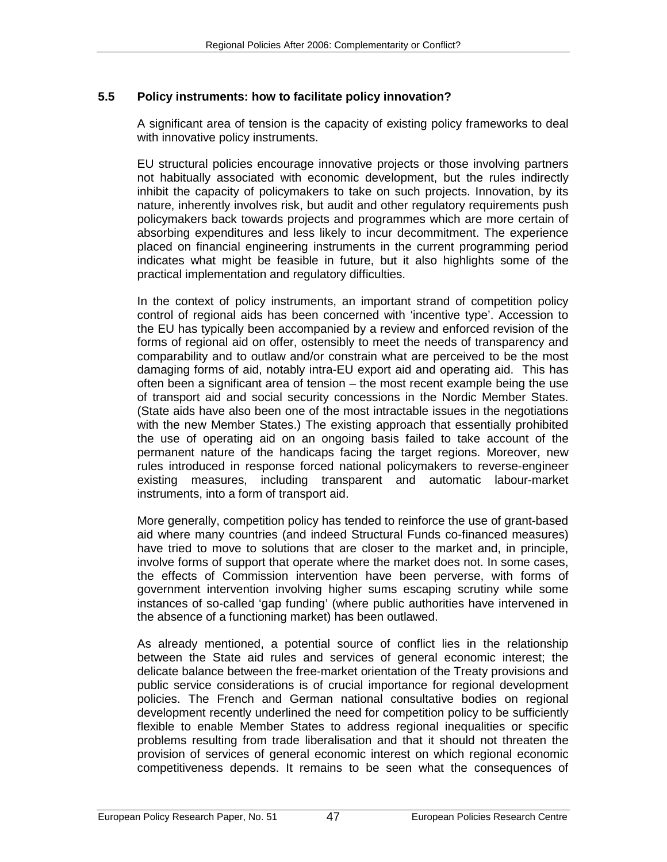### <span id="page-54-0"></span>**5.5 Policy instruments: how to facilitate policy innovation?**

A significant area of tension is the capacity of existing policy frameworks to deal with innovative policy instruments.

EU structural policies encourage innovative projects or those involving partners not habitually associated with economic development, but the rules indirectly inhibit the capacity of policymakers to take on such projects. Innovation, by its nature, inherently involves risk, but audit and other regulatory requirements push policymakers back towards projects and programmes which are more certain of absorbing expenditures and less likely to incur decommitment. The experience placed on financial engineering instruments in the current programming period indicates what might be feasible in future, but it also highlights some of the practical implementation and regulatory difficulties.

In the context of policy instruments, an important strand of competition policy control of regional aids has been concerned with 'incentive type'. Accession to the EU has typically been accompanied by a review and enforced revision of the forms of regional aid on offer, ostensibly to meet the needs of transparency and comparability and to outlaw and/or constrain what are perceived to be the most damaging forms of aid, notably intra-EU export aid and operating aid. This has often been a significant area of tension – the most recent example being the use of transport aid and social security concessions in the Nordic Member States. (State aids have also been one of the most intractable issues in the negotiations with the new Member States.) The existing approach that essentially prohibited the use of operating aid on an ongoing basis failed to take account of the permanent nature of the handicaps facing the target regions. Moreover, new rules introduced in response forced national policymakers to reverse-engineer existing measures, including transparent and automatic labour-market instruments, into a form of transport aid.

More generally, competition policy has tended to reinforce the use of grant-based aid where many countries (and indeed Structural Funds co-financed measures) have tried to move to solutions that are closer to the market and, in principle, involve forms of support that operate where the market does not. In some cases, the effects of Commission intervention have been perverse, with forms of government intervention involving higher sums escaping scrutiny while some instances of so-called 'gap funding' (where public authorities have intervened in the absence of a functioning market) has been outlawed.

As already mentioned, a potential source of conflict lies in the relationship between the State aid rules and services of general economic interest; the delicate balance between the free-market orientation of the Treaty provisions and public service considerations is of crucial importance for regional development policies. The French and German national consultative bodies on regional development recently underlined the need for competition policy to be sufficiently flexible to enable Member States to address regional inequalities or specific problems resulting from trade liberalisation and that it should not threaten the provision of services of general economic interest on which regional economic competitiveness depends. It remains to be seen what the consequences of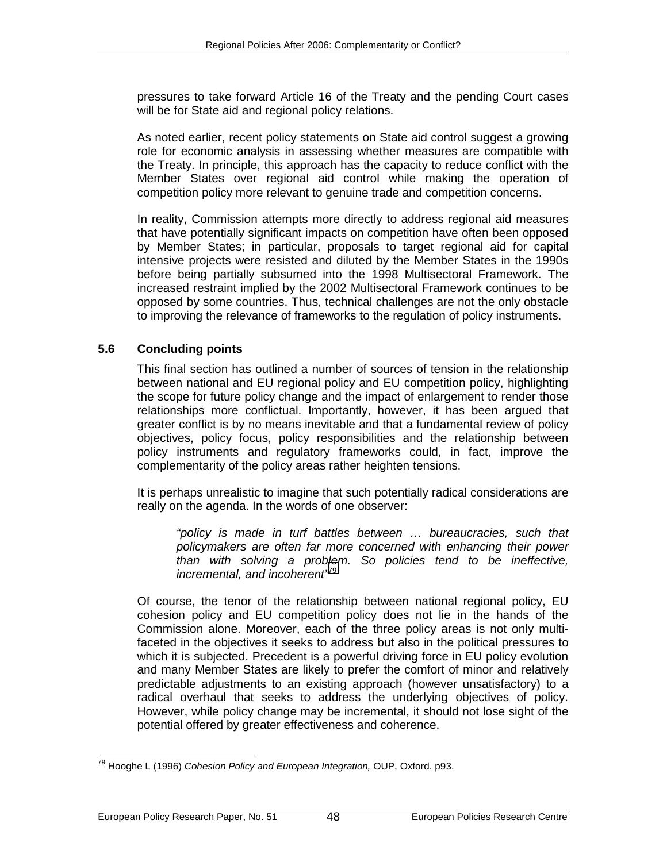<span id="page-55-0"></span>pressures to take forward Article 16 of the Treaty and the pending Court cases will be for State aid and regional policy relations.

As noted earlier, recent policy statements on State aid control suggest a growing role for economic analysis in assessing whether measures are compatible with the Treaty. In principle, this approach has the capacity to reduce conflict with the Member States over regional aid control while making the operation of competition policy more relevant to genuine trade and competition concerns.

In reality, Commission attempts more directly to address regional aid measures that have potentially significant impacts on competition have often been opposed by Member States; in particular, proposals to target regional aid for capital intensive projects were resisted and diluted by the Member States in the 1990s before being partially subsumed into the 1998 Multisectoral Framework. The increased restraint implied by the 2002 Multisectoral Framework continues to be opposed by some countries. Thus, technical challenges are not the only obstacle to improving the relevance of frameworks to the regulation of policy instruments.

### **5.6 Concluding points**

This final section has outlined a number of sources of tension in the relationship between national and EU regional policy and EU competition policy, highlighting the scope for future policy change and the impact of enlargement to render those relationships more conflictual. Importantly, however, it has been argued that greater conflict is by no means inevitable and that a fundamental review of policy objectives, policy focus, policy responsibilities and the relationship between policy instruments and regulatory frameworks could, in fact, improve the complementarity of the policy areas rather heighten tensions.

It is perhaps unrealistic to imagine that such potentially radical considerations are really on the agenda. In the words of one observer:

*"policy is made in turf battles between … bureaucracies, such that policymakers are often far more concerned with enhancing their power than with solving a problem. So policies tend to be ineffective, incremental, and incoherent"*<sup>79</sup>

Of course, the tenor of the relationship between national regional policy, EU cohesion policy and EU competition policy does not lie in the hands of the Commission alone. Moreover, each of the three policy areas is not only multifaceted in the objectives it seeks to address but also in the political pressures to which it is subjected. Precedent is a powerful driving force in EU policy evolution and many Member States are likely to prefer the comfort of minor and relatively predictable adjustments to an existing approach (however unsatisfactory) to a radical overhaul that seeks to address the underlying objectives of policy. However, while policy change may be incremental, it should not lose sight of the potential offered by greater effectiveness and coherence.

 $\overline{a}$ <sup>79</sup> Hooghe L (1996) *Cohesion Policy and European Integration, OUP, Oxford.* p93.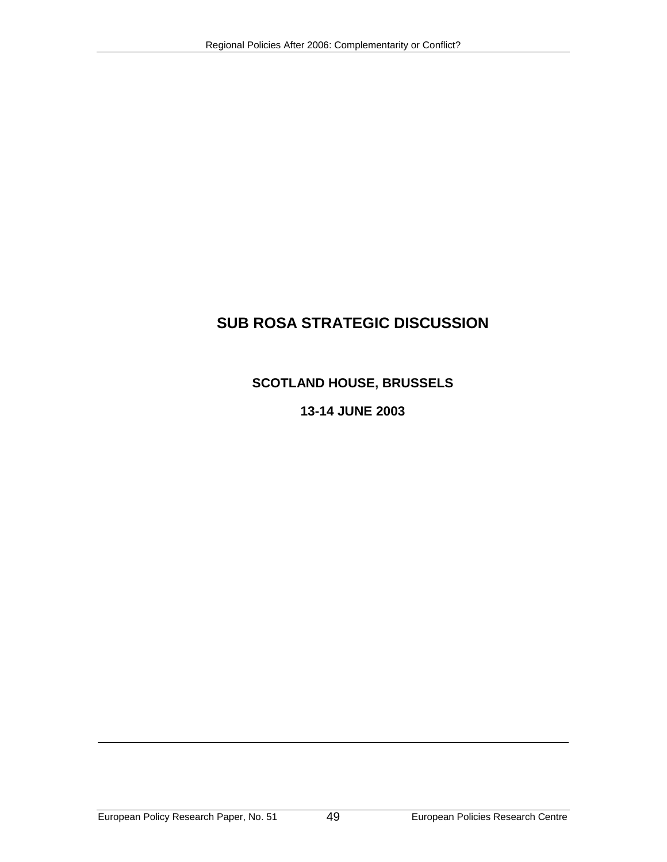## **SUB ROSA STRATEGIC DISCUSSION**

### **SCOTLAND HOUSE, BRUSSELS**

### **13-14 JUNE 2003**

8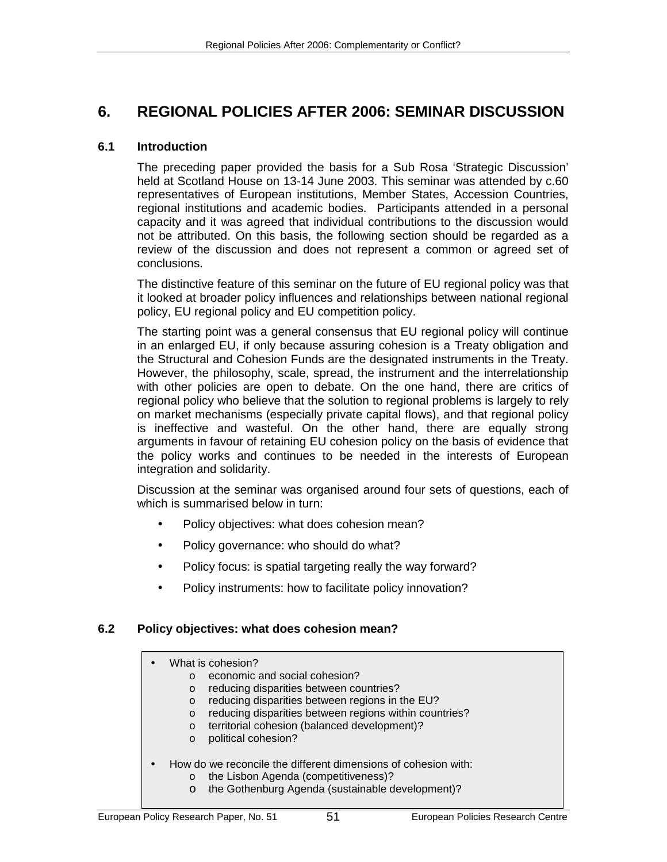### <span id="page-58-0"></span>**6. REGIONAL POLICIES AFTER 2006: SEMINAR DISCUSSION**

### **6.1 Introduction**

The preceding paper provided the basis for a Sub Rosa 'Strategic Discussion' held at Scotland House on 13-14 June 2003. This seminar was attended by c.60 representatives of European institutions, Member States, Accession Countries, regional institutions and academic bodies. Participants attended in a personal capacity and it was agreed that individual contributions to the discussion would not be attributed. On this basis, the following section should be regarded as a review of the discussion and does not represent a common or agreed set of conclusions.

The distinctive feature of this seminar on the future of EU regional policy was that it looked at broader policy influences and relationships between national regional policy, EU regional policy and EU competition policy.

The starting point was a general consensus that EU regional policy will continue in an enlarged EU, if only because assuring cohesion is a Treaty obligation and the Structural and Cohesion Funds are the designated instruments in the Treaty. However, the philosophy, scale, spread, the instrument and the interrelationship with other policies are open to debate. On the one hand, there are critics of regional policy who believe that the solution to regional problems is largely to rely on market mechanisms (especially private capital flows), and that regional policy is ineffective and wasteful. On the other hand, there are equally strong arguments in favour of retaining EU cohesion policy on the basis of evidence that the policy works and continues to be needed in the interests of European integration and solidarity.

Discussion at the seminar was organised around four sets of questions, each of which is summarised below in turn:

- Policy objectives: what does cohesion mean?
- Policy governance: who should do what?
- Policy focus: is spatial targeting really the way forward?
- Policy instruments: how to facilitate policy innovation?

### **6.2 Policy objectives: what does cohesion mean?**

• What is cohesion?

- o economic and social cohesion?
- o reducing disparities between countries?
- o reducing disparities between regions in the EU?
- o reducing disparities between regions within countries?
- o territorial cohesion (balanced development)?
- o political cohesion?
- How do we reconcile the different dimensions of cohesion with:
	- o the Lisbon Agenda (competitiveness)?
	- o the Gothenburg Agenda (sustainable development)?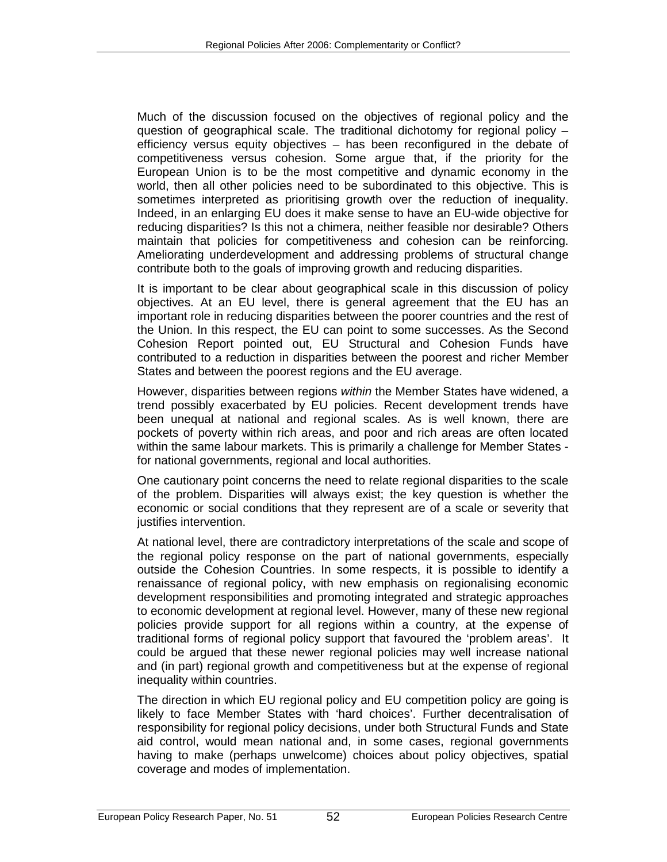Much of the discussion focused on the objectives of regional policy and the question of geographical scale. The traditional dichotomy for regional policy – efficiency versus equity objectives – has been reconfigured in the debate of competitiveness versus cohesion. Some argue that, if the priority for the European Union is to be the most competitive and dynamic economy in the world, then all other policies need to be subordinated to this objective. This is sometimes interpreted as prioritising growth over the reduction of inequality. Indeed, in an enlarging EU does it make sense to have an EU-wide objective for reducing disparities? Is this not a chimera, neither feasible nor desirable? Others maintain that policies for competitiveness and cohesion can be reinforcing. Ameliorating underdevelopment and addressing problems of structural change contribute both to the goals of improving growth and reducing disparities.

It is important to be clear about geographical scale in this discussion of policy objectives. At an EU level, there is general agreement that the EU has an important role in reducing disparities between the poorer countries and the rest of the Union. In this respect, the EU can point to some successes. As the Second Cohesion Report pointed out, EU Structural and Cohesion Funds have contributed to a reduction in disparities between the poorest and richer Member States and between the poorest regions and the EU average.

However, disparities between regions *within* the Member States have widened, a trend possibly exacerbated by EU policies. Recent development trends have been unequal at national and regional scales. As is well known, there are pockets of poverty within rich areas, and poor and rich areas are often located within the same labour markets. This is primarily a challenge for Member States for national governments, regional and local authorities.

One cautionary point concerns the need to relate regional disparities to the scale of the problem. Disparities will always exist; the key question is whether the economic or social conditions that they represent are of a scale or severity that justifies intervention.

At national level, there are contradictory interpretations of the scale and scope of the regional policy response on the part of national governments, especially outside the Cohesion Countries. In some respects, it is possible to identify a renaissance of regional policy, with new emphasis on regionalising economic development responsibilities and promoting integrated and strategic approaches to economic development at regional level. However, many of these new regional policies provide support for all regions within a country, at the expense of traditional forms of regional policy support that favoured the 'problem areas'. It could be argued that these newer regional policies may well increase national and (in part) regional growth and competitiveness but at the expense of regional inequality within countries.

The direction in which EU regional policy and EU competition policy are going is likely to face Member States with 'hard choices'. Further decentralisation of responsibility for regional policy decisions, under both Structural Funds and State aid control, would mean national and, in some cases, regional governments having to make (perhaps unwelcome) choices about policy objectives, spatial coverage and modes of implementation.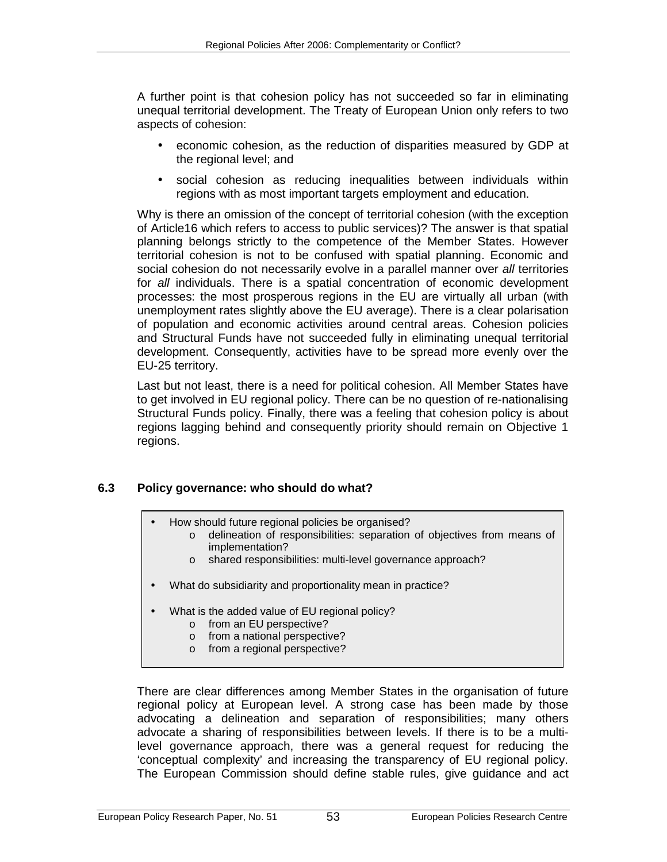<span id="page-60-0"></span>A further point is that cohesion policy has not succeeded so far in eliminating unequal territorial development. The Treaty of European Union only refers to two aspects of cohesion:

- economic cohesion, as the reduction of disparities measured by GDP at the regional level; and
- social cohesion as reducing inequalities between individuals within regions with as most important targets employment and education.

Why is there an omission of the concept of territorial cohesion (with the exception of Article16 which refers to access to public services)? The answer is that spatial planning belongs strictly to the competence of the Member States. However territorial cohesion is not to be confused with spatial planning. Economic and social cohesion do not necessarily evolve in a parallel manner over *all* territories for *all* individuals. There is a spatial concentration of economic development processes: the most prosperous regions in the EU are virtually all urban (with unemployment rates slightly above the EU average). There is a clear polarisation of population and economic activities around central areas. Cohesion policies and Structural Funds have not succeeded fully in eliminating unequal territorial development. Consequently, activities have to be spread more evenly over the EU-25 territory.

Last but not least, there is a need for political cohesion. All Member States have to get involved in EU regional policy. There can be no question of re-nationalising Structural Funds policy. Finally, there was a feeling that cohesion policy is about regions lagging behind and consequently priority should remain on Objective 1 regions.

### **6.3 Policy governance: who should do what?**

- How should future regional policies be organised?
	- o delineation of responsibilities: separation of objectives from means of implementation?
		- o shared responsibilities: multi-level governance approach?
- What do subsidiarity and proportionality mean in practice?
- What is the added value of EU regional policy?
	- o from an EU perspective?
	- o from a national perspective?
	- o from a regional perspective?

There are clear differences among Member States in the organisation of future regional policy at European level. A strong case has been made by those advocating a delineation and separation of responsibilities; many others advocate a sharing of responsibilities between levels. If there is to be a multilevel governance approach, there was a general request for reducing the 'conceptual complexity' and increasing the transparency of EU regional policy. The European Commission should define stable rules, give guidance and act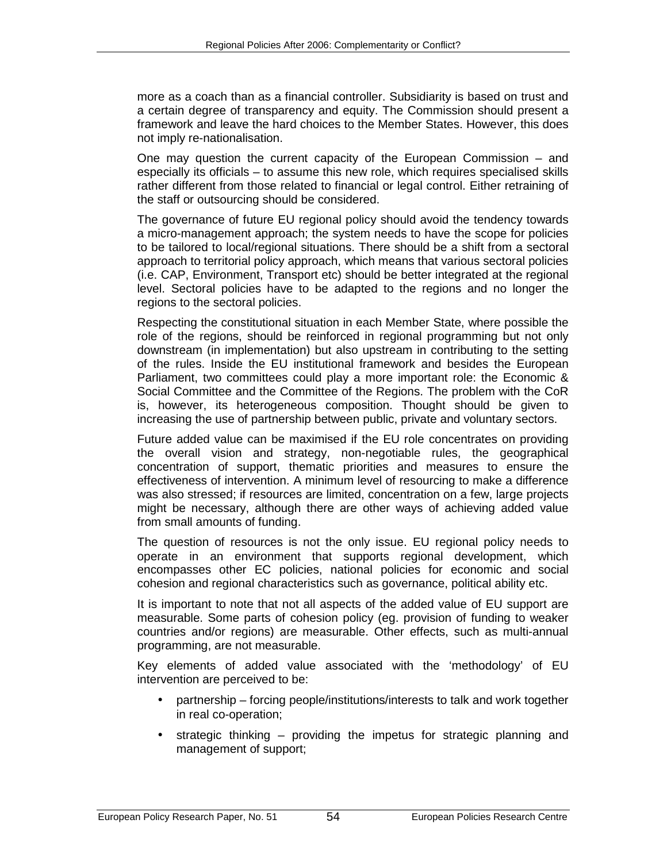more as a coach than as a financial controller. Subsidiarity is based on trust and a certain degree of transparency and equity. The Commission should present a framework and leave the hard choices to the Member States. However, this does not imply re-nationalisation.

One may question the current capacity of the European Commission – and especially its officials – to assume this new role, which requires specialised skills rather different from those related to financial or legal control. Either retraining of the staff or outsourcing should be considered.

The governance of future EU regional policy should avoid the tendency towards a micro-management approach; the system needs to have the scope for policies to be tailored to local/regional situations. There should be a shift from a sectoral approach to territorial policy approach, which means that various sectoral policies (i.e. CAP, Environment, Transport etc) should be better integrated at the regional level. Sectoral policies have to be adapted to the regions and no longer the regions to the sectoral policies.

Respecting the constitutional situation in each Member State, where possible the role of the regions, should be reinforced in regional programming but not only downstream (in implementation) but also upstream in contributing to the setting of the rules. Inside the EU institutional framework and besides the European Parliament, two committees could play a more important role: the Economic & Social Committee and the Committee of the Regions. The problem with the CoR is, however, its heterogeneous composition. Thought should be given to increasing the use of partnership between public, private and voluntary sectors.

Future added value can be maximised if the EU role concentrates on providing the overall vision and strategy, non-negotiable rules, the geographical concentration of support, thematic priorities and measures to ensure the effectiveness of intervention. A minimum level of resourcing to make a difference was also stressed; if resources are limited, concentration on a few, large projects might be necessary, although there are other ways of achieving added value from small amounts of funding.

The question of resources is not the only issue. EU regional policy needs to operate in an environment that supports regional development, which encompasses other EC policies, national policies for economic and social cohesion and regional characteristics such as governance, political ability etc.

It is important to note that not all aspects of the added value of EU support are measurable. Some parts of cohesion policy (eg. provision of funding to weaker countries and/or regions) are measurable. Other effects, such as multi-annual programming, are not measurable.

Key elements of added value associated with the 'methodology' of EU intervention are perceived to be:

- partnership forcing people/institutions/interests to talk and work together in real co-operation;
- strategic thinking providing the impetus for strategic planning and management of support;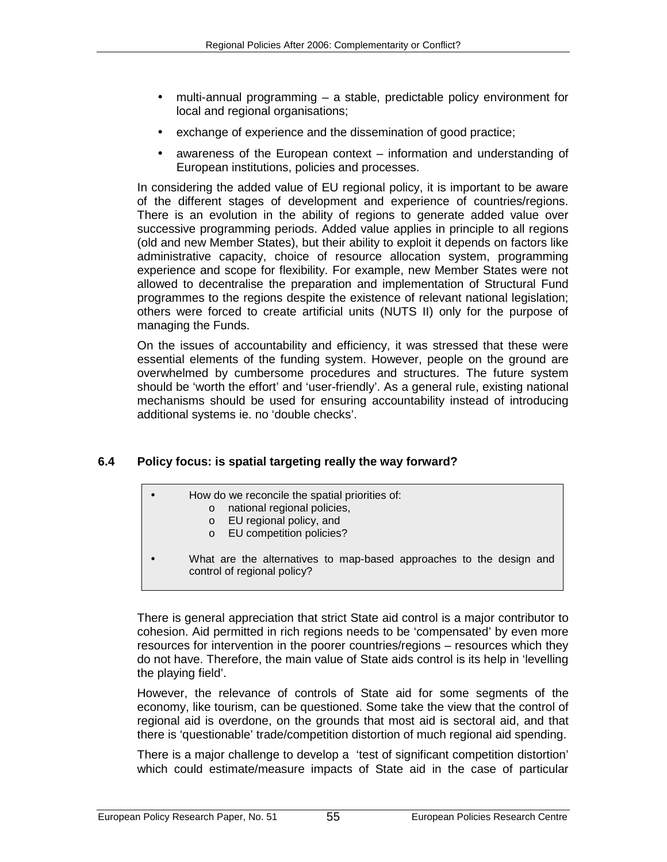- <span id="page-62-0"></span>• multi-annual programming – a stable, predictable policy environment for local and regional organisations;
- exchange of experience and the dissemination of good practice;
- awareness of the European context information and understanding of European institutions, policies and processes.

In considering the added value of EU regional policy, it is important to be aware of the different stages of development and experience of countries/regions. There is an evolution in the ability of regions to generate added value over successive programming periods. Added value applies in principle to all regions (old and new Member States), but their ability to exploit it depends on factors like administrative capacity, choice of resource allocation system, programming experience and scope for flexibility. For example, new Member States were not allowed to decentralise the preparation and implementation of Structural Fund programmes to the regions despite the existence of relevant national legislation; others were forced to create artificial units (NUTS II) only for the purpose of managing the Funds.

On the issues of accountability and efficiency, it was stressed that these were essential elements of the funding system. However, people on the ground are overwhelmed by cumbersome procedures and structures. The future system should be 'worth the effort' and 'user-friendly'. As a general rule, existing national mechanisms should be used for ensuring accountability instead of introducing additional systems ie. no 'double checks'.

### **6.4 Policy focus: is spatial targeting really the way forward?**

- How do we reconcile the spatial priorities of:
	- o national regional policies,
	- o EU regional policy, and
	- o EU competition policies?
- What are the alternatives to map-based approaches to the design and control of regional policy?

There is general appreciation that strict State aid control is a major contributor to cohesion. Aid permitted in rich regions needs to be 'compensated' by even more resources for intervention in the poorer countries/regions – resources which they do not have. Therefore, the main value of State aids control is its help in 'levelling the playing field'.

However, the relevance of controls of State aid for some segments of the economy, like tourism, can be questioned. Some take the view that the control of regional aid is overdone, on the grounds that most aid is sectoral aid, and that there is 'questionable' trade/competition distortion of much regional aid spending.

There is a major challenge to develop a 'test of significant competition distortion' which could estimate/measure impacts of State aid in the case of particular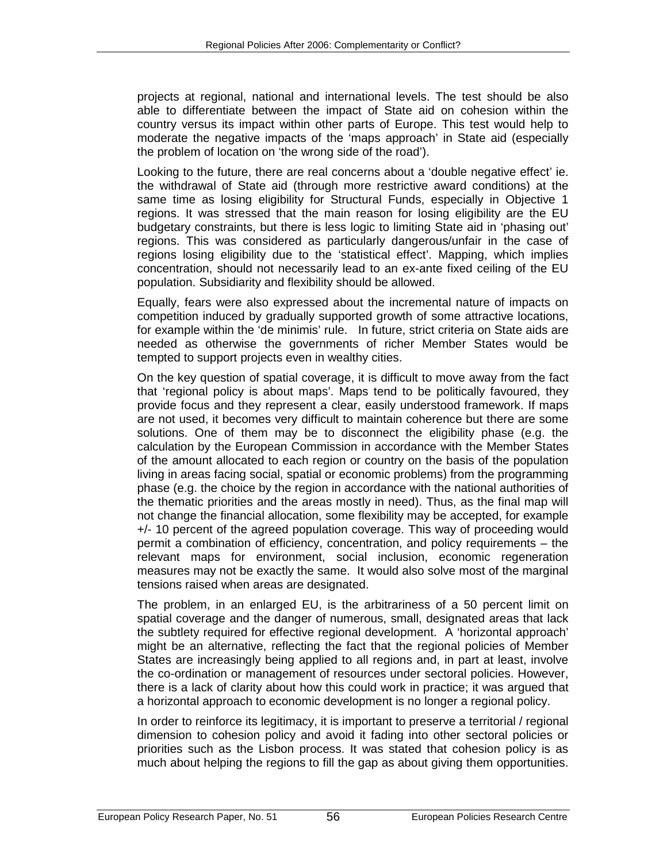projects at regional, national and international levels. The test should be also able to differentiate between the impact of State aid on cohesion within the country versus its impact within other parts of Europe. This test would help to moderate the negative impacts of the 'maps approach' in State aid (especially the problem of location on 'the wrong side of the road').

Looking to the future, there are real concerns about a 'double negative effect' ie. the withdrawal of State aid (through more restrictive award conditions) at the same time as losing eligibility for Structural Funds, especially in Objective 1 regions. It was stressed that the main reason for losing eligibility are the EU budgetary constraints, but there is less logic to limiting State aid in 'phasing out' regions. This was considered as particularly dangerous/unfair in the case of regions losing eligibility due to the 'statistical effect'. Mapping, which implies concentration, should not necessarily lead to an ex-ante fixed ceiling of the EU population. Subsidiarity and flexibility should be allowed.

Equally, fears were also expressed about the incremental nature of impacts on competition induced by gradually supported growth of some attractive locations, for example within the 'de minimis' rule. In future, strict criteria on State aids are needed as otherwise the governments of richer Member States would be tempted to support projects even in wealthy cities.

On the key question of spatial coverage, it is difficult to move away from the fact that 'regional policy is about maps'. Maps tend to be politically favoured, they provide focus and they represent a clear, easily understood framework. If maps are not used, it becomes very difficult to maintain coherence but there are some solutions. One of them may be to disconnect the eligibility phase (e.g. the calculation by the European Commission in accordance with the Member States of the amount allocated to each region or country on the basis of the population living in areas facing social, spatial or economic problems) from the programming phase (e.g. the choice by the region in accordance with the national authorities of the thematic priorities and the areas mostly in need). Thus, as the final map will not change the financial allocation, some flexibility may be accepted, for example +/- 10 percent of the agreed population coverage. This way of proceeding would permit a combination of efficiency, concentration, and policy requirements – the relevant maps for environment, social inclusion, economic regeneration measures may not be exactly the same. It would also solve most of the marginal tensions raised when areas are designated.

The problem, in an enlarged EU, is the arbitrariness of a 50 percent limit on spatial coverage and the danger of numerous, small, designated areas that lack the subtlety required for effective regional development. A 'horizontal approach' might be an alternative, reflecting the fact that the regional policies of Member States are increasingly being applied to all regions and, in part at least, involve the co-ordination or management of resources under sectoral policies. However, there is a lack of clarity about how this could work in practice; it was argued that a horizontal approach to economic development is no longer a regional policy.

In order to reinforce its legitimacy, it is important to preserve a territorial / regional dimension to cohesion policy and avoid it fading into other sectoral policies or priorities such as the Lisbon process. It was stated that cohesion policy is as much about helping the regions to fill the gap as about giving them opportunities.